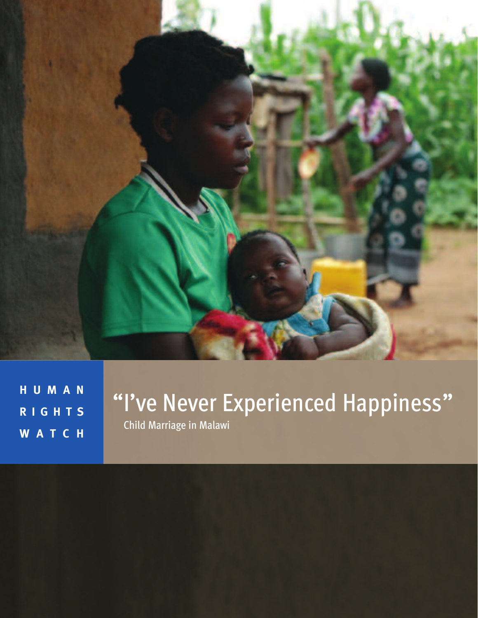

**H U M A N R I G H T S W A T C H**

## "I've Never Experienced Happiness" Child Marriage in Malawi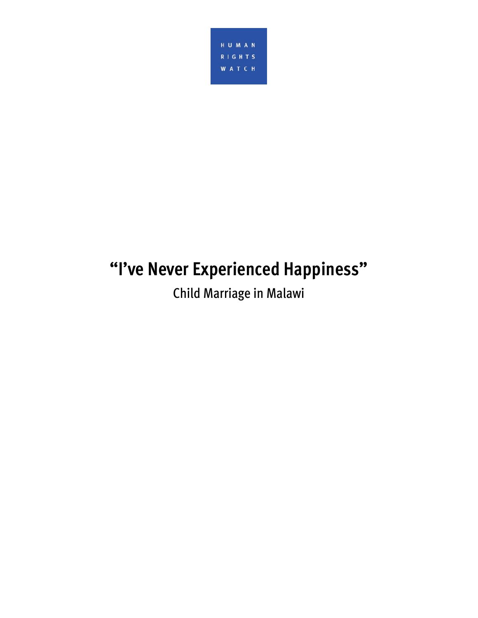

# **"I've Never Experienced Happiness"**

Child Marriage in Malawi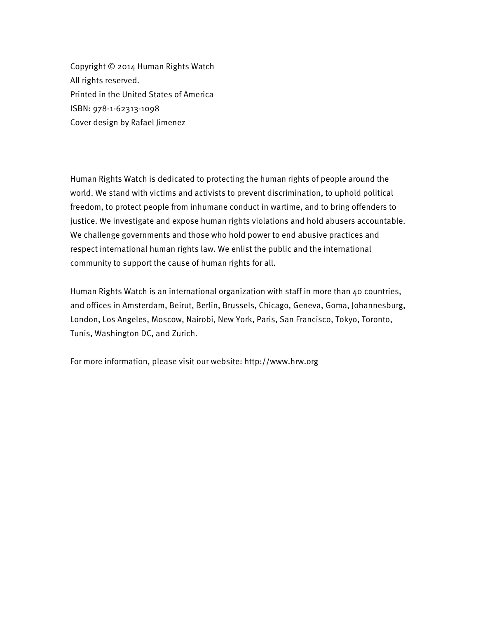Copyright © 2014 Human Rights Watch All rights reserved. Printed in the United States of America ISBN: 978-1-62313-1098 Cover design by Rafael Jimenez

Human Rights Watch is dedicated to protecting the human rights of people around the world. We stand with victims and activists to prevent discrimination, to uphold political freedom, to protect people from inhumane conduct in wartime, and to bring offenders to justice. We investigate and expose human rights violations and hold abusers accountable. We challenge governments and those who hold power to end abusive practices and respect international human rights law. We enlist the public and the international community to support the cause of human rights for all.

Human Rights Watch is an international organization with staff in more than 40 countries, and offices in Amsterdam, Beirut, Berlin, Brussels, Chicago, Geneva, Goma, Johannesburg, London, Los Angeles, Moscow, Nairobi, New York, Paris, San Francisco, Tokyo, Toronto, Tunis, Washington DC, and Zurich.

For more information, please visit our website: http://www.hrw.org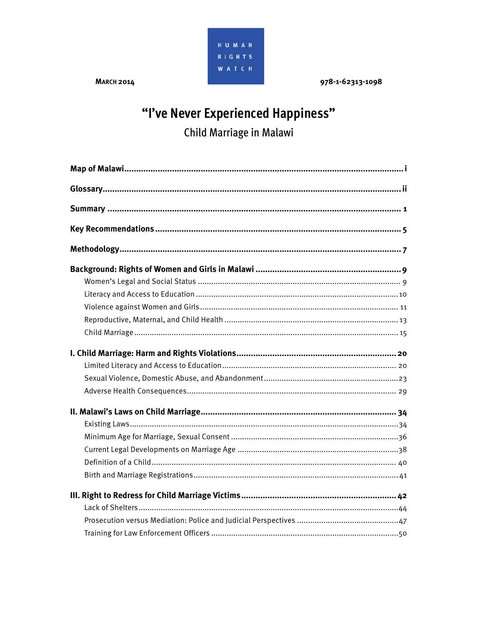

**MARCH 2014** 

978-1-62313-1098

## "I've Never Experienced Happiness" Child Marriage in Malawi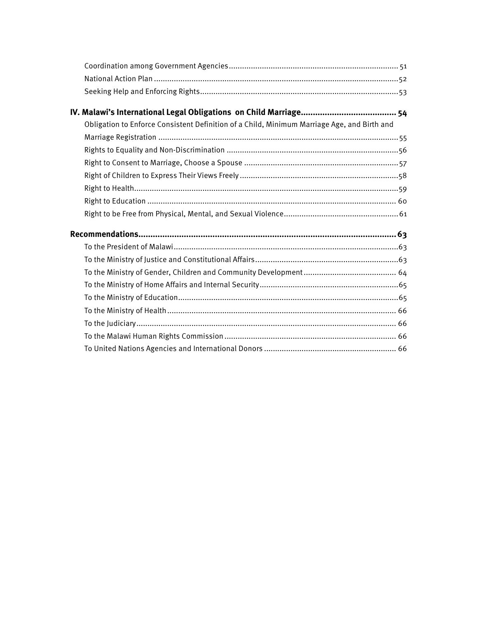| Obligation to Enforce Consistent Definition of a Child, Minimum Marriage Age, and Birth and |  |
|---------------------------------------------------------------------------------------------|--|
|                                                                                             |  |
|                                                                                             |  |
|                                                                                             |  |
|                                                                                             |  |
|                                                                                             |  |
|                                                                                             |  |
|                                                                                             |  |
|                                                                                             |  |
|                                                                                             |  |
|                                                                                             |  |
|                                                                                             |  |
|                                                                                             |  |
|                                                                                             |  |
|                                                                                             |  |
|                                                                                             |  |
|                                                                                             |  |
|                                                                                             |  |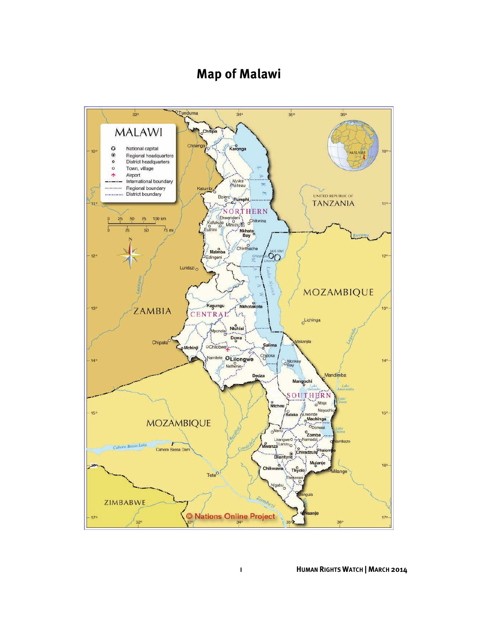## **Map of Malawi**

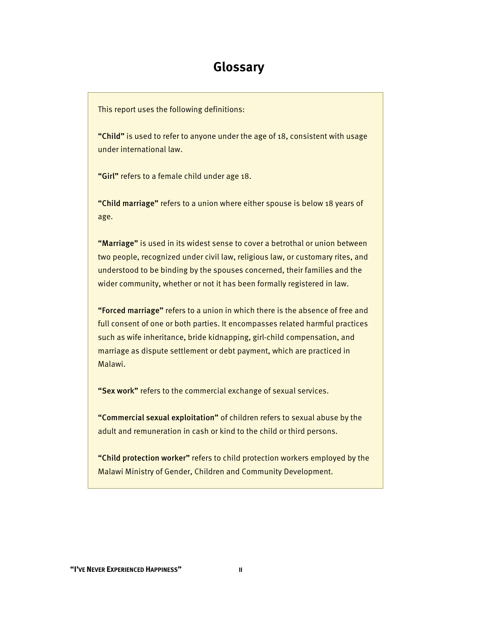## **Glossary**

This report uses the following definitions:

"Child" is used to refer to anyone under the age of 18, consistent with usage under international law.

"Girl" refers to a female child under age 18.

"Child marriage" refers to a union where either spouse is below 18 years of age.

"Marriage" is used in its widest sense to cover a betrothal or union between two people, recognized under civil law, religious law, or customary rites, and understood to be binding by the spouses concerned, their families and the wider community, whether or not it has been formally registered in law.

"Forced marriage" refers to a union in which there is the absence of free and full consent of one or both parties. It encompasses related harmful practices such as wife inheritance, bride kidnapping, girl-child compensation, and marriage as dispute settlement or debt payment, which are practiced in Malawi.

"Sex work" refers to the commercial exchange of sexual services.

"Commercial sexual exploitation" of children refers to sexual abuse by the adult and remuneration in cash or kind to the child or third persons.

"Child protection worker" refers to child protection workers employed by the Malawi Ministry of Gender, Children and Community Development.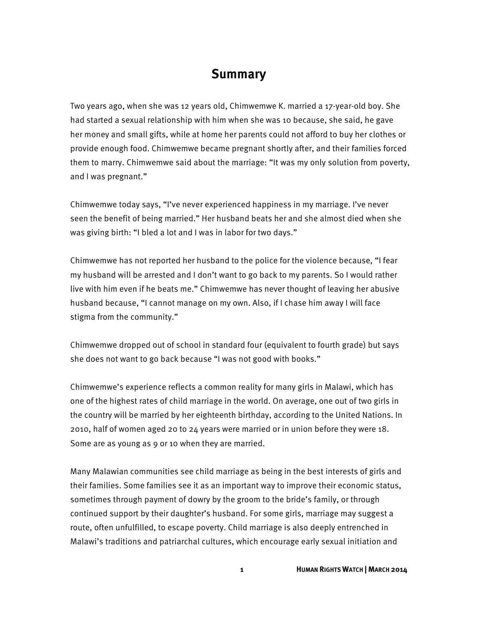## **Summary**

Two years ago, when she was 12 years old, Chimwemwe K. married a 17-year-old boy. She had started a sexual relationship with him when she was 10 because, she said, he gave her money and small gifts, while at home her parents could not afford to buy her clothes or provide enough food. Chimwemwe became pregnant shortly after, and their families forced them to marry. Chimwemwe said about the marriage: "It was my only solution from poverty, and I was pregnant."

Chimwemwe today says, "I've never experienced happiness in my marriage. I've never seen the benefit of being married." Her husband beats her and she almost died when she was giving birth: "I bled a lot and I was in labor for two days."

Chimwemwe has not reported her husband to the police for the violence because, "I fear my husband will be arrested and I don't want to go back to my parents. So I would rather live with him even if he beats me." Chimwemwe has never thought of leaving her abusive husband because, "I cannot manage on my own. Also, if I chase him away I will face stigma from the community."

Chimwemwe dropped out of school in standard four (equivalent to fourth grade) but says she does not want to go back because "I was not good with books."

Chimwemwe's experience reflects a common reality for many girls in Malawi, which has one of the highest rates of child marriage in the world. On average, one out of two girls in the country will be married by her eighteenth birthday, according to the United Nations. In 2010, half of women aged 20 to 24 years were married or in union before they were 18. Some are as young as 9 or 10 when they are married.

Many Malawian communities see child marriage as being in the best interests of girls and their families. Some families see it as an important way to improve their economic status, sometimes through payment of dowry by the groom to the bride's family, or through continued support by their daughter's husband. For some girls, marriage may suggest a route, often unfulfilled, to escape poverty. Child marriage is also deeply entrenched in Malawi's traditions and patriarchal cultures, which encourage early sexual initiation and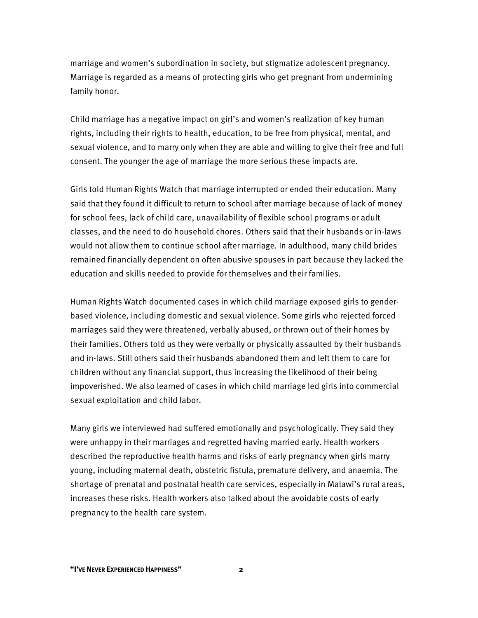marriage and women's subordination in society, but stigmatize adolescent pregnancy. Marriage is regarded as a means of protecting girls who get pregnant from undermining family honor.

Child marriage has a negative impact on girl's and women's realization of key human rights, including their rights to health, education, to be free from physical, mental, and sexual violence, and to marry only when they are able and willing to give their free and full consent. The younger the age of marriage the more serious these impacts are.

Girls told Human Rights Watch that marriage interrupted or ended their education. Many said that they found it difficult to return to school after marriage because of lack of money for school fees, lack of child care, unavailability of flexible school programs or adult classes, and the need to do household chores. Others said that their husbands or in-laws would not allow them to continue school after marriage. In adulthood, many child brides remained financially dependent on often abusive spouses in part because they lacked the education and skills needed to provide for themselves and their families.

Human Rights Watch documented cases in which child marriage exposed girls to genderbased violence, including domestic and sexual violence. Some girls who rejected forced marriages said they were threatened, verbally abused, or thrown out of their homes by their families. Others told us they were verbally or physically assaulted by their husbands and in-laws. Still others said their husbands abandoned them and left them to care for children without any financial support, thus increasing the likelihood of their being impoverished. We also learned of cases in which child marriage led girls into commercial sexual exploitation and child labor.

Many girls we interviewed had suffered emotionally and psychologically. They said they were unhappy in their marriages and regretted having married early. Health workers described the reproductive health harms and risks of early pregnancy when girls marry young, including maternal death, obstetric fistula, premature delivery, and anaemia. The shortage of prenatal and postnatal health care services, especially in Malawi's rural areas, increases these risks. Health workers also talked about the avoidable costs of early pregnancy to the health care system.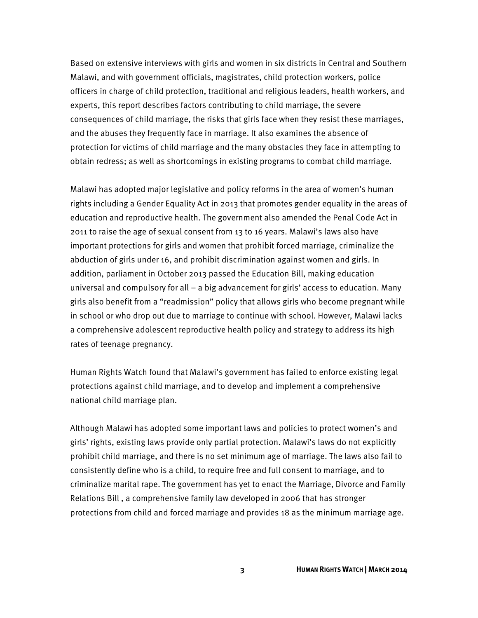Based on extensive interviews with girls and women in six districts in Central and Southern Malawi, and with government officials, magistrates, child protection workers, police officers in charge of child protection, traditional and religious leaders, health workers, and experts, this report describes factors contributing to child marriage, the severe consequences of child marriage, the risks that girls face when they resist these marriages, and the abuses they frequently face in marriage. It also examines the absence of protection for victims of child marriage and the many obstacles they face in attempting to obtain redress; as well as shortcomings in existing programs to combat child marriage.

Malawi has adopted major legislative and policy reforms in the area of women's human rights including a Gender Equality Act in 2013 that promotes gender equality in the areas of education and reproductive health. The government also amended the Penal Code Act in 2011 to raise the age of sexual consent from 13 to 16 years. Malawi's laws also have important protections for girls and women that prohibit forced marriage, criminalize the abduction of girls under 16, and prohibit discrimination against women and girls. In addition, parliament in October 2013 passed the Education Bill, making education universal and compulsory for all – a big advancement for girls' access to education. Many girls also benefit from a "readmission" policy that allows girls who become pregnant while in school or who drop out due to marriage to continue with school. However, Malawi lacks a comprehensive adolescent reproductive health policy and strategy to address its high rates of teenage pregnancy.

Human Rights Watch found that Malawi's government has failed to enforce existing legal protections against child marriage, and to develop and implement a comprehensive national child marriage plan.

Although Malawi has adopted some important laws and policies to protect women's and girls' rights, existing laws provide only partial protection. Malawi's laws do not explicitly prohibit child marriage, and there is no set minimum age of marriage. The laws also fail to consistently define who is a child, to require free and full consent to marriage, and to criminalize marital rape. The government has yet to enact the Marriage, Divorce and Family Relations Bill , a comprehensive family law developed in 2006 that has stronger protections from child and forced marriage and provides 18 as the minimum marriage age.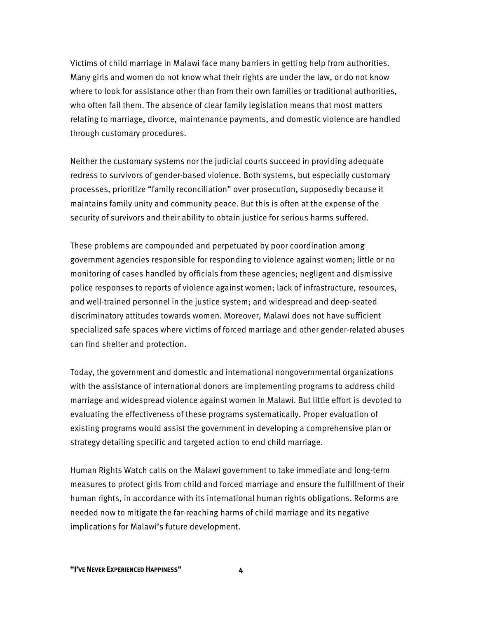Victims of child marriage in Malawi face many barriers in getting help from authorities. Many girls and women do not know what their rights are under the law, or do not know where to look for assistance other than from their own families or traditional authorities, who often fail them. The absence of clear family legislation means that most matters relating to marriage, divorce, maintenance payments, and domestic violence are handled through customary procedures.

Neither the customary systems nor the judicial courts succeed in providing adequate redress to survivors of gender-based violence. Both systems, but especially customary processes, prioritize "family reconciliation" over prosecution, supposedly because it maintains family unity and community peace. But this is often at the expense of the security of survivors and their ability to obtain justice for serious harms suffered.

These problems are compounded and perpetuated by poor coordination among government agencies responsible for responding to violence against women; little or no monitoring of cases handled by officials from these agencies; negligent and dismissive police responses to reports of violence against women; lack of infrastructure, resources, and well-trained personnel in the justice system; and widespread and deep-seated discriminatory attitudes towards women. Moreover, Malawi does not have sufficient specialized safe spaces where victims of forced marriage and other gender-related abuses can find shelter and protection.

Today, the government and domestic and international nongovernmental organizations with the assistance of international donors are implementing programs to address child marriage and widespread violence against women in Malawi. But little effort is devoted to evaluating the effectiveness of these programs systematically. Proper evaluation of existing programs would assist the government in developing a comprehensive plan or strategy detailing specific and targeted action to end child marriage.

Human Rights Watch calls on the Malawi government to take immediate and long-term measures to protect girls from child and forced marriage and ensure the fulfillment of their human rights, in accordance with its international human rights obligations. Reforms are needed now to mitigate the far-reaching harms of child marriage and its negative implications for Malawi's future development.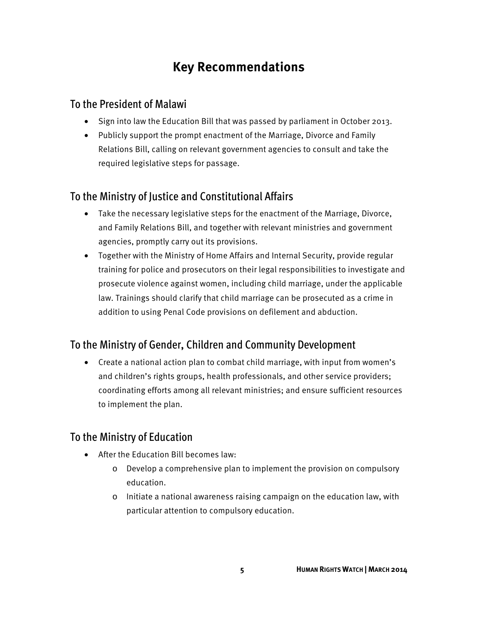## **Key Recommendations**

#### To the President of Malawi

- Sign into law the Education Bill that was passed by parliament in October 2013.
- Publicly support the prompt enactment of the Marriage, Divorce and Family Relations Bill, calling on relevant government agencies to consult and take the required legislative steps for passage.

### To the Ministry of Justice and Constitutional Affairs

- Take the necessary legislative steps for the enactment of the Marriage, Divorce, and Family Relations Bill, and together with relevant ministries and government agencies, promptly carry out its provisions.
- Together with the Ministry of Home Affairs and Internal Security, provide regular training for police and prosecutors on their legal responsibilities to investigate and prosecute violence against women, including child marriage, under the applicable law. Trainings should clarify that child marriage can be prosecuted as a crime in addition to using Penal Code provisions on defilement and abduction.

### To the Ministry of Gender, Children and Community Development

• Create a national action plan to combat child marriage, with input from women's and children's rights groups, health professionals, and other service providers; coordinating efforts among all relevant ministries; and ensure sufficient resources to implement the plan.

### To the Ministry of Education

- After the Education Bill becomes law:
	- o Develop a comprehensive plan to implement the provision on compulsory education.
	- o Initiate a national awareness raising campaign on the education law, with particular attention to compulsory education.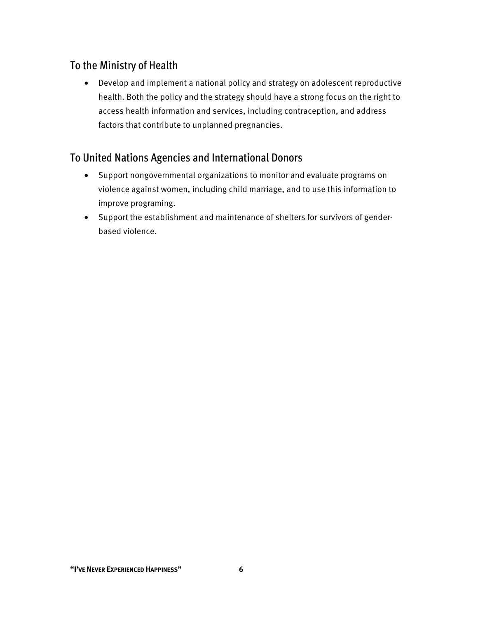## To the Ministry of Health

• Develop and implement a national policy and strategy on adolescent reproductive health. Both the policy and the strategy should have a strong focus on the right to access health information and services, including contraception, and address factors that contribute to unplanned pregnancies.

## To United Nations Agencies and International Donors

- Support nongovernmental organizations to monitor and evaluate programs on violence against women, including child marriage, and to use this information to improve programing.
- Support the establishment and maintenance of shelters for survivors of genderbased violence.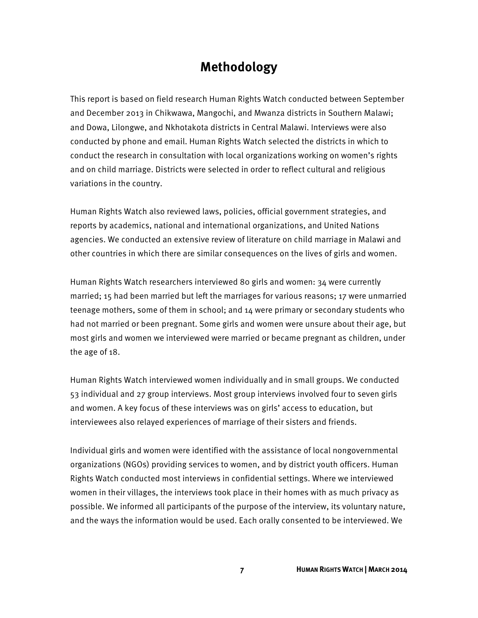## **Methodology**

This report is based on field research Human Rights Watch conducted between September and December 2013 in Chikwawa, Mangochi, and Mwanza districts in Southern Malawi; and Dowa, Lilongwe, and Nkhotakota districts in Central Malawi. Interviews were also conducted by phone and email. Human Rights Watch selected the districts in which to conduct the research in consultation with local organizations working on women's rights and on child marriage. Districts were selected in order to reflect cultural and religious variations in the country.

Human Rights Watch also reviewed laws, policies, official government strategies, and reports by academics, national and international organizations, and United Nations agencies. We conducted an extensive review of literature on child marriage in Malawi and other countries in which there are similar consequences on the lives of girls and women.

Human Rights Watch researchers interviewed 80 girls and women: 34 were currently married; 15 had been married but left the marriages for various reasons; 17 were unmarried teenage mothers, some of them in school; and 14 were primary or secondary students who had not married or been pregnant. Some girls and women were unsure about their age, but most girls and women we interviewed were married or became pregnant as children, under the age of 18.

Human Rights Watch interviewed women individually and in small groups. We conducted 53 individual and 27 group interviews. Most group interviews involved four to seven girls and women. A key focus of these interviews was on girls' access to education, but interviewees also relayed experiences of marriage of their sisters and friends.

Individual girls and women were identified with the assistance of local nongovernmental organizations (NGOs) providing services to women, and by district youth officers. Human Rights Watch conducted most interviews in confidential settings. Where we interviewed women in their villages, the interviews took place in their homes with as much privacy as possible. We informed all participants of the purpose of the interview, its voluntary nature, and the ways the information would be used. Each orally consented to be interviewed. We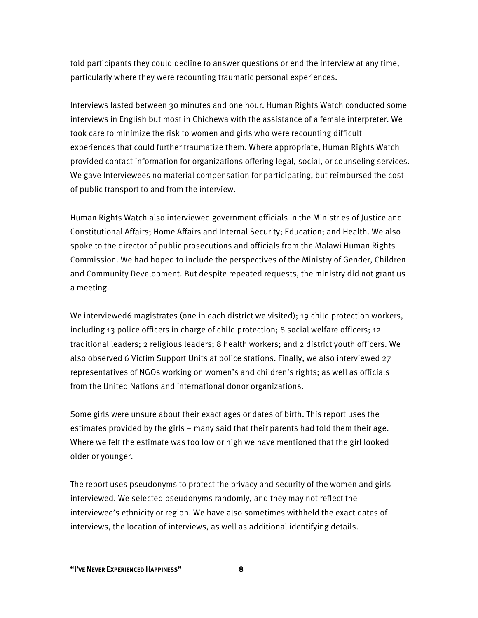told participants they could decline to answer questions or end the interview at any time, particularly where they were recounting traumatic personal experiences.

Interviews lasted between 30 minutes and one hour. Human Rights Watch conducted some interviews in English but most in Chichewa with the assistance of a female interpreter. We took care to minimize the risk to women and girls who were recounting difficult experiences that could further traumatize them. Where appropriate, Human Rights Watch provided contact information for organizations offering legal, social, or counseling services. We gave Interviewees no material compensation for participating, but reimbursed the cost of public transport to and from the interview.

Human Rights Watch also interviewed government officials in the Ministries of Justice and Constitutional Affairs; Home Affairs and Internal Security; Education; and Health. We also spoke to the director of public prosecutions and officials from the Malawi Human Rights Commission. We had hoped to include the perspectives of the Ministry of Gender, Children and Community Development. But despite repeated requests, the ministry did not grant us a meeting.

We interviewed6 magistrates (one in each district we visited); 19 child protection workers, including 13 police officers in charge of child protection; 8 social welfare officers; 12 traditional leaders; 2 religious leaders; 8 health workers; and 2 district youth officers. We also observed 6 Victim Support Units at police stations. Finally, we also interviewed 27 representatives of NGOs working on women's and children's rights; as well as officials from the United Nations and international donor organizations.

Some girls were unsure about their exact ages or dates of birth. This report uses the estimates provided by the girls – many said that their parents had told them their age. Where we felt the estimate was too low or high we have mentioned that the girl looked older or younger.

The report uses pseudonyms to protect the privacy and security of the women and girls interviewed. We selected pseudonyms randomly, and they may not reflect the interviewee's ethnicity or region. We have also sometimes withheld the exact dates of interviews, the location of interviews, as well as additional identifying details.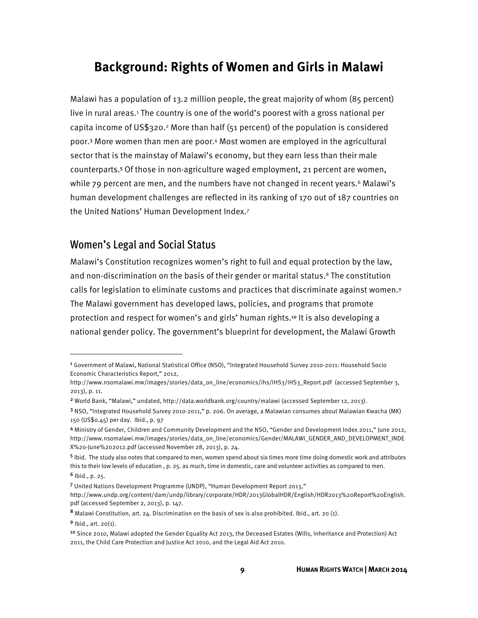## **Background: Rights of Women and Girls in Malawi**

Malawi has a population of 13.2 million people, the great majority of whom (85 percent) live in rural areas.<sup>1</sup> The country is one of the world's poorest with a gross national per capita income of US\$320.2 More than half (51 percent) of the population is considered poor.3 More women than men are poor.4 Most women are employed in the agricultural sector that is the mainstay of Malawi's economy, but they earn less than their male counterparts.5 Of those in non-agriculture waged employment, 21 percent are women, while 79 percent are men, and the numbers have not changed in recent years.<sup>6</sup> Malawi's human development challenges are reflected in its ranking of 170 out of 187 countries on the United Nations' Human Development Index.7

#### Women's Legal and Social Status

Malawi's Constitution recognizes women's right to full and equal protection by the law, and non-discrimination on the basis of their gender or marital status.8 The constitution calls for legislation to eliminate customs and practices that discriminate against women.9 The Malawi government has developed laws, policies, and programs that promote protection and respect for women's and girls' human rights.10 It is also developing a national gender policy. The government's blueprint for development, the Malawi Growth

**.** 

<sup>1</sup> Government of Malawi, National Statistical Office (NSO), "Integrated Household Survey 2010-2011: Household Socio Economic Characteristics Report," 2012,

http://www.nsomalawi.mw/images/stories/data\_on\_line/economics/ihs/IHS3/IHS3\_Report.pdf (accessed September 3, 2013), p. 11.

<sup>2</sup> World Bank, "Malawi," undated, http://data.worldbank.org/country/malawi (accessed September 12, 2013).

<sup>3</sup> NSO, "Integrated Household Survey 2010-2011," p. 206. On average, a Malawian consumes about Malawian Kwacha (MK) 150 (US\$0.45) per day. Ibid., p. 97

<sup>4</sup> Ministry of Gender, Children and Community Development and the NSO, "Gender and Development Index 2011," June 2012, http://www.nsomalawi.mw/images/stories/data\_on\_line/economics/Gender/MALAWI\_GENDER\_AND\_DEVELOPMENT\_INDE X%20-June%202012.pdf (accessed November 28, 2013), p. 24.

<sup>5</sup> Ibid. The study also notes that compared to men, women spend about six times more time doing domestic work and attributes this to their low levels of education , p. 25. as much, time in domestic, care and volunteer activities as compared to men.  $6$  Ibid., p. 25.

<sup>7</sup> United Nations Development Programme (UNDP), "Human Development Report 2013,"

http://www.undp.org/content/dam/undp/library/corporate/HDR/2013GlobalHDR/English/HDR2013%20Report%20English. pdf (accessed September 2, 2013), p. 147.

<sup>8</sup> Malawi Constitution, art. 24. Discrimination on the basis of sex is also prohibited. Ibid., art. 20 (1).

<sup>9</sup> Ibid., art. 20(1).

<sup>10</sup> Since 2010, Malawi adopted the Gender Equality Act 2013, the Deceased Estates (Wills, Inheritance and Protection) Act 2011, the Child Care Protection and Justice Act 2010, and the Legal Aid Act 2010.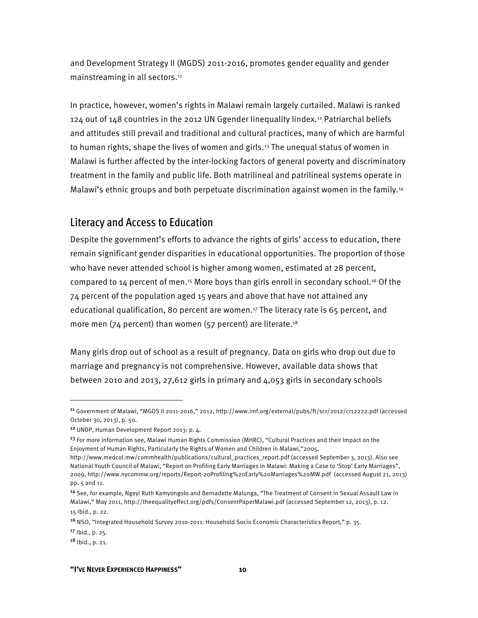and Development Strategy II (MGDS) 2011-2016, promotes gender equality and gender mainstreaming in all sectors.<sup>11</sup>

In practice, however, women's rights in Malawi remain largely curtailed. Malawi is ranked 124 out of 148 countries in the 2012 UN Ggender Iinequality Iindex.12 Patriarchal beliefs and attitudes still prevail and traditional and cultural practices, many of which are harmful to human rights, shape the lives of women and girls.<sup>13</sup> The unequal status of women in Malawi is further affected by the inter-locking factors of general poverty and discriminatory treatment in the family and public life. Both matrilineal and patrilineal systems operate in Malawi's ethnic groups and both perpetuate discrimination against women in the family.<sup>14</sup>

#### Literacy and Access to Education

Despite the government's efforts to advance the rights of girls' access to education, there remain significant gender disparities in educational opportunities. The proportion of those who have never attended school is higher among women, estimated at 28 percent, compared to 14 percent of men.15 More boys than girls enroll in secondary school.16 Of the 74 percent of the population aged 15 years and above that have not attained any educational qualification, 80 percent are women.17 The literacy rate is 65 percent, and more men (74 percent) than women (57 percent) are literate.<sup>18</sup>

Many girls drop out of school as a result of pregnancy. Data on girls who drop out due to marriage and pregnancy is not comprehensive. However, available data shows that between 2010 and 2013, 27,612 girls in primary and 4,053 girls in secondary schools

<sup>13</sup> For more information see, Malawi Human Rights Commission (MHRC), "Cultural Practices and their Impact on the Enjoyment of Human Rights, Particularly the Rights of Women and Children in Malawi,"2005,

 $\overline{\phantom{a}}$ 

<sup>17</sup> Ibid., p. 25.

<sup>11</sup> Government of Malawi, "MGDS II 2011-2016," 2012, http://www.imf.org/external/pubs/ft/scr/2012/cr12222.pdf (accessed October 30, 2013), p. 50.

<sup>12</sup> UNDP, Human Development Report 2013: p. 4.

http://www.medcol.mw/commhealth/publications/cultural\_practices\_report.pdf (accessed September 3, 2013). Also see National Youth Council of Malawi, "Report on Profiling Early Marriages in Malawi: Making a Case to 'Stop' Early Marriages", 2009, http://www.nycommw.org/reports/Report-20Profiling%20Early%20Marriages%20MW.pdf (accessed August 21, 2013) pp. 5 and 11.

<sup>14</sup> See, for example, Ngeyi Ruth Kamyongolo and Bernadette Malunga, "The Treatment of Consent in Sexual Assault Law in Malawi," May 2011, http://theequalityeffect.org/pdfs/ConsentPaperMalawi.pdf (accessed September 12, 2013), p. 12.

<sup>15</sup> Ibid., p. 22.

<sup>16</sup> NSO, "Integrated Household Survey 2010-2011: Household Socio Economic Characteristics Report," p. 35.

<sup>18</sup> Ibid., p. 21.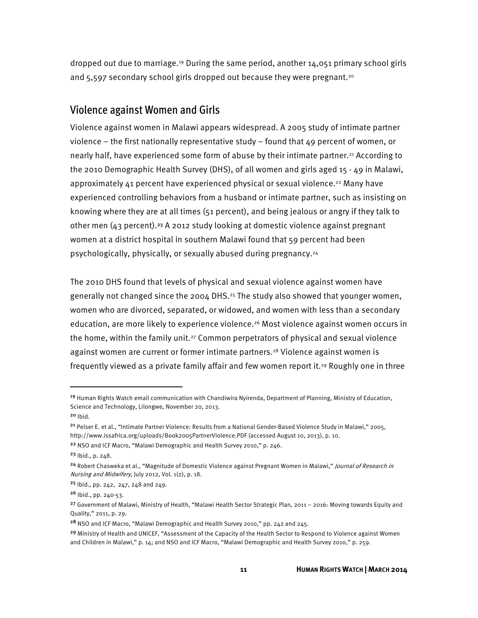dropped out due to marriage.19 During the same period, another 14,051 primary school girls and 5,597 secondary school girls dropped out because they were pregnant.<sup>20</sup>

#### Violence against Women and Girls

Violence against women in Malawi appears widespread. A 2005 study of intimate partner violence  $-$  the first nationally representative study  $-$  found that 49 percent of women, or nearly half, have experienced some form of abuse by their intimate partner.21 According to the 2010 Demographic Health Survey (DHS), of all women and girls aged 15 - 49 in Malawi, approximately 41 percent have experienced physical or sexual violence.22 Many have experienced controlling behaviors from a husband or intimate partner, such as insisting on knowing where they are at all times (51 percent), and being jealous or angry if they talk to other men (43 percent).23 A 2012 study looking at domestic violence against pregnant women at a district hospital in southern Malawi found that 59 percent had been psychologically, physically, or sexually abused during pregnancy.24

The 2010 DHS found that levels of physical and sexual violence against women have generally not changed since the 2004 DHS.<sup>25</sup> The study also showed that younger women, women who are divorced, separated, or widowed, and women with less than a secondary education, are more likely to experience violence.26 Most violence against women occurs in the home, within the family unit.<sup>27</sup> Common perpetrators of physical and sexual violence against women are current or former intimate partners.28 Violence against women is frequently viewed as a private family affair and few women report it.29 Roughly one in three

 $\overline{\phantom{a}}$ 

<sup>22</sup> NSO and ICF Macro, "Malawi Demographic and Health Survey 2010," p. 246.

<sup>19</sup> Human Rights Watch email communication with Chandiwira Nyirenda, Department of Planning, Ministry of Education, Science and Technology, Lilongwe, November 20, 2013.

 $20$  Ibid.

<sup>21</sup> Pelser E. et al., "Intimate Partner Violence: Results from a National Gender-Based Violence Study in Malawi," 2005, http://www.issafrica.org/uploads/Book2005PartnerViolence.PDF (accessed August 10, 2013), p. 10.

<sup>23</sup> Ibid., p. 248.

<sup>&</sup>lt;sup>24</sup> Robert Chasweka et al., "Magnitude of Domestic Violence against Pregnant Women in Malawi," *Journal of Research in* Nursing and Midwifery, July 2012, Vol. 1(2), p. 18.

<sup>25</sup> Ibid., pp. 242, 247, 248 and 249.

<sup>26</sup> Ibid., pp. 240-53.

<sup>27</sup> Government of Malawi, Ministry of Health, "Malawi Health Sector Strategic Plan, 2011 – 2016: Moving towards Equity and Quality," 2011, p. 29.

<sup>&</sup>lt;sup>28</sup> NSO and ICF Macro, "Malawi Demographic and Health Survey 2010," pp. 242 and 245.

<sup>&</sup>lt;sup>29</sup> Ministry of Health and UNICEF, "Assessment of the Capacity of the Health Sector to Respond to Violence against Women and Children in Malawi," p. 14; and NSO and ICF Macro, "Malawi Demographic and Health Survey 2010," p. 259.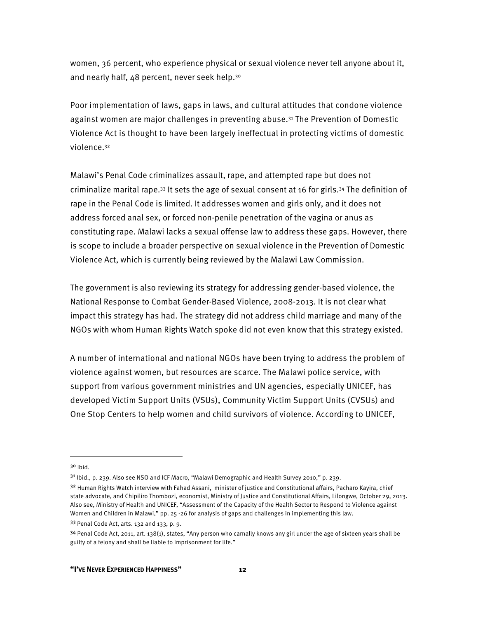women, 36 percent, who experience physical or sexual violence never tell anyone about it, and nearly half, 48 percent, never seek help.<sup>30</sup>

Poor implementation of laws, gaps in laws, and cultural attitudes that condone violence against women are major challenges in preventing abuse.31 The Prevention of Domestic Violence Act is thought to have been largely ineffectual in protecting victims of domestic violence.32

Malawi's Penal Code criminalizes assault, rape, and attempted rape but does not criminalize marital rape.33 It sets the age of sexual consent at 16 for girls.34 The definition of rape in the Penal Code is limited. It addresses women and girls only, and it does not address forced anal sex, or forced non-penile penetration of the vagina or anus as constituting rape. Malawi lacks a sexual offense law to address these gaps. However, there is scope to include a broader perspective on sexual violence in the Prevention of Domestic Violence Act, which is currently being reviewed by the Malawi Law Commission.

The government is also reviewing its strategy for addressing gender-based violence, the National Response to Combat Gender-Based Violence, 2008-2013. It is not clear what impact this strategy has had. The strategy did not address child marriage and many of the NGOs with whom Human Rights Watch spoke did not even know that this strategy existed.

A number of international and national NGOs have been trying to address the problem of violence against women, but resources are scarce. The Malawi police service, with support from various government ministries and UN agencies, especially UNICEF, has developed Victim Support Units (VSUs), Community Victim Support Units (CVSUs) and One Stop Centers to help women and child survivors of violence. According to UNICEF,

 $30$  Ibid.

**.** 

<sup>31</sup> Ibid., p. 239. Also see NSO and ICF Macro, "Malawi Demographic and Health Survey 2010," p. 239.

<sup>32</sup> Human Rights Watch interview with Fahad Assani, minister of justice and Constitutional affairs, Pacharo Kayira, chief state advocate, and Chipiliro Thombozi, economist, Ministry of Justice and Constitutional Affairs, Lilongwe, October 29, 2013. Also see, Ministry of Health and UNICEF, "Assessment of the Capacity of the Health Sector to Respond to Violence against Women and Children in Malawi," pp. 25 -26 for analysis of gaps and challenges in implementing this law. <sup>33</sup> Penal Code Act, arts. 132 and 133, p. 9.

<sup>34</sup> Penal Code Act, 2011, art. 138(1), states, "Any person who carnally knows any girl under the age of sixteen years shall be guilty of a felony and shall be liable to imprisonment for life."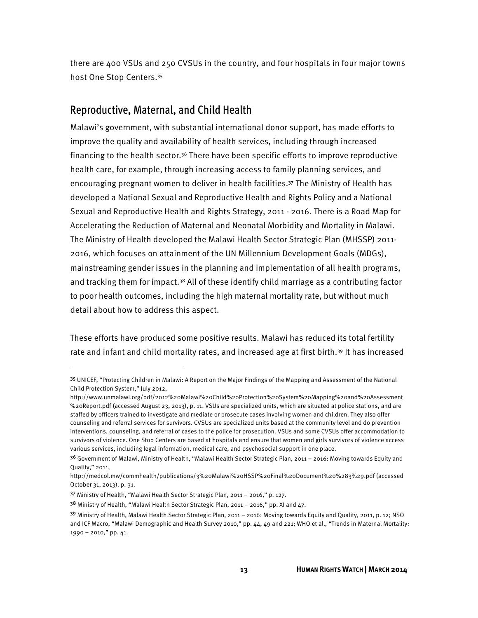there are 400 VSUs and 250 CVSUs in the country, and four hospitals in four major towns host One Stop Centers.35

#### Reproductive, Maternal, and Child Health

Malawi's government, with substantial international donor support, has made efforts to improve the quality and availability of health services, including through increased financing to the health sector.36 There have been specific efforts to improve reproductive health care, for example, through increasing access to family planning services, and encouraging pregnant women to deliver in health facilities.37 The Ministry of Health has developed a National Sexual and Reproductive Health and Rights Policy and a National Sexual and Reproductive Health and Rights Strategy, 2011 - 2016. There is a Road Map for Accelerating the Reduction of Maternal and Neonatal Morbidity and Mortality in Malawi. The Ministry of Health developed the Malawi Health Sector Strategic Plan (MHSSP) 2011- 2016, which focuses on attainment of the UN Millennium Development Goals (MDGs), mainstreaming gender issues in the planning and implementation of all health programs, and tracking them for impact.38 All of these identify child marriage as a contributing factor to poor health outcomes, including the high maternal mortality rate, but without much detail about how to address this aspect.

These efforts have produced some positive results. Malawi has reduced its total fertility rate and infant and child mortality rates, and increased age at first birth.<sup>39</sup> It has increased

l

<sup>35</sup> UNICEF, "Protecting Children in Malawi: A Report on the Major Findings of the Mapping and Assessment of the National Child Protection System," July 2012,

http://www.unmalawi.org/pdf/2012%20Malawi%20Child%20Protection%20System%20Mapping%20and%20Assessment %20Report.pdf (accessed August 23, 2013), p. 11. VSUs are specialized units, which are situated at police stations, and are staffed by officers trained to investigate and mediate or prosecute cases involving women and children. They also offer counseling and referral services for survivors. CVSUs are specialized units based at the community level and do prevention interventions, counseling, and referral of cases to the police for prosecution. VSUs and some CVSUs offer accommodation to survivors of violence. One Stop Centers are based at hospitals and ensure that women and girls survivors of violence access various services, including legal information, medical care, and psychosocial support in one place.

<sup>36</sup> Government of Malawi, Ministry of Health, "Malawi Health Sector Strategic Plan, 2011 – 2016: Moving towards Equity and Quality," 2011,

http://medcol.mw/commhealth/publications/3%20Malawi%20HSSP%20Final%20Document%20%283%29.pdf (accessed October 31, 2013). p. 31.

<sup>37</sup> Ministry of Health, "Malawi Health Sector Strategic Plan, 2011 – 2016," p. 127.

 $38$  Ministry of Health, "Malawi Health Sector Strategic Plan, 2011 – 2016," pp. XI and  $47$ .

<sup>39</sup> Ministry of Health, Malawi Health Sector Strategic Plan, 2011 – 2016: Moving towards Equity and Quality, 2011, p. 12; NSO and ICF Macro, "Malawi Demographic and Health Survey 2010," pp. 44, 49 and 221; WHO et al., "Trends in Maternal Mortality: 1990 – 2010," pp. 41.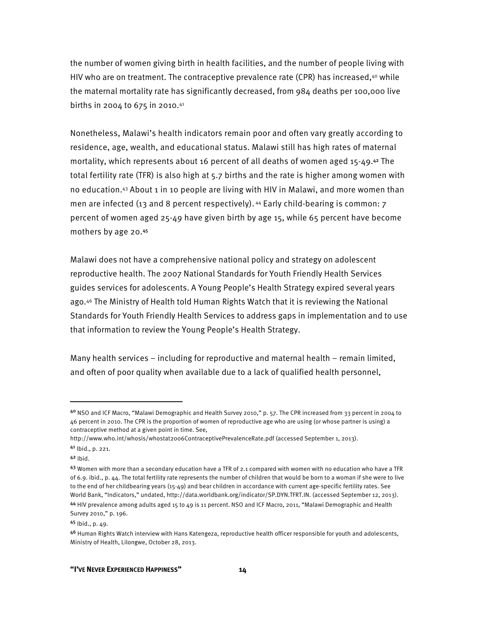the number of women giving birth in health facilities, and the number of people living with HIV who are on treatment. The contraceptive prevalence rate (CPR) has increased,<sup>40</sup> while the maternal mortality rate has significantly decreased, from 984 deaths per 100,000 live births in 2004 to 675 in 2010.41

Nonetheless, Malawi's health indicators remain poor and often vary greatly according to residence, age, wealth, and educational status. Malawi still has high rates of maternal mortality, which represents about 16 percent of all deaths of women aged 15-49.42 The total fertility rate (TFR) is also high at 5.7 births and the rate is higher among women with no education.43 About 1 in 10 people are living with HIV in Malawi, and more women than men are infected (13 and 8 percent respectively). 44 Early child-bearing is common: 7 percent of women aged 25-49 have given birth by age 15, while 65 percent have become mothers by age 20.<sup>45</sup>

Malawi does not have a comprehensive national policy and strategy on adolescent reproductive health. The 2007 National Standards for Youth Friendly Health Services guides services for adolescents. A Young People's Health Strategy expired several years ago.46 The Ministry of Health told Human Rights Watch that it is reviewing the National Standards for Youth Friendly Health Services to address gaps in implementation and to use that information to review the Young People's Health Strategy.

Many health services – including for reproductive and maternal health – remain limited, and often of poor quality when available due to a lack of qualified health personnel,

 $\overline{\phantom{a}}$ 

<sup>45</sup> Ibid., p. 49.

<sup>4</sup>º NSO and ICF Macro, "Malawi Demographic and Health Survey 2010," p. 57. The CPR increased from 33 percent in 2004 to 46 percent in 2010. The CPR is the proportion of women of reproductive age who are using (or whose partner is using) a contraceptive method at a given point in time. See,

http://www.who.int/whosis/whostat2006ContraceptivePrevalenceRate.pdf (accessed September 1, 2013).

<sup>41</sup> Ibid., p. 221.

 $42$  Ibid.

<sup>43</sup> Women with more than a secondary education have a TFR of 2.1 compared with women with no education who have a TFR of 6.9. ibid., p. 44. The total fertility rate represents the number of children that would be born to a woman if she were to live to the end of her childbearing years (15-49) and bear children in accordance with current age-specific fertility rates. See World Bank, "Indicators," undated, http://data.worldbank.org/indicator/SP.DYN.TFRT.IN. (accessed September 12, 2013). <sup>44</sup> HIV prevalence among adults aged 15 to 49 is 11 percent. NSO and ICF Macro, 2011, "Malawi Demographic and Health

Survey 2010," p. 196.

<sup>46</sup> Human Rights Watch interview with Hans Katengeza, reproductive health officer responsible for youth and adolescents, Ministry of Health, Lilongwe, October 28, 2013.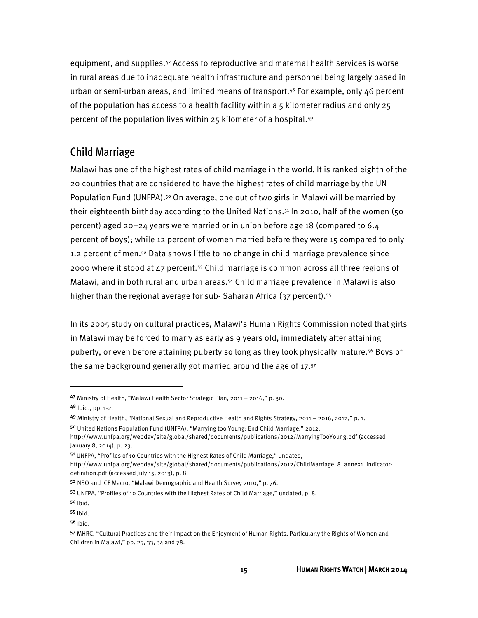equipment, and supplies.47 Access to reproductive and maternal health services is worse in rural areas due to inadequate health infrastructure and personnel being largely based in urban or semi-urban areas, and limited means of transport.48 For example, only 46 percent of the population has access to a health facility within a 5 kilometer radius and only 25 percent of the population lives within 25 kilometer of a hospital.49

#### Child Marriage

Malawi has one of the highest rates of child marriage in the world. It is ranked eighth of the 20 countries that are considered to have the highest rates of child marriage by the UN Population Fund (UNFPA).<sup>50</sup> On average, one out of two girls in Malawi will be married by their eighteenth birthday according to the United Nations.51 In 2010, half of the women (50 percent) aged 20–24 years were married or in union before age 18 (compared to 6.4 percent of boys); while 12 percent of women married before they were 15 compared to only 1.2 percent of men.52 Data shows little to no change in child marriage prevalence since 2000 where it stood at 47 percent.53 Child marriage is common across all three regions of Malawi, and in both rural and urban areas.54 Child marriage prevalence in Malawi is also higher than the regional average for sub-Saharan Africa (37 percent).<sup>55</sup>

In its 2005 study on cultural practices, Malawi's Human Rights Commission noted that girls in Malawi may be forced to marry as early as 9 years old, immediately after attaining puberty, or even before attaining puberty so long as they look physically mature.56 Boys of the same background generally got married around the age of 17.57

**.** 

<sup>47</sup> Ministry of Health, "Malawi Health Sector Strategic Plan, 2011 – 2016," p. 30.

<sup>48</sup> Ibid., pp. 1-2.

<sup>49</sup> Ministry of Health, "National Sexual and Reproductive Health and Rights Strategy, 2011 – 2016, 2012," p. 1.

<sup>50</sup> United Nations Population Fund (UNFPA), "Marrying too Young: End Child Marriage," 2012,

http://www.unfpa.org/webdav/site/global/shared/documents/publications/2012/MarryingTooYoung.pdf (accessed January 8, 2014), p. 23.

<sup>51</sup> UNFPA, "Profiles of 10 Countries with the Highest Rates of Child Marriage," undated,

http://www.unfpa.org/webdav/site/global/shared/documents/publications/2012/ChildMarriage\_8\_annex1\_indicatordefinition.pdf (accessed July 15, 2013), p. 8.

<sup>52</sup> NSO and ICF Macro, "Malawi Demographic and Health Survey 2010," p. 76.

<sup>53</sup> UNFPA, "Profiles of 10 Countries with the Highest Rates of Child Marriage," undated, p. 8.

<sup>54</sup> Ibid.

<sup>55</sup> Ibid.

 $56$  Ibid.

<sup>57</sup> MHRC, "Cultural Practices and their Impact on the Enjoyment of Human Rights, Particularly the Rights of Women and Children in Malawi," pp. 25, 33, 34 and 78.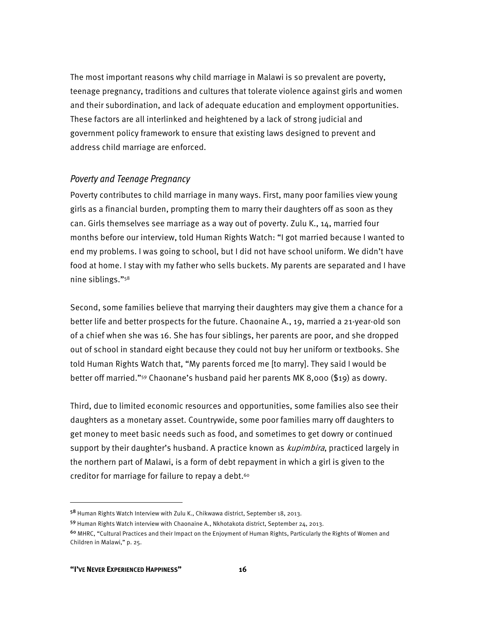The most important reasons why child marriage in Malawi is so prevalent are poverty, teenage pregnancy, traditions and cultures that tolerate violence against girls and women and their subordination, and lack of adequate education and employment opportunities. These factors are all interlinked and heightened by a lack of strong judicial and government policy framework to ensure that existing laws designed to prevent and address child marriage are enforced.

#### Poverty and Teenage Pregnancy

Poverty contributes to child marriage in many ways. First, many poor families view young girls as a financial burden, prompting them to marry their daughters off as soon as they can. Girls themselves see marriage as a way out of poverty. Zulu K., 14, married four months before our interview, told Human Rights Watch: "I got married because I wanted to end my problems. I was going to school, but I did not have school uniform. We didn't have food at home. I stay with my father who sells buckets. My parents are separated and I have nine siblings."58

Second, some families believe that marrying their daughters may give them a chance for a better life and better prospects for the future. Chaonaine A., 19, married a 21-year-old son of a chief when she was 16. She has four siblings, her parents are poor, and she dropped out of school in standard eight because they could not buy her uniform or textbooks. She told Human Rights Watch that, "My parents forced me [to marry]. They said I would be better off married."59 Chaonane's husband paid her parents MK 8,000 (\$19) as dowry.

Third, due to limited economic resources and opportunities, some families also see their daughters as a monetary asset. Countrywide, some poor families marry off daughters to get money to meet basic needs such as food, and sometimes to get dowry or continued support by their daughter's husband. A practice known as *kupimbira*, practiced largely in the northern part of Malawi, is a form of debt repayment in which a girl is given to the creditor for marriage for failure to repay a debt.<sup>60</sup>

l

<sup>58</sup> Human Rights Watch Interview with Zulu K., Chikwawa district, September 18, 2013.

<sup>59</sup> Human Rights Watch interview with Chaonaine A., Nkhotakota district, September 24, 2013.

<sup>60</sup> MHRC, "Cultural Practices and their Impact on the Enjoyment of Human Rights, Particularly the Rights of Women and Children in Malawi," p. 25.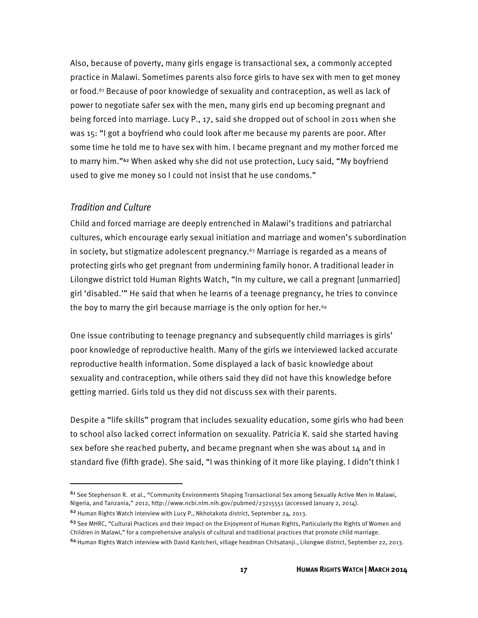Also, because of poverty, many girls engage is transactional sex, a commonly accepted practice in Malawi. Sometimes parents also force girls to have sex with men to get money or food.61 Because of poor knowledge of sexuality and contraception, as well as lack of power to negotiate safer sex with the men, many girls end up becoming pregnant and being forced into marriage. Lucy P., 17, said she dropped out of school in 2011 when she was 15: "I got a boyfriend who could look after me because my parents are poor. After some time he told me to have sex with him. I became pregnant and my mother forced me to marry him."62 When asked why she did not use protection, Lucy said, "My boyfriend used to give me money so I could not insist that he use condoms."

#### Tradition and Culture

 $\overline{a}$ 

Child and forced marriage are deeply entrenched in Malawi's traditions and patriarchal cultures, which encourage early sexual initiation and marriage and women's subordination in society, but stigmatize adolescent pregnancy. $63$  Marriage is regarded as a means of protecting girls who get pregnant from undermining family honor. A traditional leader in Lilongwe district told Human Rights Watch, "In my culture, we call a pregnant [unmarried] girl 'disabled.'" He said that when he learns of a teenage pregnancy, he tries to convince the boy to marry the girl because marriage is the only option for her.<sup>64</sup>

One issue contributing to teenage pregnancy and subsequently child marriages is girls' poor knowledge of reproductive health. Many of the girls we interviewed lacked accurate reproductive health information. Some displayed a lack of basic knowledge about sexuality and contraception, while others said they did not have this knowledge before getting married. Girls told us they did not discuss sex with their parents.

Despite a "life skills" program that includes sexuality education, some girls who had been to school also lacked correct information on sexuality. Patricia K. said she started having sex before she reached puberty, and became pregnant when she was about 14 and in standard five (fifth grade). She said, "I was thinking of it more like playing. I didn't think I

<sup>61</sup> See Stephenson R. et al., "Community Environments Shaping Transactional Sex among Sexually Active Men in Malawi, Nigeria, and Tanzania," 2012, http://www.ncbi.nlm.nih.gov/pubmed/23215551 (accessed January 2, 2014).

<sup>62</sup> Human Rights Watch interview with Lucy P., Nkhotakota district, September 24, 2013.

<sup>&</sup>lt;sup>63</sup> See MHRC, "Cultural Practices and their Impact on the Enjoyment of Human Rights, Particularly the Rights of Women and Children in Malawi," for a comprehensive analysis of cultural and traditional practices that promote child marriage.

<sup>64</sup> Human Rights Watch interview with David Kantcheri, village headman Chitsatanji., Lilongwe district, September 22, 2013.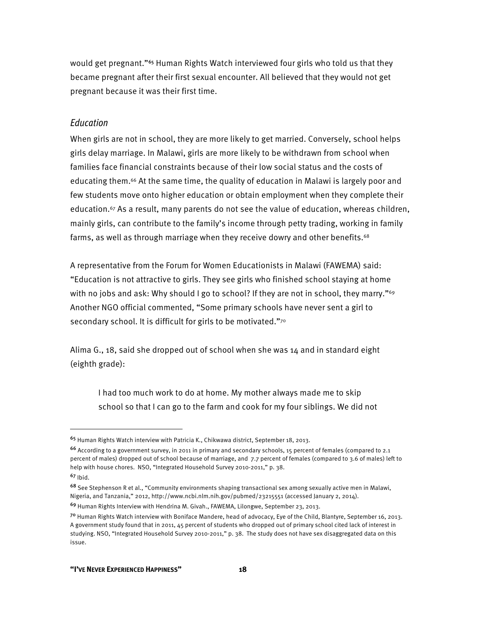would get pregnant."<sup>65</sup> Human Rights Watch interviewed four girls who told us that they became pregnant after their first sexual encounter. All believed that they would not get pregnant because it was their first time.

#### Education

When girls are not in school, they are more likely to get married. Conversely, school helps girls delay marriage. In Malawi, girls are more likely to be withdrawn from school when families face financial constraints because of their low social status and the costs of educating them.66 At the same time, the quality of education in Malawi is largely poor and few students move onto higher education or obtain employment when they complete their education.67 As a result, many parents do not see the value of education, whereas children, mainly girls, can contribute to the family's income through petty trading, working in family farms, as well as through marriage when they receive dowry and other benefits.<sup>68</sup>

A representative from the Forum for Women Educationists in Malawi (FAWEMA) said: "Education is not attractive to girls. They see girls who finished school staying at home with no jobs and ask: Why should I go to school? If they are not in school, they marry."<sup>69</sup> Another NGO official commented, "Some primary schools have never sent a girl to secondary school. It is difficult for girls to be motivated."70

Alima G., 18, said she dropped out of school when she was 14 and in standard eight (eighth grade):

I had too much work to do at home. My mother always made me to skip school so that I can go to the farm and cook for my four siblings. We did not

<sup>65</sup> Human Rights Watch interview with Patricia K., Chikwawa district, September 18, 2013.

<sup>66</sup> According to a government survey, in 2011 in primary and secondary schools, 15 percent of females (compared to 2.1 percent of males) dropped out of school because of marriage, and 7.7 percent of females (compared t0 3.6 of males) left to help with house chores. NSO, "Integrated Household Survey 2010-2011," p. 38.

<sup>67</sup> Ibid.

<sup>68</sup> See Stephenson R et al., "Community environments shaping transactional sex among sexually active men in Malawi, Nigeria, and Tanzania," 2012, http://www.ncbi.nlm.nih.gov/pubmed/23215551 (accessed January 2, 2014).

<sup>69</sup> Human Rights Interview with Hendrina M. Givah., FAWEMA, Lilongwe, September 23, 2013.

<sup>70</sup> Human Rights Watch interview with Boniface Mandere, head of advocacy, Eye of the Child, Blantyre, September 16, 2013. A government study found that in 2011, 45 percent of students who dropped out of primary school cited lack of interest in studying. NSO, "Integrated Household Survey 2010-2011," p. 38. The study does not have sex disaggregated data on this issue.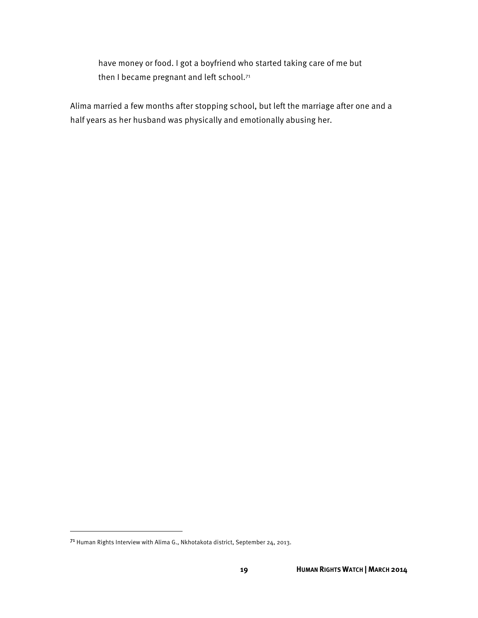have money or food. I got a boyfriend who started taking care of me but then I became pregnant and left school.<sup>71</sup>

Alima married a few months after stopping school, but left the marriage after one and a half years as her husband was physically and emotionally abusing her.

<sup>71</sup> Human Rights Interview with Alima G., Nkhotakota district, September 24, 2013.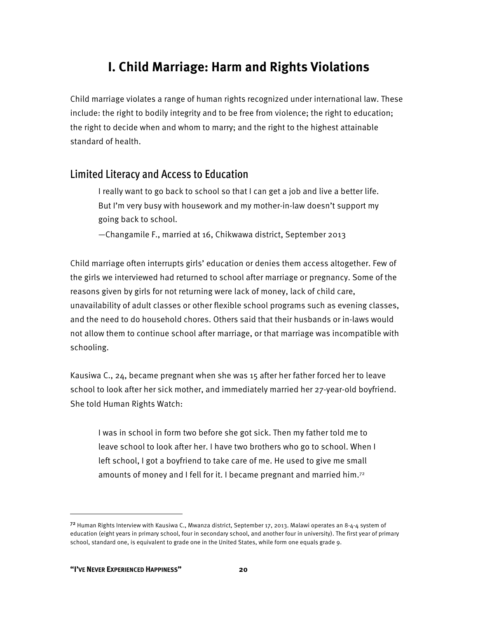## **I. Child Marriage: Harm and Rights Violations**

Child marriage violates a range of human rights recognized under international law. These include: the right to bodily integrity and to be free from violence; the right to education; the right to decide when and whom to marry; and the right to the highest attainable standard of health.

#### Limited Literacy and Access to Education

I really want to go back to school so that I can get a job and live a better life. But I'm very busy with housework and my mother-in-law doesn't support my going back to school.

—Changamile F., married at 16, Chikwawa district, September 2013

Child marriage often interrupts girls' education or denies them access altogether. Few of the girls we interviewed had returned to school after marriage or pregnancy. Some of the reasons given by girls for not returning were lack of money, lack of child care, unavailability of adult classes or other flexible school programs such as evening classes, and the need to do household chores. Others said that their husbands or in-laws would not allow them to continue school after marriage, or that marriage was incompatible with schooling.

Kausiwa C., 24, became pregnant when she was 15 after her father forced her to leave school to look after her sick mother, and immediately married her 27-year-old boyfriend. She told Human Rights Watch:

I was in school in form two before she got sick. Then my father told me to leave school to look after her. I have two brothers who go to school. When I left school, I got a boyfriend to take care of me. He used to give me small amounts of money and I fell for it. I became pregnant and married him.72

 $72$  Human Rights Interview with Kausiwa C., Mwanza district, September 17, 2013. Malawi operates an 8-4-4 system of education (eight years in primary school, four in secondary school, and another four in university). The first year of primary school, standard one, is equivalent to grade one in the United States, while form one equals grade 9.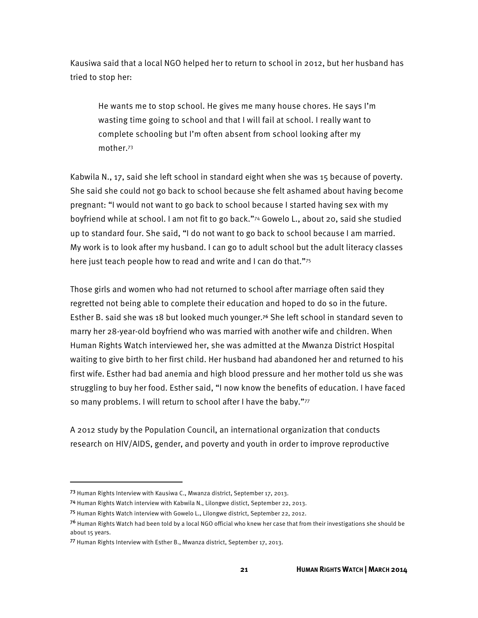Kausiwa said that a local NGO helped her to return to school in 2012, but her husband has tried to stop her:

He wants me to stop school. He gives me many house chores. He says I'm wasting time going to school and that I will fail at school. I really want to complete schooling but I'm often absent from school looking after my mother.73

Kabwila N., 17, said she left school in standard eight when she was 15 because of poverty. She said she could not go back to school because she felt ashamed about having become pregnant: "I would not want to go back to school because I started having sex with my boyfriend while at school. I am not fit to go back."74 Gowelo L., about 20, said she studied up to standard four. She said, "I do not want to go back to school because I am married. My work is to look after my husband. I can go to adult school but the adult literacy classes here just teach people how to read and write and I can do that."75

Those girls and women who had not returned to school after marriage often said they regretted not being able to complete their education and hoped to do so in the future. Esther B. said she was 18 but looked much younger.76 She left school in standard seven to marry her 28-year-old boyfriend who was married with another wife and children. When Human Rights Watch interviewed her, she was admitted at the Mwanza District Hospital waiting to give birth to her first child. Her husband had abandoned her and returned to his first wife. Esther had bad anemia and high blood pressure and her mother told us she was struggling to buy her food. Esther said, "I now know the benefits of education. I have faced so many problems. I will return to school after I have the baby."77

A 2012 study by the Population Council, an international organization that conducts research on HIV/AIDS, gender, and poverty and youth in order to improve reproductive

<sup>73</sup> Human Rights Interview with Kausiwa C., Mwanza district, September 17, 2013.

<sup>74</sup> Human Rights Watch interview with Kabwila N., Lilongwe distict, September 22, 2013.

<sup>75</sup> Human Rights Watch interview with Gowelo L., Lilongwe district, September 22, 2012.

<sup>&</sup>lt;sup>76</sup> Human Rights Watch had been told by a local NGO official who knew her case that from their investigations she should be about 15 years.

<sup>77</sup> Human Rights Interview with Esther B., Mwanza district, September 17, 2013.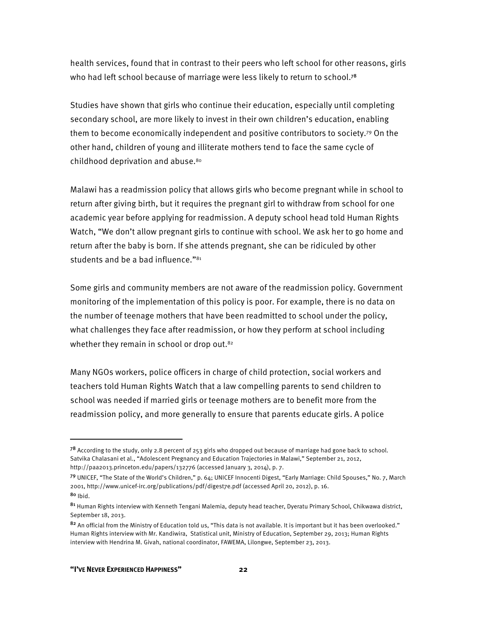health services, found that in contrast to their peers who left school for other reasons, girls who had left school because of marriage were less likely to return to school.<sup>78</sup>

Studies have shown that girls who continue their education, especially until completing secondary school, are more likely to invest in their own children's education, enabling them to become economically independent and positive contributors to society.79 On the other hand, children of young and illiterate mothers tend to face the same cycle of childhood deprivation and abuse.<sup>80</sup>

Malawi has a readmission policy that allows girls who become pregnant while in school to return after giving birth, but it requires the pregnant girl to withdraw from school for one academic year before applying for readmission. A deputy school head told Human Rights Watch, "We don't allow pregnant girls to continue with school. We ask her to go home and return after the baby is born. If she attends pregnant, she can be ridiculed by other students and be a bad influence."81

Some girls and community members are not aware of the readmission policy. Government monitoring of the implementation of this policy is poor. For example, there is no data on the number of teenage mothers that have been readmitted to school under the policy, what challenges they face after readmission, or how they perform at school including whether they remain in school or drop out.<sup>82</sup>

Many NGOs workers, police officers in charge of child protection, social workers and teachers told Human Rights Watch that a law compelling parents to send children to school was needed if married girls or teenage mothers are to benefit more from the readmission policy, and more generally to ensure that parents educate girls. A police

l

<sup>&</sup>lt;sup>78</sup> According to the study, only 2.8 percent of 253 girls who dropped out because of marriage had gone back to school. Satvika Chalasani et al., "Adolescent Pregnancy and Education Trajectories in Malawi," September 21, 2012, http://paa2013.princeton.edu/papers/132776 (accessed January 3, 2014), p. 7.

<sup>79</sup> UNICEF, "The State of the World's Children," p. 64; UNICEF Innocenti Digest, "Early Marriage: Child Spouses," No. 7, March 2001, http://www.unicef-irc.org/publications/pdf/digest7e.pdf (accessed April 20, 2012), p. 16. <sup>80</sup> Ibid.

<sup>81</sup> Human Rights interview with Kenneth Tengani Malemia, deputy head teacher, Dyeratu Primary School, Chikwawa district, September 18, 2013.

<sup>82</sup> An official from the Ministry of Education told us, "This data is not available. It is important but it has been overlooked." Human Rights interview with Mr. Kandiwira, Statistical unit, Ministry of Education, September 29, 2013; Human Rights interview with Hendrina M. Givah, national coordinator, FAWEMA, Lilongwe, September 23, 2013.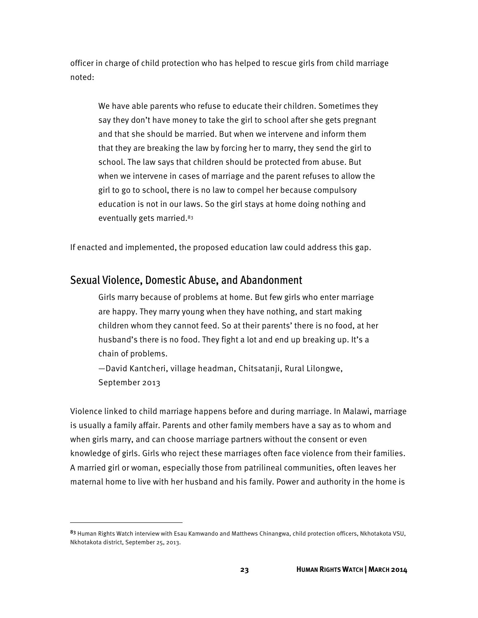officer in charge of child protection who has helped to rescue girls from child marriage noted:

We have able parents who refuse to educate their children. Sometimes they say they don't have money to take the girl to school after she gets pregnant and that she should be married. But when we intervene and inform them that they are breaking the law by forcing her to marry, they send the girl to school. The law says that children should be protected from abuse. But when we intervene in cases of marriage and the parent refuses to allow the girl to go to school, there is no law to compel her because compulsory education is not in our laws. So the girl stays at home doing nothing and eventually gets married.83

If enacted and implemented, the proposed education law could address this gap.

### Sexual Violence, Domestic Abuse, and Abandonment

**.** 

Girls marry because of problems at home. But few girls who enter marriage are happy. They marry young when they have nothing, and start making children whom they cannot feed. So at their parents' there is no food, at her husband's there is no food. They fight a lot and end up breaking up. It's a chain of problems.

—David Kantcheri, village headman, Chitsatanji, Rural Lilongwe, September 2013

Violence linked to child marriage happens before and during marriage. In Malawi, marriage is usually a family affair. Parents and other family members have a say as to whom and when girls marry, and can choose marriage partners without the consent or even knowledge of girls. Girls who reject these marriages often face violence from their families. A married girl or woman, especially those from patrilineal communities, often leaves her maternal home to live with her husband and his family. Power and authority in the home is

<sup>83</sup> Human Rights Watch interview with Esau Kamwando and Matthews Chinangwa, child protection officers, Nkhotakota VSU, Nkhotakota district, September 25, 2013.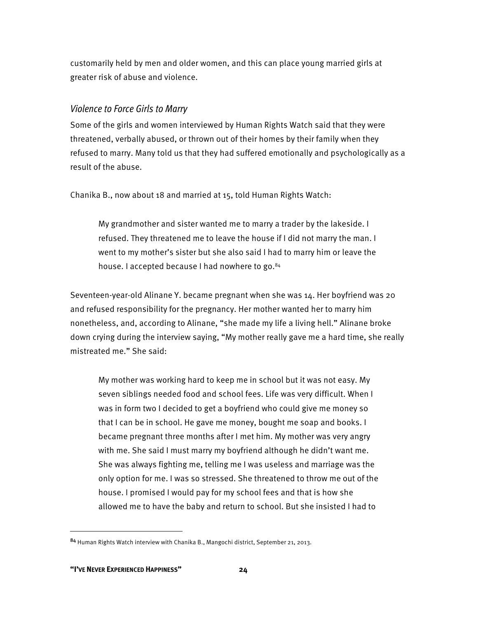customarily held by men and older women, and this can place young married girls at greater risk of abuse and violence.

#### Violence to Force Girls to Marry

Some of the girls and women interviewed by Human Rights Watch said that they were threatened, verbally abused, or thrown out of their homes by their family when they refused to marry. Many told us that they had suffered emotionally and psychologically as a result of the abuse.

Chanika B., now about 18 and married at 15, told Human Rights Watch:

My grandmother and sister wanted me to marry a trader by the lakeside. I refused. They threatened me to leave the house if I did not marry the man. I went to my mother's sister but she also said I had to marry him or leave the house. I accepted because I had nowhere to go.<sup>84</sup>

Seventeen-year-old Alinane Y. became pregnant when she was 14. Her boyfriend was 20 and refused responsibility for the pregnancy. Her mother wanted her to marry him nonetheless, and, according to Alinane, "she made my life a living hell." Alinane broke down crying during the interview saying, "My mother really gave me a hard time, she really mistreated me." She said:

My mother was working hard to keep me in school but it was not easy. My seven siblings needed food and school fees. Life was very difficult. When I was in form two I decided to get a boyfriend who could give me money so that I can be in school. He gave me money, bought me soap and books. I became pregnant three months after I met him. My mother was very angry with me. She said I must marry my boyfriend although he didn't want me. She was always fighting me, telling me I was useless and marriage was the only option for me. I was so stressed. She threatened to throw me out of the house. I promised I would pay for my school fees and that is how she allowed me to have the baby and return to school. But she insisted I had to

<sup>84</sup> Human Rights Watch interview with Chanika B., Mangochi district, September 21, 2013.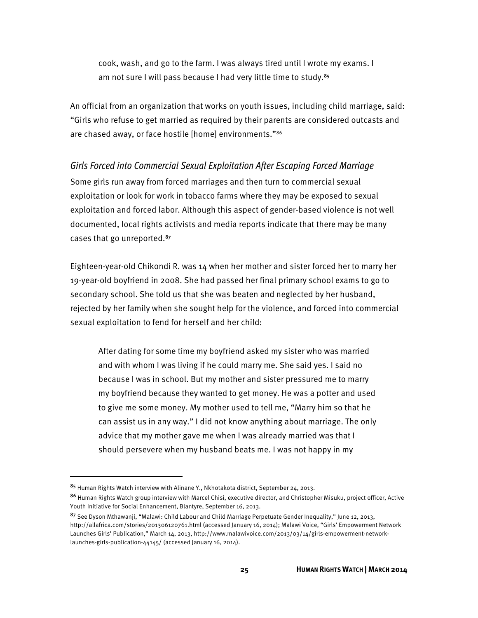cook, wash, and go to the farm. I was always tired until I wrote my exams. I am not sure I will pass because I had very little time to study.<sup>85</sup>

An official from an organization that works on youth issues, including child marriage, said: "Girls who refuse to get married as required by their parents are considered outcasts and are chased away, or face hostile [home] environments."86

#### Girls Forced into Commercial Sexual Exploitation After Escaping Forced Marriage

Some girls run away from forced marriages and then turn to commercial sexual exploitation or look for work in tobacco farms where they may be exposed to sexual exploitation and forced labor. Although this aspect of gender-based violence is not well documented, local rights activists and media reports indicate that there may be many cases that go unreported.<sup>87</sup>

Eighteen-year-old Chikondi R. was 14 when her mother and sister forced her to marry her 19-year-old boyfriend in 2008. She had passed her final primary school exams to go to secondary school. She told us that she was beaten and neglected by her husband, rejected by her family when she sought help for the violence, and forced into commercial sexual exploitation to fend for herself and her child:

After dating for some time my boyfriend asked my sister who was married and with whom I was living if he could marry me. She said yes. I said no because I was in school. But my mother and sister pressured me to marry my boyfriend because they wanted to get money. He was a potter and used to give me some money. My mother used to tell me, "Marry him so that he can assist us in any way." I did not know anything about marriage. The only advice that my mother gave me when I was already married was that I should persevere when my husband beats me. I was not happy in my

<u>.</u>

<sup>85</sup> Human Rights Watch interview with Alinane Y., Nkhotakota district, September 24, 2013.

<sup>86</sup> Human Rights Watch group interview with Marcel Chisi, executive director, and Christopher Misuku, project officer, Active Youth Initiative for Social Enhancement, Blantyre, September 16, 2013.

<sup>87</sup> See Dyson Mthawanji, "Malawi: Child Labour and Child Marriage Perpetuate Gender Inequality," June 12, 2013, http://allafrica.com/stories/201306120761.html (accessed January 16, 2014); Malawi Voice, "Girls' Empowerment Network Launches Girls' Publication," March 14, 2013, http://www.malawivoice.com/2013/03/14/girls-empowerment-networklaunches-girls-publication-44145/ (accessed January 16, 2014).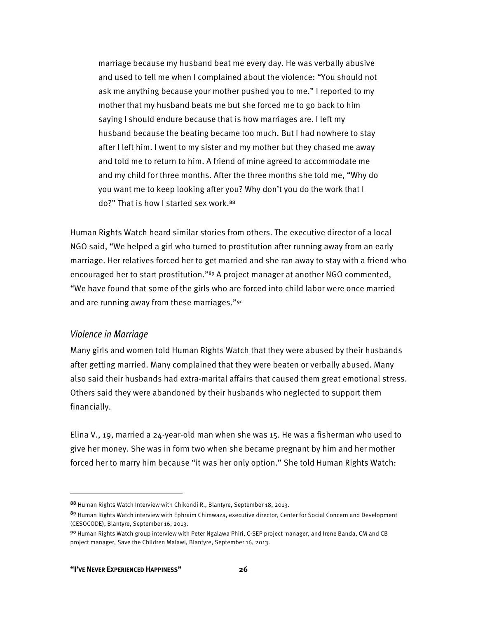marriage because my husband beat me every day. He was verbally abusive and used to tell me when I complained about the violence: "You should not ask me anything because your mother pushed you to me." I reported to my mother that my husband beats me but she forced me to go back to him saying I should endure because that is how marriages are. I left my husband because the beating became too much. But I had nowhere to stay after I left him. I went to my sister and my mother but they chased me away and told me to return to him. A friend of mine agreed to accommodate me and my child for three months. After the three months she told me, "Why do you want me to keep looking after you? Why don't you do the work that I do?" That is how I started sex work.<sup>88</sup>

Human Rights Watch heard similar stories from others. The executive director of a local NGO said, "We helped a girl who turned to prostitution after running away from an early marriage. Her relatives forced her to get married and she ran away to stay with a friend who encouraged her to start prostitution."<sup>89</sup> A project manager at another NGO commented, "We have found that some of the girls who are forced into child labor were once married and are running away from these marriages."90

#### Violence in Marriage

Many girls and women told Human Rights Watch that they were abused by their husbands after getting married. Many complained that they were beaten or verbally abused. Many also said their husbands had extra-marital affairs that caused them great emotional stress. Others said they were abandoned by their husbands who neglected to support them financially.

Elina V., 19, married a 24-year-old man when she was 15. He was a fisherman who used to give her money. She was in form two when she became pregnant by him and her mother forced her to marry him because "it was her only option." She told Human Rights Watch:

**.** 

<sup>88</sup> Human Rights Watch Interview with Chikondi R., Blantyre, September 18, 2013.

<sup>89</sup> Human Rights Watch interview with Ephraim Chimwaza, executive director, Center for Social Concern and Development (CESOCODE), Blantyre, September 16, 2013.

<sup>90</sup> Human Rights Watch group interview with Peter Ngalawa Phiri, C-SEP project manager, and Irene Banda, CM and CB project manager, Save the Children Malawi, Blantyre, September 16, 2013.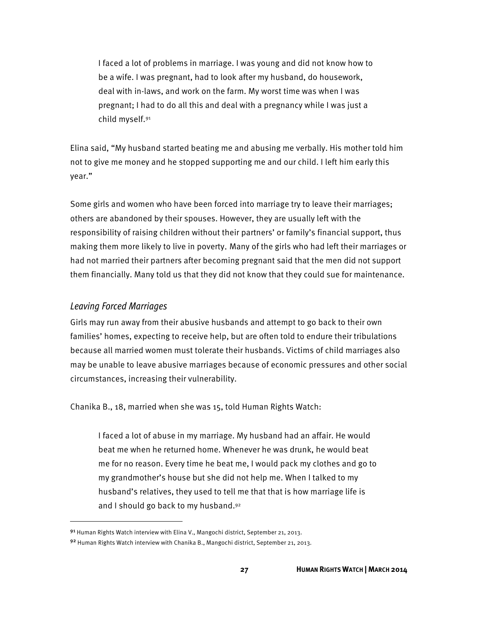I faced a lot of problems in marriage. I was young and did not know how to be a wife. I was pregnant, had to look after my husband, do housework, deal with in-laws, and work on the farm. My worst time was when I was pregnant; I had to do all this and deal with a pregnancy while I was just a child myself.91

Elina said, "My husband started beating me and abusing me verbally. His mother told him not to give me money and he stopped supporting me and our child. I left him early this year."

Some girls and women who have been forced into marriage try to leave their marriages; others are abandoned by their spouses. However, they are usually left with the responsibility of raising children without their partners' or family's financial support, thus making them more likely to live in poverty. Many of the girls who had left their marriages or had not married their partners after becoming pregnant said that the men did not support them financially. Many told us that they did not know that they could sue for maintenance.

#### Leaving Forced Marriages

 $\overline{\phantom{a}}$ 

Girls may run away from their abusive husbands and attempt to go back to their own families' homes, expecting to receive help, but are often told to endure their tribulations because all married women must tolerate their husbands. Victims of child marriages also may be unable to leave abusive marriages because of economic pressures and other social circumstances, increasing their vulnerability.

Chanika B., 18, married when she was 15, told Human Rights Watch:

I faced a lot of abuse in my marriage. My husband had an affair. He would beat me when he returned home. Whenever he was drunk, he would beat me for no reason. Every time he beat me, I would pack my clothes and go to my grandmother's house but she did not help me. When I talked to my husband's relatives, they used to tell me that that is how marriage life is and I should go back to my husband.92

<sup>9&</sup>lt;sup>1</sup> Human Rights Watch interview with Elina V., Mangochi district, September 21, 2013.

<sup>92</sup> Human Rights Watch interview with Chanika B., Mangochi district, September 21, 2013.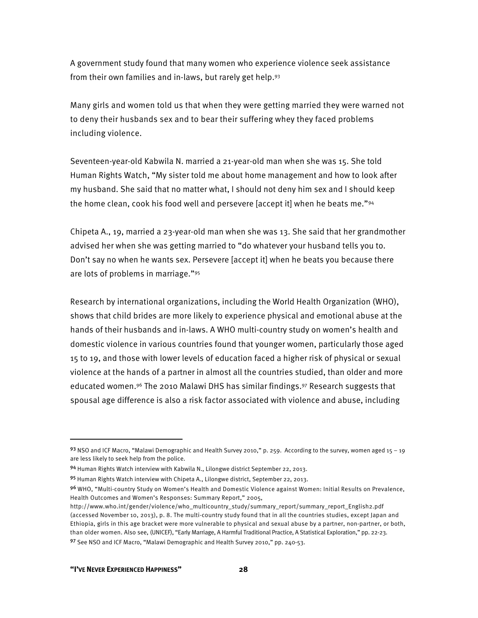A government study found that many women who experience violence seek assistance from their own families and in-laws, but rarely get help.93

Many girls and women told us that when they were getting married they were warned not to deny their husbands sex and to bear their suffering whey they faced problems including violence.

Seventeen-year-old Kabwila N. married a 21-year-old man when she was 15. She told Human Rights Watch, "My sister told me about home management and how to look after my husband. She said that no matter what, I should not deny him sex and I should keep the home clean, cook his food well and persevere [accept it] when he beats me."94

Chipeta A., 19, married a 23-year-old man when she was 13. She said that her grandmother advised her when she was getting married to "do whatever your husband tells you to. Don't say no when he wants sex. Persevere [accept it] when he beats you because there are lots of problems in marriage."95

Research by international organizations, including the World Health Organization (WHO), shows that child brides are more likely to experience physical and emotional abuse at the hands of their husbands and in-laws. A WHO multi-country study on women's health and domestic violence in various countries found that younger women, particularly those aged 15 to 19, and those with lower levels of education faced a higher risk of physical or sexual violence at the hands of a partner in almost all the countries studied, than older and more educated women.96 The 2010 Malawi DHS has similar findings.97 Research suggests that spousal age difference is also a risk factor associated with violence and abuse, including

l

<sup>93</sup> NSO and ICF Macro, "Malawi Demographic and Health Survey 2010," p. 259. According to the survey, women aged 15 - 19 are less likely to seek help from the police.

<sup>94</sup> Human Rights Watch interview with Kabwila N., Lilongwe district September 22, 2013.

<sup>95</sup> Human Rights Watch interview with Chipeta A., Lilongwe district, September 22, 2013.

<sup>96</sup> WHO, "Multi-country Study on Women's Health and Domestic Violence against Women: Initial Results on Prevalence, Health Outcomes and Women's Responses: Summary Report," 2005,

http://www.who.int/gender/violence/who\_multicountry\_study/summary\_report/summary\_report\_English2.pdf (accessed November 10, 2013), p. 8. The multi-country study found that in all the countries studies, except Japan and Ethiopia, girls in this age bracket were more vulnerable to physical and sexual abuse by a partner, non-partner, or both, than older women. Also see, (UNICEF), "Early Marriage, A Harmful Traditional Practice, A Statistical Exploration," pp. 22-23. <sup>97</sup> See NSO and ICF Macro, "Malawi Demographic and Health Survey 2010," pp. 240-53.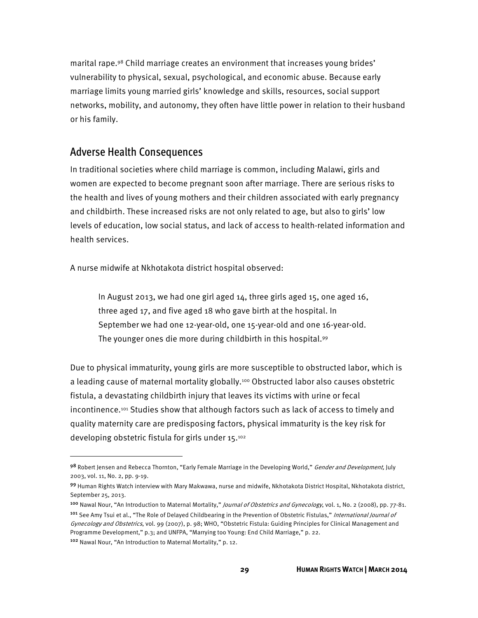marital rape.98 Child marriage creates an environment that increases young brides' vulnerability to physical, sexual, psychological, and economic abuse. Because early marriage limits young married girls' knowledge and skills, resources, social support networks, mobility, and autonomy, they often have little power in relation to their husband or his family.

#### Adverse Health Consequences

In traditional societies where child marriage is common, including Malawi, girls and women are expected to become pregnant soon after marriage. There are serious risks to the health and lives of young mothers and their children associated with early pregnancy and childbirth. These increased risks are not only related to age, but also to girls' low levels of education, low social status, and lack of access to health-related information and health services.

A nurse midwife at Nkhotakota district hospital observed:

In August 2013, we had one girl aged 14, three girls aged 15, one aged 16, three aged 17, and five aged 18 who gave birth at the hospital. In September we had one 12-year-old, one 15-year-old and one 16-year-old. The younger ones die more during childbirth in this hospital.99

Due to physical immaturity, young girls are more susceptible to obstructed labor, which is a leading cause of maternal mortality globally.<sup>100</sup> Obstructed labor also causes obstetric fistula, a devastating childbirth injury that leaves its victims with urine or fecal incontinence.<sup>101</sup> Studies show that although factors such as lack of access to timely and quality maternity care are predisposing factors, physical immaturity is the key risk for developing obstetric fistula for girls under 15.102

<sup>102</sup> Nawal Nour, "An Introduction to Maternal Mortality," p. 12.

**.** 

<sup>98</sup> Robert Jensen and Rebecca Thornton, "Early Female Marriage in the Developing World," Gender and Development, July 2003, vol. 11, No. 2, pp. 9-19.

<sup>99</sup> Human Rights Watch interview with Mary Makwawa, nurse and midwife, Nkhotakota District Hospital, Nkhotakota district, September 25, 2013.

<sup>100</sup> Nawal Nour, "An Introduction to Maternal Mortality," *Journal of Obstetrics and Gynecology*, vol. 1, No. 2 (2008), pp. 77-81.

<sup>&</sup>lt;sup>101</sup> See Amy Tsui et al., "The Role of Delayed Childbearing in the Prevention of Obstetric Fistulas," International Journal of Gynecology and Obstetrics, vol. 99 (2007), p. 98; WHO, "Obstetric Fistula: Guiding Principles for Clinical Management and Programme Development," p.3; and UNFPA, "Marrying too Young: End Child Marriage," p. 22.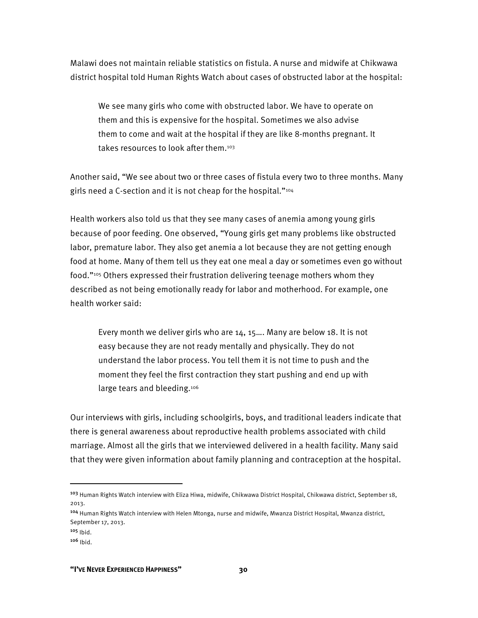Malawi does not maintain reliable statistics on fistula. A nurse and midwife at Chikwawa district hospital told Human Rights Watch about cases of obstructed labor at the hospital:

We see many girls who come with obstructed labor. We have to operate on them and this is expensive for the hospital. Sometimes we also advise them to come and wait at the hospital if they are like 8-months pregnant. It takes resources to look after them.103

Another said, "We see about two or three cases of fistula every two to three months. Many girls need a C-section and it is not cheap for the hospital."104

Health workers also told us that they see many cases of anemia among young girls because of poor feeding. One observed, "Young girls get many problems like obstructed labor, premature labor. They also get anemia a lot because they are not getting enough food at home. Many of them tell us they eat one meal a day or sometimes even go without food."105 Others expressed their frustration delivering teenage mothers whom they described as not being emotionally ready for labor and motherhood. For example, one health worker said:

Every month we deliver girls who are 14, 15…. Many are below 18. It is not easy because they are not ready mentally and physically. They do not understand the labor process. You tell them it is not time to push and the moment they feel the first contraction they start pushing and end up with large tears and bleeding.<sup>106</sup>

Our interviews with girls, including schoolgirls, boys, and traditional leaders indicate that there is general awareness about reproductive health problems associated with child marriage. Almost all the girls that we interviewed delivered in a health facility. Many said that they were given information about family planning and contraception at the hospital.

l

<sup>103</sup> Human Rights Watch interview with Eliza Hiwa, midwife, Chikwawa District Hospital, Chikwawa district, September 18, 2013.

<sup>104</sup> Human Rights Watch interview with Helen Mtonga, nurse and midwife, Mwanza District Hospital, Mwanza district, September 17, 2013.

 $105$  Ibid.

 $106$  Ibid.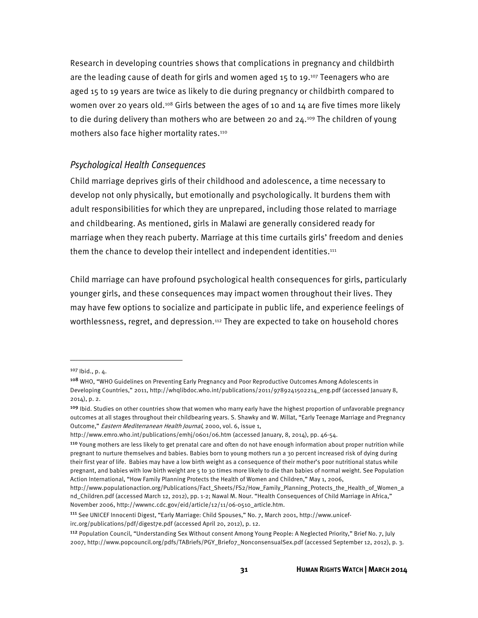Research in developing countries shows that complications in pregnancy and childbirth are the leading cause of death for girls and women aged 15 to 19.<sup>107</sup> Teenagers who are aged 15 to 19 years are twice as likely to die during pregnancy or childbirth compared to women over 20 years old.<sup>108</sup> Girls between the ages of 10 and 14 are five times more likely to die during delivery than mothers who are between 20 and  $24.109$  The children of young mothers also face higher mortality rates.110

### Psychological Health Consequences

Child marriage deprives girls of their childhood and adolescence, a time necessary to develop not only physically, but emotionally and psychologically. It burdens them with adult responsibilities for which they are unprepared, including those related to marriage and childbearing. As mentioned, girls in Malawi are generally considered ready for marriage when they reach puberty. Marriage at this time curtails girls' freedom and denies them the chance to develop their intellect and independent identities.<sup>111</sup>

Child marriage can have profound psychological health consequences for girls, particularly younger girls, and these consequences may impact women throughout their lives. They may have few options to socialize and participate in public life, and experience feelings of worthlessness, regret, and depression.<sup>112</sup> They are expected to take on household chores

 $107$  Ibid., p.  $4.$ 

<sup>108</sup> WHO, "WHO Guidelines on Preventing Early Pregnancy and Poor Reproductive Outcomes Among Adolescents in Developing Countries," 2011, http://whqlibdoc.who.int/publications/2011/9789241502214\_eng.pdf (accessed January 8, 2014), p. 2.

<sup>&</sup>lt;sup>109</sup> Ibid. Studies on other countries show that women who marry early have the highest proportion of unfavorable pregnancy outcomes at all stages throughout their childbearing years. S. Shawky and W. Millat, "Early Teenage Marriage and Pregnancy Outcome," Eastern Mediterranean Health Journal, 2000, vol. 6, issue 1,

http://www.emro.who.int/publications/emhj/0601/06.htm (accessed January, 8, 2014), pp. 46-54.

<sup>110</sup> Young mothers are less likely to get prenatal care and often do not have enough information about proper nutrition while pregnant to nurture themselves and babies. Babies born to young mothers run a 30 percent increased risk of dying during their first year of life. Babies may have a low birth weight as a consequence of their mother's poor nutritional status while pregnant, and babies with low birth weight are 5 to 30 times more likely to die than babies of normal weight. See Population Action International, "How Family Planning Protects the Health of Women and Children," May 1, 2006,

http://www.populationaction.org/Publications/Fact\_Sheets/FS2/How\_Family\_Planning\_Protects\_the\_Health\_of\_Women\_a nd\_Children.pdf (accessed March 12, 2012), pp. 1-2; Nawal M. Nour. "Health Consequences of Child Marriage in Africa," November 2006, http://wwwnc.cdc.gov/eid/article/12/11/06-0510\_article.htm.

<sup>111</sup> See UNICEF Innocenti Digest, "Early Marriage: Child Spouses," No. 7, March 2001, http://www.unicefirc.org/publications/pdf/digest7e.pdf (accessed April 20, 2012), p. 12.

<sup>112</sup> Population Council, "Understanding Sex Without consent Among Young People: A Neglected Priority," Brief No. 7, July 2007, http://www.popcouncil.org/pdfs/TABriefs/PGY\_Brief07\_NonconsensualSex.pdf (accessed September 12, 2012), p. 3.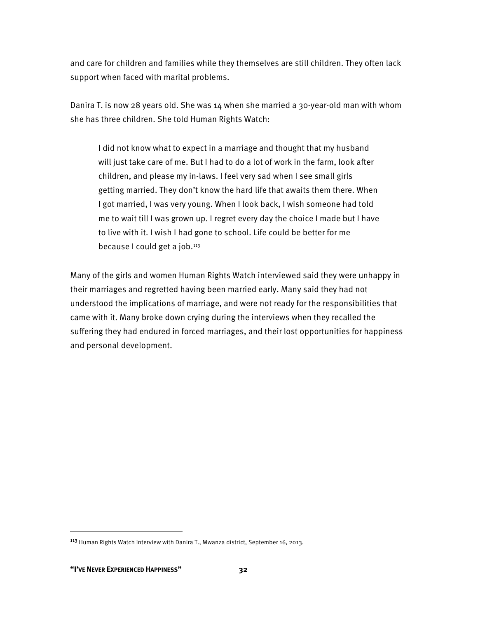and care for children and families while they themselves are still children. They often lack support when faced with marital problems.

Danira T. is now 28 years old. She was 14 when she married a 30-year-old man with whom she has three children. She told Human Rights Watch:

I did not know what to expect in a marriage and thought that my husband will just take care of me. But I had to do a lot of work in the farm, look after children, and please my in-laws. I feel very sad when I see small girls getting married. They don't know the hard life that awaits them there. When I got married, I was very young. When I look back, I wish someone had told me to wait till I was grown up. I regret every day the choice I made but I have to live with it. I wish I had gone to school. Life could be better for me because I could get a job.113

Many of the girls and women Human Rights Watch interviewed said they were unhappy in their marriages and regretted having been married early. Many said they had not understood the implications of marriage, and were not ready for the responsibilities that came with it. Many broke down crying during the interviews when they recalled the suffering they had endured in forced marriages, and their lost opportunities for happiness and personal development.

<sup>113</sup> Human Rights Watch interview with Danira T., Mwanza district, September 16, 2013.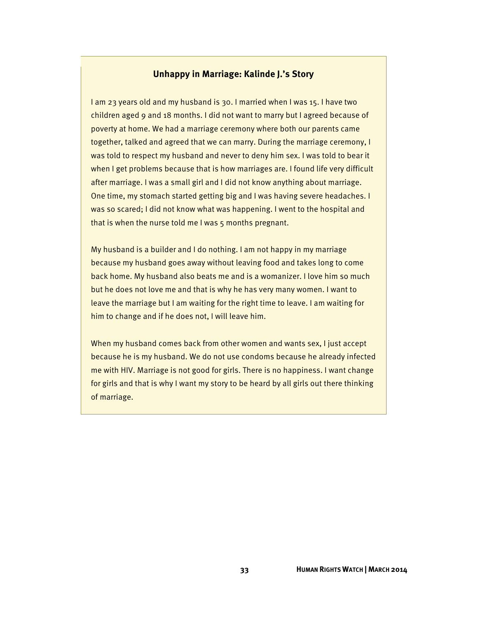### **Unhappy in Marriage: Kalinde J.'s Story**

I am 23 years old and my husband is 30. I married when I was 15. I have two children aged 9 and 18 months. I did not want to marry but I agreed because of poverty at home. We had a marriage ceremony where both our parents came together, talked and agreed that we can marry. During the marriage ceremony, I was told to respect my husband and never to deny him sex. I was told to bear it when I get problems because that is how marriages are. I found life very difficult after marriage. I was a small girl and I did not know anything about marriage. One time, my stomach started getting big and I was having severe headaches. I was so scared; I did not know what was happening. I went to the hospital and that is when the nurse told me I was 5 months pregnant.

My husband is a builder and I do nothing. I am not happy in my marriage because my husband goes away without leaving food and takes long to come back home. My husband also beats me and is a womanizer. I love him so much but he does not love me and that is why he has very many women. I want to leave the marriage but I am waiting for the right time to leave. I am waiting for him to change and if he does not, I will leave him.

When my husband comes back from other women and wants sex, I just accept because he is my husband. We do not use condoms because he already infected me with HIV. Marriage is not good for girls. There is no happiness. I want change for girls and that is why I want my story to be heard by all girls out there thinking of marriage.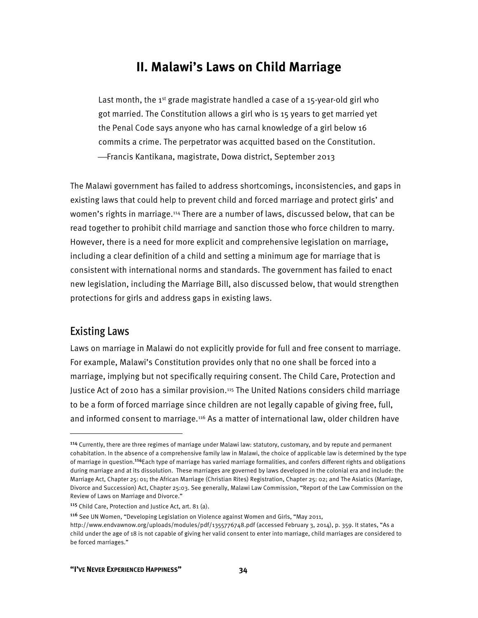# **II. Malawi's Laws on Child Marriage**

Last month, the  $1^{st}$  grade magistrate handled a case of a  $15$ -year-old girl who got married. The Constitution allows a girl who is 15 years to get married yet the Penal Code says anyone who has carnal knowledge of a girl below 16 commits a crime. The perpetrator was acquitted based on the Constitution. ⎯Francis Kantikana, magistrate, Dowa district, September 2013

The Malawi government has failed to address shortcomings, inconsistencies, and gaps in existing laws that could help to prevent child and forced marriage and protect girls' and women's rights in marriage.114 There are a number of laws, discussed below, that can be read together to prohibit child marriage and sanction those who force children to marry. However, there is a need for more explicit and comprehensive legislation on marriage, including a clear definition of a child and setting a minimum age for marriage that is consistent with international norms and standards. The government has failed to enact new legislation, including the Marriage Bill, also discussed below, that would strengthen protections for girls and address gaps in existing laws.

### Existing Laws

**.** 

Laws on marriage in Malawi do not explicitly provide for full and free consent to marriage. For example, Malawi's Constitution provides only that no one shall be forced into a marriage, implying but not specifically requiring consent. The Child Care, Protection and Justice Act of 2010 has a similar provision.<sup>115</sup> The United Nations considers child marriage to be a form of forced marriage since children are not legally capable of giving free, full, and informed consent to marriage.116 As a matter of international law, older children have

<sup>116</sup> See UN Women, "Developing Legislation on Violence against Women and Girls, "May 2011,

<sup>114</sup> Currently, there are three regimes of marriage under Malawi law: statutory, customary, and by repute and permanent cohabitation. In the absence of a comprehensive family law in Malawi, the choice of applicable law is determined by the type of marriage in question.<sup>114</sup>Each type of marriage has varied marriage formalities, and confers different rights and obligations during marriage and at its dissolution. These marriages are governed by laws developed in the colonial era and include: the Marriage Act, Chapter 25: 01; the African Marriage (Christian Rites) Registration, Chapter 25: 02; and The Asiatics (Marriage, Divorce and Succession) Act, Chapter 25:03. See generally, Malawi Law Commission, "Report of the Law Commission on the Review of Laws on Marriage and Divorce."

<sup>115</sup> Child Care, Protection and Justice Act, art. 81 (a).

http://www.endvawnow.org/uploads/modules/pdf/1355776748.pdf (accessed February 3, 2014), p. 359. It states, "As a child under the age of 18 is not capable of giving her valid consent to enter into marriage, child marriages are considered to be forced marriages."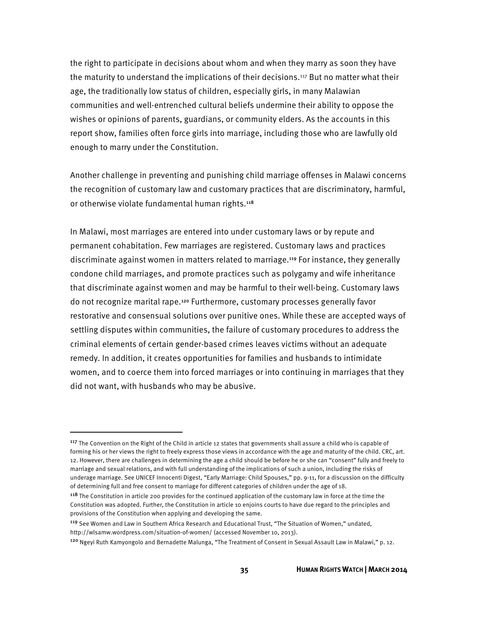the right to participate in decisions about whom and when they marry as soon they have the maturity to understand the implications of their decisions.<sup>117</sup> But no matter what their age, the traditionally low status of children, especially girls, in many Malawian communities and well-entrenched cultural beliefs undermine their ability to oppose the wishes or opinions of parents, guardians, or community elders. As the accounts in this report show, families often force girls into marriage, including those who are lawfully old enough to marry under the Constitution.

Another challenge in preventing and punishing child marriage offenses in Malawi concerns the recognition of customary law and customary practices that are discriminatory, harmful, or otherwise violate fundamental human rights.<sup>118</sup>

In Malawi, most marriages are entered into under customary laws or by repute and permanent cohabitation. Few marriages are registered. Customary laws and practices discriminate against women in matters related to marriage.119 For instance, they generally condone child marriages, and promote practices such as polygamy and wife inheritance that discriminate against women and may be harmful to their well-being. Customary laws do not recognize marital rape.120 Furthermore, customary processes generally favor restorative and consensual solutions over punitive ones. While these are accepted ways of settling disputes within communities, the failure of customary procedures to address the criminal elements of certain gender-based crimes leaves victims without an adequate remedy. In addition, it creates opportunities for families and husbands to intimidate women, and to coerce them into forced marriages or into continuing in marriages that they did not want, with husbands who may be abusive.

l

<sup>&</sup>lt;sup>117</sup> The Convention on the Right of the Child in article 12 states that governments shall assure a child who is capable of forming his or her views the right to freely express those views in accordance with the age and maturity of the child. CRC, art. 12. However, there are challenges in determining the age a child should be before he or she can "consent" fully and freely to marriage and sexual relations, and with full understanding of the implications of such a union, including the risks of underage marriage. See UNICEF Innocenti Digest, "Early Marriage: Child Spouses," pp. 9-11, for a discussion on the difficulty of determining full and free consent to marriage for different categories of children under the age of 18.

<sup>&</sup>lt;sup>118</sup> The Constitution in article 200 provides for the continued application of the customary law in force at the time the Constitution was adopted. Further, the Constitution in article 10 enjoins courts to have due regard to the principles and provisions of the Constitution when applying and developing the same.

<sup>119</sup> See Women and Law in Southern Africa Research and Educational Trust, "The Situation of Women," undated, http://wlsamw.wordpress.com/situation-of-women/ (accessed November 10, 2013).

<sup>120</sup> Ngeyi Ruth Kamyongolo and Bernadette Malunga, "The Treatment of Consent in Sexual Assault Law in Malawi," p. 12.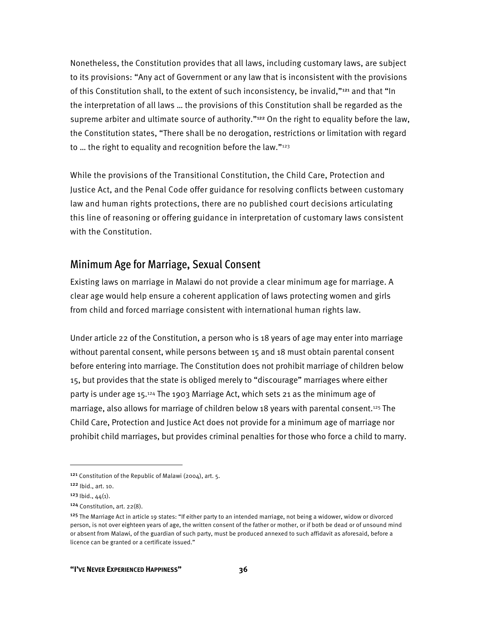Nonetheless, the Constitution provides that all laws, including customary laws, are subject to its provisions: "Any act of Government or any law that is inconsistent with the provisions of this Constitution shall, to the extent of such inconsistency, be invalid,"121 and that "In the interpretation of all laws … the provisions of this Constitution shall be regarded as the supreme arbiter and ultimate source of authority."<sup>122</sup> On the right to equality before the law, the Constitution states, "There shall be no derogation, restrictions or limitation with regard to ... the right to equality and recognition before the law." $123$ 

While the provisions of the Transitional Constitution, the Child Care, Protection and Justice Act, and the Penal Code offer guidance for resolving conflicts between customary law and human rights protections, there are no published court decisions articulating this line of reasoning or offering guidance in interpretation of customary laws consistent with the Constitution.

### Minimum Age for Marriage, Sexual Consent

Existing laws on marriage in Malawi do not provide a clear minimum age for marriage. A clear age would help ensure a coherent application of laws protecting women and girls from child and forced marriage consistent with international human rights law.

Under article 22 of the Constitution, a person who is 18 years of age may enter into marriage without parental consent, while persons between 15 and 18 must obtain parental consent before entering into marriage. The Constitution does not prohibit marriage of children below 15, but provides that the state is obliged merely to "discourage" marriages where either party is under age 15.124 The 1903 Marriage Act, which sets 21 as the minimum age of marriage, also allows for marriage of children below 18 years with parental consent.125 The Child Care, Protection and Justice Act does not provide for a minimum age of marriage nor prohibit child marriages, but provides criminal penalties for those who force a child to marry.

 $\overline{a}$ 

<sup>121</sup> Constitution of the Republic of Malawi (2004), art. 5.

<sup>122</sup> Ibid., art. 10.

 $123$  lbid.,  $44(1)$ .

<sup>124</sup> Constitution, art. 22(8).

<sup>&</sup>lt;sup>125</sup> The Marriage Act in article 19 states: "If either party to an intended marriage, not being a widower, widow or divorced person, is not over eighteen years of age, the written consent of the father or mother, or if both be dead or of unsound mind or absent from Malawi, of the guardian of such party, must be produced annexed to such affidavit as aforesaid, before a licence can be granted or a certificate issued."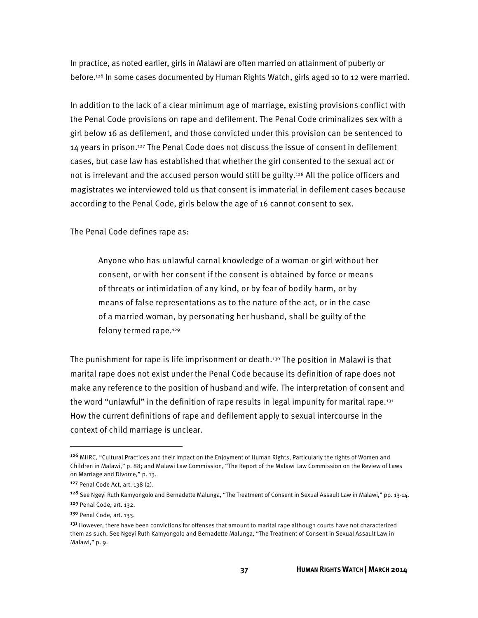In practice, as noted earlier, girls in Malawi are often married on attainment of puberty or before.126 In some cases documented by Human Rights Watch, girls aged 10 to 12 were married.

In addition to the lack of a clear minimum age of marriage, existing provisions conflict with the Penal Code provisions on rape and defilement. The Penal Code criminalizes sex with a girl below 16 as defilement, and those convicted under this provision can be sentenced to 14 years in prison.127 The Penal Code does not discuss the issue of consent in defilement cases, but case law has established that whether the girl consented to the sexual act or not is irrelevant and the accused person would still be guilty.<sup>128</sup> All the police officers and magistrates we interviewed told us that consent is immaterial in defilement cases because according to the Penal Code, girls below the age of 16 cannot consent to sex.

The Penal Code defines rape as:

Anyone who has unlawful carnal knowledge of a woman or girl without her consent, or with her consent if the consent is obtained by force or means of threats or intimidation of any kind, or by fear of bodily harm, or by means of false representations as to the nature of the act, or in the case of a married woman, by personating her husband, shall be guilty of the felony termed rape.<sup>129</sup>

The punishment for rape is life imprisonment or death.<sup>130</sup> The position in Malawi is that marital rape does not exist under the Penal Code because its definition of rape does not make any reference to the position of husband and wife. The interpretation of consent and the word "unlawful" in the definition of rape results in legal impunity for marital rape.<sup>131</sup> How the current definitions of rape and defilement apply to sexual intercourse in the context of child marriage is unclear.

 $\overline{a}$ 

<sup>126</sup> MHRC, "Cultural Practices and their Impact on the Enjoyment of Human Rights, Particularly the rights of Women and Children in Malawi," p. 88; and Malawi Law Commission, "The Report of the Malawi Law Commission on the Review of Laws on Marriage and Divorce," p. 13.

<sup>127</sup> Penal Code Act, art. 138 (2).

<sup>&</sup>lt;sup>128</sup> See Ngeyi Ruth Kamyongolo and Bernadette Malunga, "The Treatment of Consent in Sexual Assault Law in Malawi," pp. 13-14. <sup>129</sup> Penal Code, art. 132.

<sup>130</sup> Penal Code, art. 133.

<sup>&</sup>lt;sup>131</sup> However, there have been convictions for offenses that amount to marital rape although courts have not characterized them as such. See Ngeyi Ruth Kamyongolo and Bernadette Malunga, "The Treatment of Consent in Sexual Assault Law in Malawi," p. 9.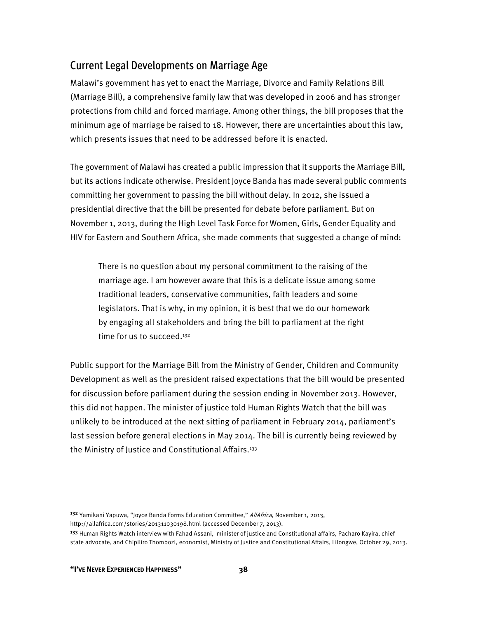## Current Legal Developments on Marriage Age

Malawi's government has yet to enact the Marriage, Divorce and Family Relations Bill (Marriage Bill), a comprehensive family law that was developed in 2006 and has stronger protections from child and forced marriage. Among other things, the bill proposes that the minimum age of marriage be raised to 18. However, there are uncertainties about this law, which presents issues that need to be addressed before it is enacted.

The government of Malawi has created a public impression that it supports the Marriage Bill, but its actions indicate otherwise. President Joyce Banda has made several public comments committing her government to passing the bill without delay. In 2012, she issued a presidential directive that the bill be presented for debate before parliament. But on November 1, 2013, during the High Level Task Force for Women, Girls, Gender Equality and HIV for Eastern and Southern Africa, she made comments that suggested a change of mind:

There is no question about my personal commitment to the raising of the marriage age. I am however aware that this is a delicate issue among some traditional leaders, conservative communities, faith leaders and some legislators. That is why, in my opinion, it is best that we do our homework by engaging all stakeholders and bring the bill to parliament at the right time for us to succeed.<sup>132</sup>

Public support for the Marriage Bill from the Ministry of Gender, Children and Community Development as well as the president raised expectations that the bill would be presented for discussion before parliament during the session ending in November 2013. However, this did not happen. The minister of justice told Human Rights Watch that the bill was unlikely to be introduced at the next sitting of parliament in February 2014, parliament's last session before general elections in May 2014. The bill is currently being reviewed by the Ministry of Justice and Constitutional Affairs.<sup>133</sup>

<sup>&</sup>lt;sup>132</sup> Yamikani Yapuwa, "Joyce Banda Forms Education Committee," AllAfrica, November 1, 2013, http://allafrica.com/stories/201311030198.html (accessed December 7, 2013).

<sup>&</sup>lt;sup>133</sup> Human Rights Watch interview with Fahad Assani, minister of justice and Constitutional affairs, Pacharo Kayira, chief state advocate, and Chipiliro Thombozi, economist, Ministry of Justice and Constitutional Affairs, Lilongwe, October 29, 2013.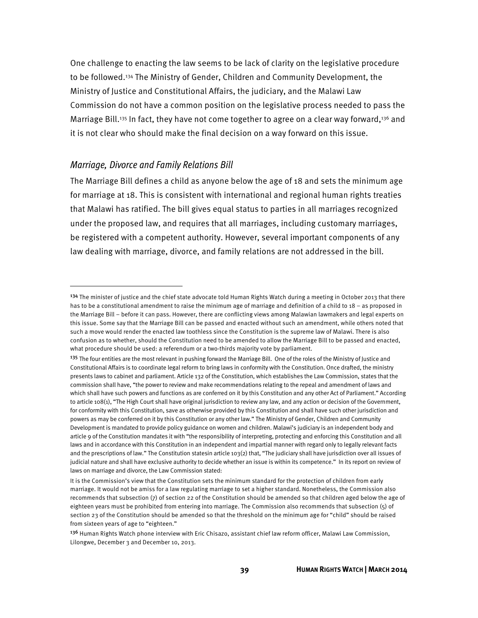One challenge to enacting the law seems to be lack of clarity on the legislative procedure to be followed.<sup>134</sup> The Ministry of Gender, Children and Community Development, the Ministry of Justice and Constitutional Affairs, the judiciary, and the Malawi Law Commission do not have a common position on the legislative process needed to pass the Marriage Bill.<sup>135</sup> In fact, they have not come together to agree on a clear way forward,<sup>136</sup> and it is not clear who should make the final decision on a way forward on this issue.

#### Marriage, Divorce and Family Relations Bill

 $\overline{\phantom{a}}$ 

The Marriage Bill defines a child as anyone below the age of 18 and sets the minimum age for marriage at 18. This is consistent with international and regional human rights treaties that Malawi has ratified. The bill gives equal status to parties in all marriages recognized under the proposed law, and requires that all marriages, including customary marriages, be registered with a competent authority. However, several important components of any law dealing with marriage, divorce, and family relations are not addressed in the bill.

 $134$  The minister of justice and the chief state advocate told Human Rights Watch during a meeting in October 2013 that there has to be a constitutional amendment to raise the minimum age of marriage and definition of a child to 18 – as proposed in the Marriage Bill – before it can pass. However, there are conflicting views among Malawian lawmakers and legal experts on this issue. Some say that the Marriage Bill can be passed and enacted without such an amendment, while others noted that such a move would render the enacted law toothless since the Constitution is the supreme law of Malawi. There is also confusion as to whether, should the Constitution need to be amended to allow the Marriage Bill to be passed and enacted, what procedure should be used: a referendum or a two-thirds majority vote by parliament.

<sup>&</sup>lt;sup>135</sup> The four entities are the most relevant in pushing forward the Marriage Bill. One of the roles of the Ministry of Justice and Constitutional Affairs is to coordinate legal reform to bring laws in conformity with the Constitution. Once drafted, the ministry presents laws to cabinet and parliament. Article 132 of the Constitution, which establishes the Law Commission, states that the commission shall have, "the power to review and make recommendations relating to the repeal and amendment of laws and which shall have such powers and functions as are conferred on it by this Constitution and any other Act of Parliament." According to article 108(1), "The High Court shall have original jurisdiction to review any law, and any action or decision of the Government, for conformity with this Constitution, save as otherwise provided by this Constitution and shall have such other jurisdiction and powers as may be conferred on it by this Constitution or any other law." The Ministry of Gender, Children and Community Development is mandated to provide policy guidance on women and children. Malawi's judiciary is an independent body and article 9 of the Constitution mandates it with "the responsibility of interpreting, protecting and enforcing this Constitution and all laws and in accordance with this Constitution in an independent and impartial manner with regard only to legally relevant facts and the prescriptions of law." The Constitution statesin article 103(2) that, "The judiciary shall have jurisdiction over all issues of judicial nature and shall have exclusive authority to decide whether an issue is within its competence." In its report on review of laws on marriage and divorce, the Law Commission stated:

It is the Commission's view that the Constitution sets the minimum standard for the protection of children from early marriage. It would not be amiss for a law regulating marriage to set a higher standard. Nonetheless, the Commission also recommends that subsection (7) of section 22 of the Constitution should be amended so that children aged below the age of eighteen years must be prohibited from entering into marriage. The Commission also recommends that subsection (5) of section 23 of the Constitution should be amended so that the threshold on the minimum age for "child" should be raised from sixteen years of age to "eighteen."

<sup>136</sup> Human Rights Watch phone interview with Eric Chisazo, assistant chief law reform officer, Malawi Law Commission, Lilongwe, December 3 and December 10, 2013.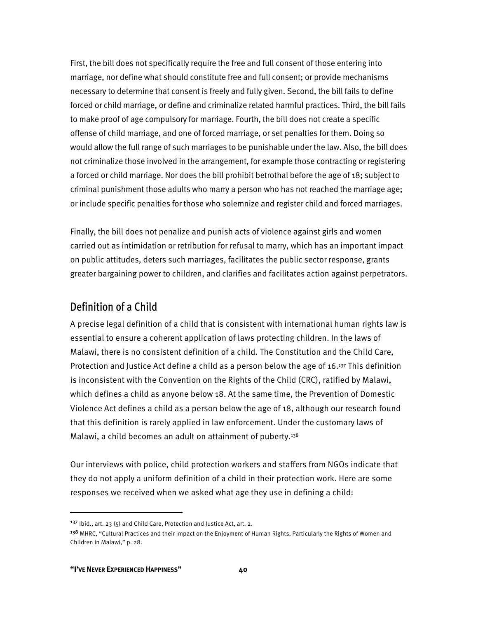First, the bill does not specifically require the free and full consent of those entering into marriage, nor define what should constitute free and full consent; or provide mechanisms necessary to determine that consent is freely and fully given. Second, the bill fails to define forced or child marriage, or define and criminalize related harmful practices. Third, the bill fails to make proof of age compulsory for marriage. Fourth, the bill does not create a specific offense of child marriage, and one of forced marriage, or set penalties for them. Doing so would allow the full range of such marriages to be punishable under the law. Also, the bill does not criminalize those involved in the arrangement, for example those contracting or registering a forced or child marriage. Nor does the bill prohibit betrothal before the age of 18; subject to criminal punishment those adults who marry a person who has not reached the marriage age; or include specific penalties for those who solemnize and register child and forced marriages.

Finally, the bill does not penalize and punish acts of violence against girls and women carried out as intimidation or retribution for refusal to marry, which has an important impact on public attitudes, deters such marriages, facilitates the public sector response, grants greater bargaining power to children, and clarifies and facilitates action against perpetrators.

### Definition of a Child

A precise legal definition of a child that is consistent with international human rights law is essential to ensure a coherent application of laws protecting children. In the laws of Malawi, there is no consistent definition of a child. The Constitution and the Child Care, Protection and Justice Act define a child as a person below the age of 16.137 This definition is inconsistent with the Convention on the Rights of the Child (CRC), ratified by Malawi, which defines a child as anyone below 18. At the same time, the Prevention of Domestic Violence Act defines a child as a person below the age of 18, although our research found that this definition is rarely applied in law enforcement. Under the customary laws of Malawi, a child becomes an adult on attainment of puberty.<sup>138</sup>

Our interviews with police, child protection workers and staffers from NGOs indicate that they do not apply a uniform definition of a child in their protection work. Here are some responses we received when we asked what age they use in defining a child:

<sup>&</sup>lt;sup>137</sup> Ibid., art. 23 (5) and Child Care, Protection and Justice Act, art. 2.

<sup>&</sup>lt;sup>138</sup> MHRC, "Cultural Practices and their Impact on the Enjoyment of Human Rights, Particularly the Rights of Women and Children in Malawi," p. 28.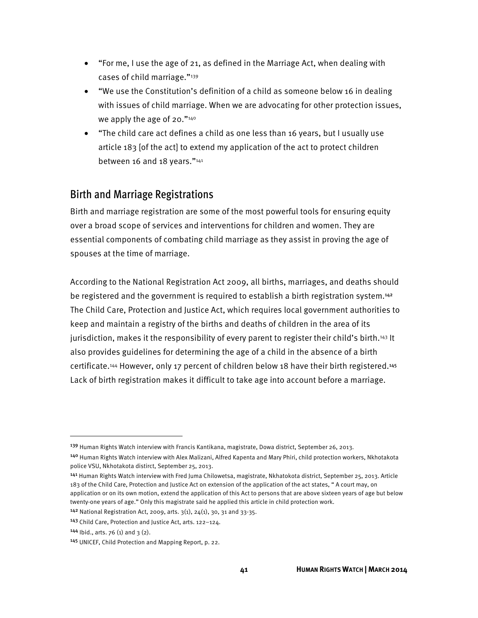- "For me, I use the age of 21, as defined in the Marriage Act, when dealing with cases of child marriage."139
- "We use the Constitution's definition of a child as someone below 16 in dealing with issues of child marriage. When we are advocating for other protection issues, we apply the age of 20."<sup>140</sup>
- "The child care act defines a child as one less than 16 years, but I usually use article 183 [of the act] to extend my application of the act to protect children between 16 and 18 years."141

## Birth and Marriage Registrations

Birth and marriage registration are some of the most powerful tools for ensuring equity over a broad scope of services and interventions for children and women. They are essential components of combating child marriage as they assist in proving the age of spouses at the time of marriage.

According to the National Registration Act 2009, all births, marriages, and deaths should be registered and the government is required to establish a birth registration system.<sup>142</sup> The Child Care, Protection and Justice Act, which requires local government authorities to keep and maintain a registry of the births and deaths of children in the area of its jurisdiction, makes it the responsibility of every parent to register their child's birth.143 It also provides guidelines for determining the age of a child in the absence of a birth certificate.144 However, only 17 percent of children below 18 have their birth registered.<sup>145</sup> Lack of birth registration makes it difficult to take age into account before a marriage.

<sup>141</sup> Human Rights Watch interview with Fred Juma Chilowetsa, magistrate, Nkhatokota district, September 25, 2013. Article 183 of the Child Care, Protection and Justice Act on extension of the application of the act states, " A court may, on application or on its own motion, extend the application of this Act to persons that are above sixteen years of age but below twenty-one years of age." Only this magistrate said he applied this article in child protection work.

<sup>&</sup>lt;sup>139</sup> Human Rights Watch interview with Francis Kantikana, magistrate, Dowa district, September 26, 2013.

<sup>140</sup> Human Rights Watch interview with Alex Malizani, Alfred Kapenta and Mary Phiri, child protection workers, Nkhotakota police VSU, Nkhotakota distirct, September 25, 2013.

<sup>142</sup> National Registration Act, 2009, arts. 3(1), 24(1), 30, 31 and 33-35.

<sup>143</sup> Child Care, Protection and Justice Act, arts. 122–124.

<sup>144</sup> Ibid., arts. 76 (1) and 3 (2).

<sup>145</sup> UNICEF, Child Protection and Mapping Report, p. 22.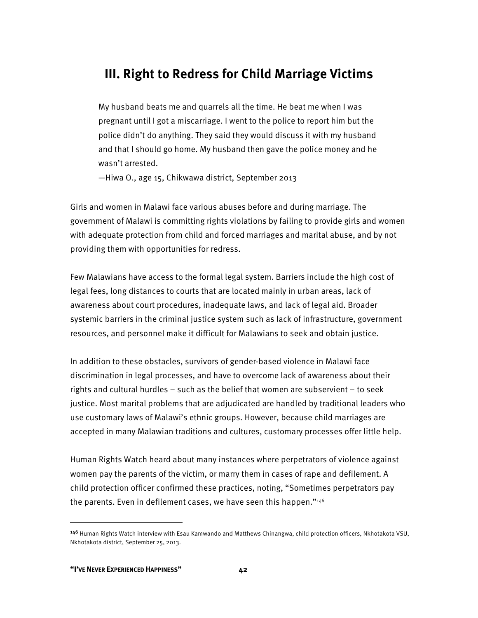## **III. Right to Redress for Child Marriage Victims**

My husband beats me and quarrels all the time. He beat me when I was pregnant until I got a miscarriage. I went to the police to report him but the police didn't do anything. They said they would discuss it with my husband and that I should go home. My husband then gave the police money and he wasn't arrested.

—Hiwa O., age 15, Chikwawa district, September 2013

Girls and women in Malawi face various abuses before and during marriage. The government of Malawi is committing rights violations by failing to provide girls and women with adequate protection from child and forced marriages and marital abuse, and by not providing them with opportunities for redress.

Few Malawians have access to the formal legal system. Barriers include the high cost of legal fees, long distances to courts that are located mainly in urban areas, lack of awareness about court procedures, inadequate laws, and lack of legal aid. Broader systemic barriers in the criminal justice system such as lack of infrastructure, government resources, and personnel make it difficult for Malawians to seek and obtain justice.

In addition to these obstacles, survivors of gender-based violence in Malawi face discrimination in legal processes, and have to overcome lack of awareness about their rights and cultural hurdles – such as the belief that women are subservient – to seek justice. Most marital problems that are adjudicated are handled by traditional leaders who use customary laws of Malawi's ethnic groups. However, because child marriages are accepted in many Malawian traditions and cultures, customary processes offer little help.

Human Rights Watch heard about many instances where perpetrators of violence against women pay the parents of the victim, or marry them in cases of rape and defilement. A child protection officer confirmed these practices, noting, "Sometimes perpetrators pay the parents. Even in defilement cases, we have seen this happen."<sup>146</sup>

<sup>146</sup> Human Rights Watch interview with Esau Kamwando and Matthews Chinangwa, child protection officers, Nkhotakota VSU, Nkhotakota district, September 25, 2013.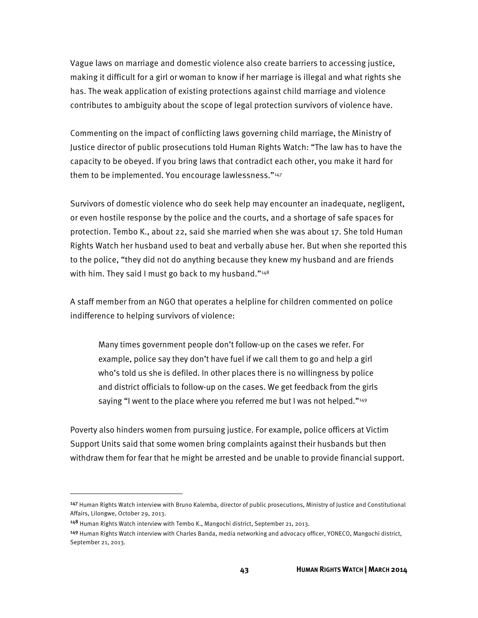Vague laws on marriage and domestic violence also create barriers to accessing justice, making it difficult for a girl or woman to know if her marriage is illegal and what rights she has. The weak application of existing protections against child marriage and violence contributes to ambiguity about the scope of legal protection survivors of violence have.

Commenting on the impact of conflicting laws governing child marriage, the Ministry of Justice director of public prosecutions told Human Rights Watch: "The law has to have the capacity to be obeyed. If you bring laws that contradict each other, you make it hard for them to be implemented. You encourage lawlessness."147

Survivors of domestic violence who do seek help may encounter an inadequate, negligent, or even hostile response by the police and the courts, and a shortage of safe spaces for protection. Tembo K., about 22, said she married when she was about 17. She told Human Rights Watch her husband used to beat and verbally abuse her. But when she reported this to the police, "they did not do anything because they knew my husband and are friends with him. They said I must go back to my husband."<sup>148</sup>

A staff member from an NGO that operates a helpline for children commented on police indifference to helping survivors of violence:

Many times government people don't follow-up on the cases we refer. For example, police say they don't have fuel if we call them to go and help a girl who's told us she is defiled. In other places there is no willingness by police and district officials to follow-up on the cases. We get feedback from the girls saying "I went to the place where you referred me but I was not helped."<sup>149</sup>

Poverty also hinders women from pursuing justice. For example, police officers at Victim Support Units said that some women bring complaints against their husbands but then withdraw them for fear that he might be arrested and be unable to provide financial support.

<sup>147</sup> Human Rights Watch interview with Bruno Kalemba, director of public prosecutions, Ministry of Justice and Constitutional Affairs, Lilongwe, October 29, 2013.

<sup>148</sup> Human Rights Watch interview with Tembo K., Mangochi district, September 21, 2013.

<sup>149</sup> Human Rights Watch interview with Charles Banda, media networking and advocacy officer, YONECO, Mangochi district, September 21, 2013.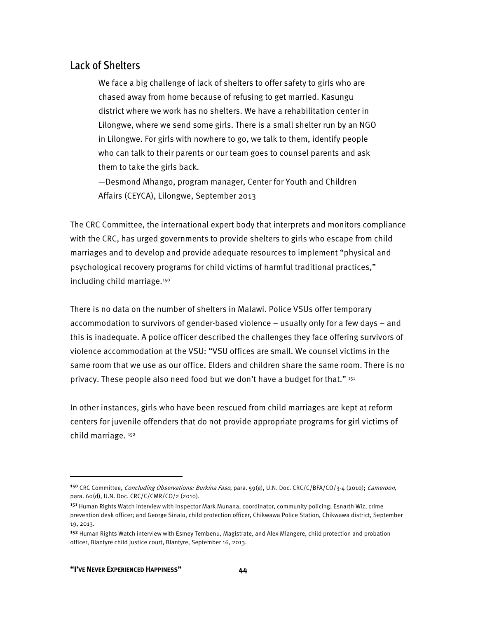### Lack of Shelters

We face a big challenge of lack of shelters to offer safety to girls who are chased away from home because of refusing to get married. Kasungu district where we work has no shelters. We have a rehabilitation center in Lilongwe, where we send some girls. There is a small shelter run by an NGO in Lilongwe. For girls with nowhere to go, we talk to them, identify people who can talk to their parents or our team goes to counsel parents and ask them to take the girls back.

—Desmond Mhango, program manager, Center for Youth and Children Affairs (CEYCA), Lilongwe, September 2013

The CRC Committee, the international expert body that interprets and monitors compliance with the CRC, has urged governments to provide shelters to girls who escape from child marriages and to develop and provide adequate resources to implement "physical and psychological recovery programs for child victims of harmful traditional practices," including child marriage.<sup>150</sup>

There is no data on the number of shelters in Malawi. Police VSUs offer temporary accommodation to survivors of gender-based violence – usually only for a few days – and this is inadequate. A police officer described the challenges they face offering survivors of violence accommodation at the VSU: "VSU offices are small. We counsel victims in the same room that we use as our office. Elders and children share the same room. There is no privacy. These people also need food but we don't have a budget for that." 151

In other instances, girls who have been rescued from child marriages are kept at reform centers for juvenile offenders that do not provide appropriate programs for girl victims of child marriage. 152

 $\overline{a}$ 

<sup>150</sup> CRC Committee, Concluding Observations: Burkina Faso, para. 59(e), U.N. Doc. CRC/C/BFA/CO/3-4 (2010); Cameroon, para. 60(d), U.N. Doc. CRC/C/CMR/CO/2 (2010).

<sup>&</sup>lt;sup>151</sup> Human Rights Watch interview with inspector Mark Munana, coordinator, community policing; Esnarth Wiz, crime prevention desk officer; and George Sinalo, child protection officer, Chikwawa Police Station, Chikwawa district, September 19, 2013.

<sup>&</sup>lt;sup>152</sup> Human Rights Watch interview with Esmey Tembenu, Magistrate, and Alex Mlangere, child protection and probation officer, Blantyre child justice court, Blantyre, September 16, 2013.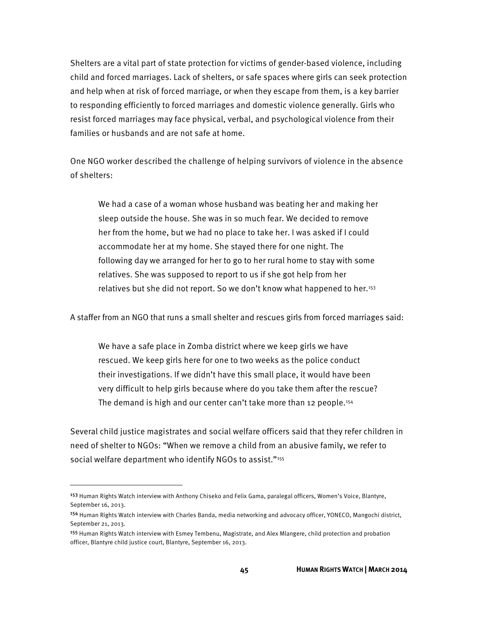Shelters are a vital part of state protection for victims of gender-based violence, including child and forced marriages. Lack of shelters, or safe spaces where girls can seek protection and help when at risk of forced marriage, or when they escape from them, is a key barrier to responding efficiently to forced marriages and domestic violence generally. Girls who resist forced marriages may face physical, verbal, and psychological violence from their families or husbands and are not safe at home.

One NGO worker described the challenge of helping survivors of violence in the absence of shelters:

We had a case of a woman whose husband was beating her and making her sleep outside the house. She was in so much fear. We decided to remove her from the home, but we had no place to take her. I was asked if I could accommodate her at my home. She stayed there for one night. The following day we arranged for her to go to her rural home to stay with some relatives. She was supposed to report to us if she got help from her relatives but she did not report. So we don't know what happened to her.153

A staffer from an NGO that runs a small shelter and rescues girls from forced marriages said:

We have a safe place in Zomba district where we keep girls we have rescued. We keep girls here for one to two weeks as the police conduct their investigations. If we didn't have this small place, it would have been very difficult to help girls because where do you take them after the rescue? The demand is high and our center can't take more than 12 people.<sup>154</sup>

Several child justice magistrates and social welfare officers said that they refer children in need of shelter to NGOs: "When we remove a child from an abusive family, we refer to social welfare department who identify NGOs to assist."<sup>155</sup>

<sup>153</sup> Human Rights Watch interview with Anthony Chiseko and Felix Gama, paralegal officers, Women's Voice, Blantyre, September 16, 2013.

<sup>154</sup> Human Rights Watch interview with Charles Banda, media networking and advocacy officer, YONECO, Mangochi district, September 21, 2013.

<sup>155</sup> Human Rights Watch interview with Esmey Tembenu, Magistrate, and Alex Mlangere, child protection and probation officer, Blantyre child justice court, Blantyre, September 16, 2013.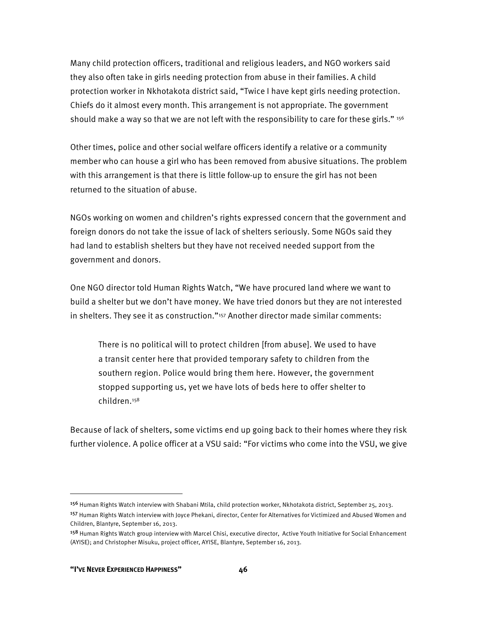Many child protection officers, traditional and religious leaders, and NGO workers said they also often take in girls needing protection from abuse in their families. A child protection worker in Nkhotakota district said, "Twice I have kept girls needing protection. Chiefs do it almost every month. This arrangement is not appropriate. The government should make a way so that we are not left with the responsibility to care for these girls." 156

Other times, police and other social welfare officers identify a relative or a community member who can house a girl who has been removed from abusive situations. The problem with this arrangement is that there is little follow-up to ensure the girl has not been returned to the situation of abuse.

NGOs working on women and children's rights expressed concern that the government and foreign donors do not take the issue of lack of shelters seriously. Some NGOs said they had land to establish shelters but they have not received needed support from the government and donors.

One NGO director told Human Rights Watch, "We have procured land where we want to build a shelter but we don't have money. We have tried donors but they are not interested in shelters. They see it as construction."157 Another director made similar comments:

There is no political will to protect children [from abuse]. We used to have a transit center here that provided temporary safety to children from the southern region. Police would bring them here. However, the government stopped supporting us, yet we have lots of beds here to offer shelter to children.158

Because of lack of shelters, some victims end up going back to their homes where they risk further violence. A police officer at a VSU said: "For victims who come into the VSU, we give

<sup>156</sup> Human Rights Watch interview with Shabani Mtila, child protection worker, Nkhotakota district, September 25, 2013.

<sup>&</sup>lt;sup>157</sup> Human Rights Watch interview with Joyce Phekani, director, Center for Alternatives for Victimized and Abused Women and Children, Blantyre, September 16, 2013.

<sup>&</sup>lt;sup>158</sup> Human Rights Watch group interview with Marcel Chisi, executive director, Active Youth Initiative for Social Enhancement (AYISE); and Christopher Misuku, project officer, AYISE, Blantyre, September 16, 2013.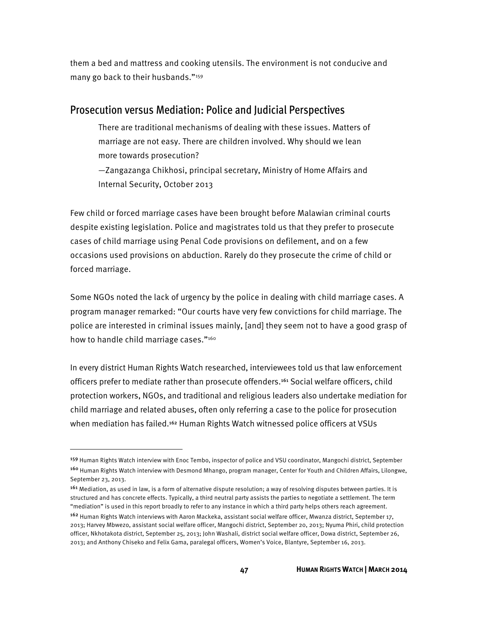them a bed and mattress and cooking utensils. The environment is not conducive and many go back to their husbands."159

### Prosecution versus Mediation: Police and Judicial Perspectives

There are traditional mechanisms of dealing with these issues. Matters of marriage are not easy. There are children involved. Why should we lean more towards prosecution?

—Zangazanga Chikhosi, principal secretary, Ministry of Home Affairs and Internal Security, October 2013

Few child or forced marriage cases have been brought before Malawian criminal courts despite existing legislation. Police and magistrates told us that they prefer to prosecute cases of child marriage using Penal Code provisions on defilement, and on a few occasions used provisions on abduction. Rarely do they prosecute the crime of child or forced marriage.

Some NGOs noted the lack of urgency by the police in dealing with child marriage cases. A program manager remarked: "Our courts have very few convictions for child marriage. The police are interested in criminal issues mainly, [and] they seem not to have a good grasp of how to handle child marriage cases."<sup>160</sup>

In every district Human Rights Watch researched, interviewees told us that law enforcement officers prefer to mediate rather than prosecute offenders.<sup>161</sup> Social welfare officers, child protection workers, NGOs, and traditional and religious leaders also undertake mediation for child marriage and related abuses, often only referring a case to the police for prosecution when mediation has failed.<sup>162</sup> Human Rights Watch witnessed police officers at VSUs

<sup>&</sup>lt;sup>159</sup> Human Rights Watch interview with Enoc Tembo, inspector of police and VSU coordinator, Mangochi district, September <sup>160</sup> Human Rights Watch interview with Desmond Mhango, program manager, Center for Youth and Children Affairs, Lilongwe, September 23, 2013.

<sup>&</sup>lt;sup>161</sup> Mediation, as used in law, is a form of alternative dispute resolution; a way of resolving disputes between parties. It is structured and has concrete effects. Typically, a third neutral party assists the parties to negotiate a settlement. The term "mediation" is used in this report broadly to refer to any instance in which a third party helps others reach agreement.

<sup>&</sup>lt;sup>162</sup> Human Rights Watch interviews with Aaron Mackeka, assistant social welfare officer, Mwanza district, September 17, 2013; Harvey Mbwezo, assistant social welfare officer, Mangochi district, September 20, 2013; Nyuma Phiri, child protection officer, Nkhotakota district, September 25, 2013; John Washali, district social welfare officer, Dowa district, September 26, 2013; and Anthony Chiseko and Felix Gama, paralegal officers, Women's Voice, Blantyre, September 16, 2013.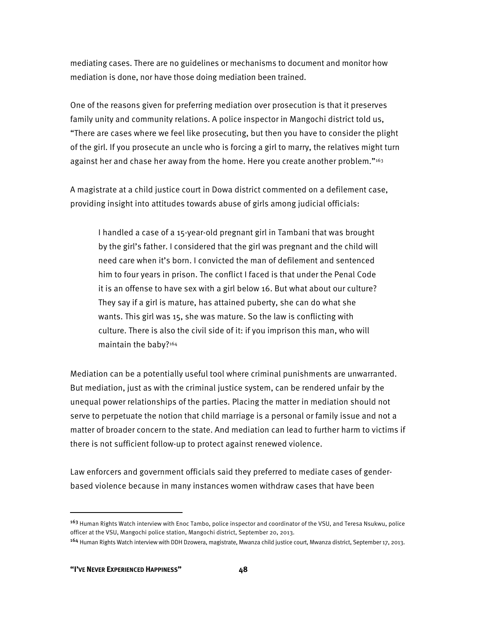mediating cases. There are no guidelines or mechanisms to document and monitor how mediation is done, nor have those doing mediation been trained.

One of the reasons given for preferring mediation over prosecution is that it preserves family unity and community relations. A police inspector in Mangochi district told us, "There are cases where we feel like prosecuting, but then you have to consider the plight of the girl. If you prosecute an uncle who is forcing a girl to marry, the relatives might turn against her and chase her away from the home. Here you create another problem."163

A magistrate at a child justice court in Dowa district commented on a defilement case, providing insight into attitudes towards abuse of girls among judicial officials:

I handled a case of a 15-year-old pregnant girl in Tambani that was brought by the girl's father. I considered that the girl was pregnant and the child will need care when it's born. I convicted the man of defilement and sentenced him to four years in prison. The conflict I faced is that under the Penal Code it is an offense to have sex with a girl below 16. But what about our culture? They say if a girl is mature, has attained puberty, she can do what she wants. This girl was 15, she was mature. So the law is conflicting with culture. There is also the civil side of it: if you imprison this man, who will maintain the baby?<sup>164</sup>

Mediation can be a potentially useful tool where criminal punishments are unwarranted. But mediation, just as with the criminal justice system, can be rendered unfair by the unequal power relationships of the parties. Placing the matter in mediation should not serve to perpetuate the notion that child marriage is a personal or family issue and not a matter of broader concern to the state. And mediation can lead to further harm to victims if there is not sufficient follow-up to protect against renewed violence.

Law enforcers and government officials said they preferred to mediate cases of genderbased violence because in many instances women withdraw cases that have been

<sup>&</sup>lt;sup>163</sup> Human Rights Watch interview with Enoc Tambo, police inspector and coordinator of the VSU, and Teresa Nsukwu, police officer at the VSU, Mangochi police station, Mangochi district, September 20, 2013.

<sup>164</sup> Human Rights Watch interview with DDH Dzowera, magistrate, Mwanza child justice court, Mwanza district, September 17, 2013.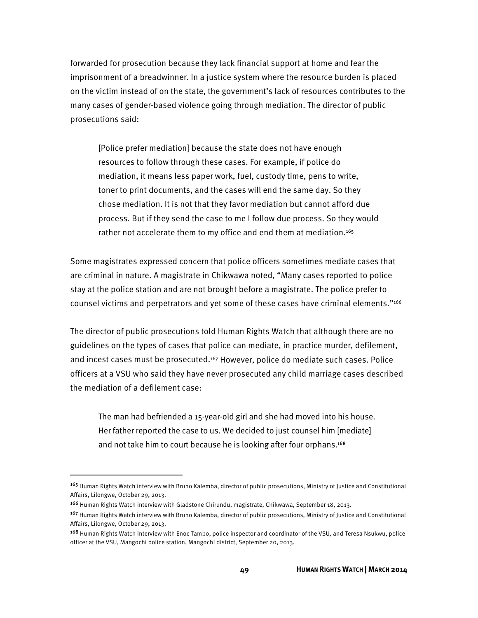forwarded for prosecution because they lack financial support at home and fear the imprisonment of a breadwinner. In a justice system where the resource burden is placed on the victim instead of on the state, the government's lack of resources contributes to the many cases of gender-based violence going through mediation. The director of public prosecutions said:

[Police prefer mediation] because the state does not have enough resources to follow through these cases. For example, if police do mediation, it means less paper work, fuel, custody time, pens to write, toner to print documents, and the cases will end the same day. So they chose mediation. It is not that they favor mediation but cannot afford due process. But if they send the case to me I follow due process. So they would rather not accelerate them to my office and end them at mediation.<sup>165</sup>

Some magistrates expressed concern that police officers sometimes mediate cases that are criminal in nature. A magistrate in Chikwawa noted, "Many cases reported to police stay at the police station and are not brought before a magistrate. The police prefer to counsel victims and perpetrators and yet some of these cases have criminal elements."166

The director of public prosecutions told Human Rights Watch that although there are no guidelines on the types of cases that police can mediate, in practice murder, defilement, and incest cases must be prosecuted.167 However, police do mediate such cases. Police officers at a VSU who said they have never prosecuted any child marriage cases described the mediation of a defilement case:

The man had befriended a 15-year-old girl and she had moved into his house. Her father reported the case to us. We decided to just counsel him [mediate] and not take him to court because he is looking after four orphans.<sup>168</sup>

<sup>165</sup> Human Rights Watch interview with Bruno Kalemba, director of public prosecutions, Ministry of Justice and Constitutional Affairs, Lilongwe, October 29, 2013.

<sup>166</sup> Human Rights Watch interview with Gladstone Chirundu, magistrate, Chikwawa, September 18, 2013.

<sup>&</sup>lt;sup>167</sup> Human Rights Watch interview with Bruno Kalemba, director of public prosecutions, Ministry of Justice and Constitutional Affairs, Lilongwe, October 29, 2013.

<sup>168</sup> Human Rights Watch interview with Enoc Tambo, police inspector and coordinator of the VSU, and Teresa Nsukwu, police officer at the VSU, Mangochi police station, Mangochi district, September 20, 2013.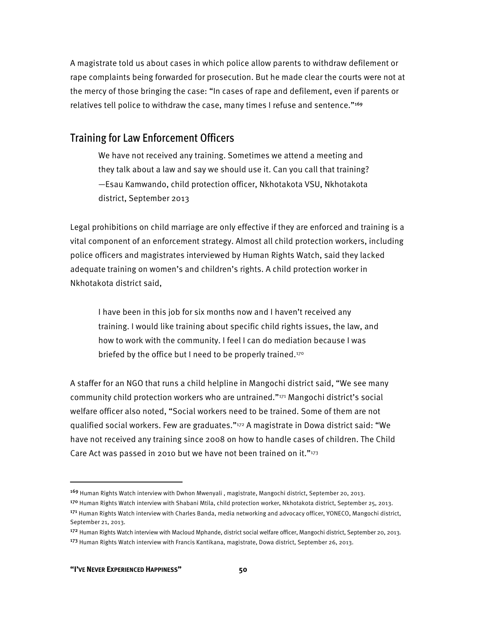A magistrate told us about cases in which police allow parents to withdraw defilement or rape complaints being forwarded for prosecution. But he made clear the courts were not at the mercy of those bringing the case: "In cases of rape and defilement, even if parents or relatives tell police to withdraw the case, many times I refuse and sentence."<sup>169</sup>

### Training for Law Enforcement Officers

We have not received any training. Sometimes we attend a meeting and they talk about a law and say we should use it. Can you call that training? —Esau Kamwando, child protection officer, Nkhotakota VSU, Nkhotakota district, September 2013

Legal prohibitions on child marriage are only effective if they are enforced and training is a vital component of an enforcement strategy. Almost all child protection workers, including police officers and magistrates interviewed by Human Rights Watch, said they lacked adequate training on women's and children's rights. A child protection worker in Nkhotakota district said,

I have been in this job for six months now and I haven't received any training. I would like training about specific child rights issues, the law, and how to work with the community. I feel I can do mediation because I was briefed by the office but I need to be properly trained.<sup>170</sup>

A staffer for an NGO that runs a child helpline in Mangochi district said, "We see many community child protection workers who are untrained."171 Mangochi district's social welfare officer also noted, "Social workers need to be trained. Some of them are not qualified social workers. Few are graduates."172 A magistrate in Dowa district said: "We have not received any training since 2008 on how to handle cases of children. The Child Care Act was passed in 2010 but we have not been trained on it." $173$ 

<sup>169</sup> Human Rights Watch interview with Dwhon Mwenyali , magistrate, Mangochi district, September 20, 2013.

<sup>170</sup> Human Rights Watch interview with Shabani Mtila, child protection worker, Nkhotakota district, September 25, 2013. 171 Human Rights Watch interview with Charles Banda, media networking and advocacy officer, YONECO, Mangochi district, September 21, 2013.

<sup>172</sup> Human Rights Watch interview with Macloud Mphande, district social welfare officer, Mangochi district, September 20, 2013. <sup>173</sup> Human Rights Watch interview with Francis Kantikana, magistrate, Dowa district, September 26, 2013.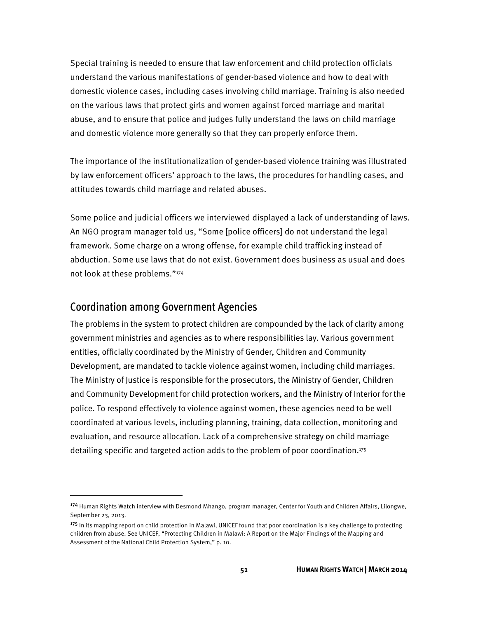Special training is needed to ensure that law enforcement and child protection officials understand the various manifestations of gender-based violence and how to deal with domestic violence cases, including cases involving child marriage. Training is also needed on the various laws that protect girls and women against forced marriage and marital abuse, and to ensure that police and judges fully understand the laws on child marriage and domestic violence more generally so that they can properly enforce them.

The importance of the institutionalization of gender-based violence training was illustrated by law enforcement officers' approach to the laws, the procedures for handling cases, and attitudes towards child marriage and related abuses.

Some police and judicial officers we interviewed displayed a lack of understanding of laws. An NGO program manager told us, "Some [police officers] do not understand the legal framework. Some charge on a wrong offense, for example child trafficking instead of abduction. Some use laws that do not exist. Government does business as usual and does not look at these problems."174

### Coordination among Government Agencies

l

The problems in the system to protect children are compounded by the lack of clarity among government ministries and agencies as to where responsibilities lay. Various government entities, officially coordinated by the Ministry of Gender, Children and Community Development, are mandated to tackle violence against women, including child marriages. The Ministry of Justice is responsible for the prosecutors, the Ministry of Gender, Children and Community Development for child protection workers, and the Ministry of Interior for the police. To respond effectively to violence against women, these agencies need to be well coordinated at various levels, including planning, training, data collection, monitoring and evaluation, and resource allocation. Lack of a comprehensive strategy on child marriage detailing specific and targeted action adds to the problem of poor coordination.175

<sup>174</sup> Human Rights Watch interview with Desmond Mhango, program manager, Center for Youth and Children Affairs, Lilongwe, September 23, 2013.

 $175$  In its mapping report on child protection in Malawi, UNICEF found that poor coordination is a key challenge to protecting children from abuse. See UNICEF, "Protecting Children in Malawi: A Report on the Major Findings of the Mapping and Assessment of the National Child Protection System," p. 10.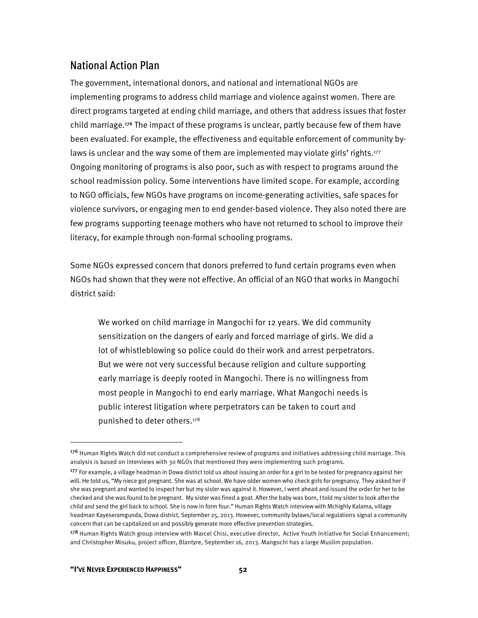## National Action Plan

The government, international donors, and national and international NGOs are implementing programs to address child marriage and violence against women. There are direct programs targeted at ending child marriage, and others that address issues that foster child marriage.176 The impact of these programs is unclear, partly because few of them have been evaluated. For example, the effectiveness and equitable enforcement of community bylaws is unclear and the way some of them are implemented may violate girls' rights.177 Ongoing monitoring of programs is also poor, such as with respect to programs around the school readmission policy. Some interventions have limited scope. For example, according to NGO officials, few NGOs have programs on income-generating activities, safe spaces for violence survivors, or engaging men to end gender-based violence. They also noted there are few programs supporting teenage mothers who have not returned to school to improve their literacy, for example through non-formal schooling programs.

Some NGOs expressed concern that donors preferred to fund certain programs even when NGOs had shown that they were not effective. An official of an NGO that works in Mangochi district said:

We worked on child marriage in Mangochi for 12 years. We did community sensitization on the dangers of early and forced marriage of girls. We did a lot of whistleblowing so police could do their work and arrest perpetrators. But we were not very successful because religion and culture supporting early marriage is deeply rooted in Mangochi. There is no willingness from most people in Mangochi to end early marriage. What Mangochi needs is public interest litigation where perpetrators can be taken to court and punished to deter others.178

<sup>176</sup> Human Rights Watch did not conduct a comprehensive review of programs and initiatives addressing child marriage. This analysis is based on interviews with 30 NGOs that mentioned they were implementing such programs.

<sup>177</sup> For example, a village headman in Dowa district told us about issuing an order for a girl to be tested for pregnancy against her will. He told us, "My niece got pregnant. She was at school. We have older women who check girls for pregnancy. They asked her if she was pregnant and wanted to inspect her but my sister was against it. However, I went ahead and issued the order for her to be checked and she was found to be pregnant. My sister was fined a goat. After the baby was born, I told my sister to look after the child and send the girl back to school. She is now in form four." Human Rights Watch interview with Mchighly Kalama, village headman Kayeseramgunda, Dowa district, September 25, 2013. However, community bylaws/local regulations signal a community concern that can be capitalized on and possibly generate more effective prevention strategies.

<sup>&</sup>lt;sup>178</sup> Human Rights Watch group interview with Marcel Chisi, executive director, Active Youth Initiative for Social Enhancement; and Christopher Misuku, project officer, Blantyre, September 16, 2013. Mangochi has a large Muslim population.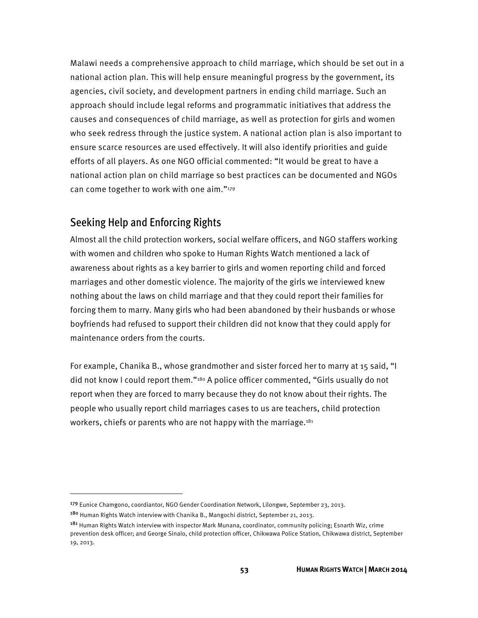Malawi needs a comprehensive approach to child marriage, which should be set out in a national action plan. This will help ensure meaningful progress by the government, its agencies, civil society, and development partners in ending child marriage. Such an approach should include legal reforms and programmatic initiatives that address the causes and consequences of child marriage, as well as protection for girls and women who seek redress through the justice system. A national action plan is also important to ensure scarce resources are used effectively. It will also identify priorities and guide efforts of all players. As one NGO official commented: "It would be great to have a national action plan on child marriage so best practices can be documented and NGOs can come together to work with one aim."179

### Seeking Help and Enforcing Rights

Almost all the child protection workers, social welfare officers, and NGO staffers working with women and children who spoke to Human Rights Watch mentioned a lack of awareness about rights as a key barrier to girls and women reporting child and forced marriages and other domestic violence. The majority of the girls we interviewed knew nothing about the laws on child marriage and that they could report their families for forcing them to marry. Many girls who had been abandoned by their husbands or whose boyfriends had refused to support their children did not know that they could apply for maintenance orders from the courts.

For example, Chanika B., whose grandmother and sister forced her to marry at 15 said, "I did not know I could report them."180 A police officer commented, "Girls usually do not report when they are forced to marry because they do not know about their rights. The people who usually report child marriages cases to us are teachers, child protection workers, chiefs or parents who are not happy with the marriage.<sup>181</sup>

<sup>179</sup> Eunice Chamgono, coordiantor, NGO Gender Coordination Network, Lilongwe, September 23, 2013.

<sup>&</sup>lt;sup>180</sup> Human Rights Watch interview with Chanika B., Mangochi district, September 21, 2013.

<sup>&</sup>lt;sup>181</sup> Human Rights Watch interview with inspector Mark Munana, coordinator, community policing; Esnarth Wiz, crime prevention desk officer; and George Sinalo, child protection officer, Chikwawa Police Station, Chikwawa district, September 19, 2013.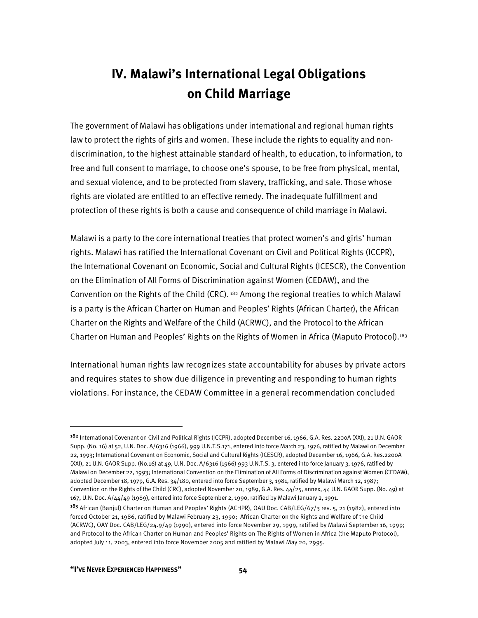# **IV. Malawi's International Legal Obligations on Child Marriage**

The government of Malawi has obligations under international and regional human rights law to protect the rights of girls and women. These include the rights to equality and nondiscrimination, to the highest attainable standard of health, to education, to information, to free and full consent to marriage, to choose one's spouse, to be free from physical, mental, and sexual violence, and to be protected from slavery, trafficking, and sale. Those whose rights are violated are entitled to an effective remedy. The inadequate fulfillment and protection of these rights is both a cause and consequence of child marriage in Malawi.

Malawi is a party to the core international treaties that protect women's and girls' human rights. Malawi has ratified the International Covenant on Civil and Political Rights (ICCPR), the International Covenant on Economic, Social and Cultural Rights (ICESCR), the Convention on the Elimination of All Forms of Discrimination against Women (CEDAW), and the Convention on the Rights of the Child (CRC).  $182$  Among the regional treaties to which Malawi is a party is the African Charter on Human and Peoples' Rights (African Charter), the African Charter on the Rights and Welfare of the Child (ACRWC), and the Protocol to the African Charter on Human and Peoples' Rights on the Rights of Women in Africa (Maputo Protocol).<sup>183</sup>

International human rights law recognizes state accountability for abuses by private actors and requires states to show due diligence in preventing and responding to human rights violations. For instance, the CEDAW Committee in a general recommendation concluded

<sup>182</sup> International Covenant on Civil and Political Rights (ICCPR), adopted December 16, 1966, G.A. Res. 2200A (XXI), 21 U.N. GAOR Supp. (No. 16) at 52, U.N. Doc. A/6316 (1966), 999 U.N.T.S.171, entered into force March 23, 1976, ratified by Malawi on December 22, 1993; International Covenant on Economic, Social and Cultural Rights (ICESCR), adopted December 16, 1966, G.A. Res.2200A (XXI), 21 U.N. GAOR Supp. (No.16) at 49, U.N. Doc. A/6316 (1966) 993 U.N.T.S. 3, entered into force January 3, 1976, ratified by Malawi on December 22, 1993; International Convention on the Elimination of All Forms of Discrimination against Women (CEDAW), adopted December 18, 1979, G.A. Res. 34/180, entered into force September 3, 1981, ratified by Malawi March 12, 1987; Convention on the Rights of the Child (CRC), adopted November 20, 1989, G.A. Res. 44/25, annex, 44 U.N. GAOR Supp. (No. 49) at 167, U.N. Doc. A/44/49 (1989), entered into force September 2, 1990, ratified by Malawi January 2, 1991.

<sup>&</sup>lt;sup>183</sup> African (Banjul) Charter on Human and Peoples' Rights (ACHPR), OAU Doc. CAB/LEG/67/3 rev. 5, 21 (1982), entered into forced October 21, 1986, ratified by Malawi February 23, 1990; African Charter on the Rights and Welfare of the Child (ACRWC), OAY Doc. CAB/LEG/24.9/49 (1990), entered into force November 29, 1999, ratified by Malawi September 16, 1999; and Protocol to the African Charter on Human and Peoples' Rights on The Rights of Women in Africa (the Maputo Protocol), adopted July 11, 2003, entered into force November 2005 and ratified by Malawi May 20, 2995.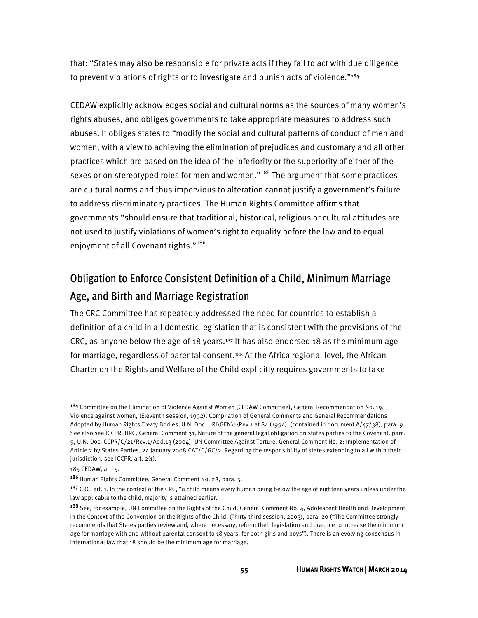that: "States may also be responsible for private acts if they fail to act with due diligence to prevent violations of rights or to investigate and punish acts of violence."<sup>184</sup>

CEDAW explicitly acknowledges social and cultural norms as the sources of many women's rights abuses, and obliges governments to take appropriate measures to address such abuses. It obliges states to "modify the social and cultural patterns of conduct of men and women, with a view to achieving the elimination of prejudices and customary and all other practices which are based on the idea of the inferiority or the superiority of either of the sexes or on stereotyped roles for men and women."<sup>185</sup> The argument that some practices are cultural norms and thus impervious to alteration cannot justify a government's failure to address discriminatory practices. The Human Rights Committee affirms that governments "should ensure that traditional, historical, religious or cultural attitudes are not used to justify violations of women's right to equality before the law and to equal enjoyment of all Covenant rights."<sup>186</sup>

## Obligation to Enforce Consistent Definition of a Child, Minimum Marriage Age, and Birth and Marriage Registration

The CRC Committee has repeatedly addressed the need for countries to establish a definition of a child in all domestic legislation that is consistent with the provisions of the CRC, as anyone below the age of 18 years.<sup>187</sup> It has also endorsed 18 as the minimum age for marriage, regardless of parental consent.<sup>188</sup> At the Africa regional level, the African Charter on the Rights and Welfare of the Child explicitly requires governments to take

<sup>184</sup> Committee on the Elimination of Violence Against Women (CEDAW Committee), General Recommendation No. 19, Violence against women, (Eleventh session, 1992), Compilation of General Comments and General Recommendations Adopted by Human Rights Treaty Bodies, U.N. Doc. HRI\GEN\1\Rev.1 at 84 (1994), (contained in document A/47/38), para. 9. See also see ICCPR, HRC, General Comment 31, Nature of the general legal obligation on states parties to the Covenant, para. 9, U.N. Doc. CCPR/C/21/Rev.1/Add.13 (2004); UN Committee Against Torture, General Comment No. 2: Implementation of Article 2 by States Parties, 24 January 2008.CAT/C/GC/2. Regarding the responsibility of states extending to all within their jurisdiction, see ICCPR, art. 2(1).

<sup>185</sup> CEDAW, art. 5.

<sup>186</sup> Human Rights Committee, General Comment No. 28, para. 5.

<sup>&</sup>lt;sup>187</sup> CRC, art. 1. In the context of the CRC, "a child means every human being below the age of eighteen years unless under the law applicable to the child, majority is attained earlier."

<sup>&</sup>lt;sup>188</sup> See, for example, UN Committee on the Rights of the Child, General Comment No. 4, Adolescent Health and Development in the Context of the Convention on the Rights of the Child, (Thirty-third session, 2003), para. 20 ("The Committee strongly recommends that States parties review and, where necessary, reform their legislation and practice to increase the minimum age for marriage with and without parental consent to 18 years, for both girls and boys"). There is an evolving consensus in international law that 18 should be the minimum age for marriage.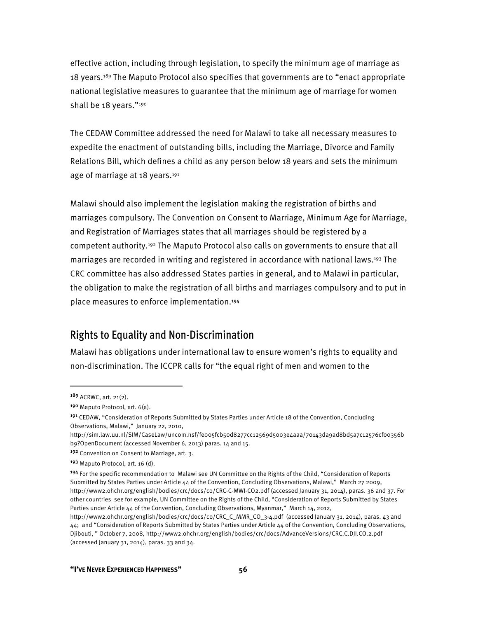effective action, including through legislation, to specify the minimum age of marriage as 18 years.<sup>189</sup> The Maputo Protocol also specifies that governments are to "enact appropriate national legislative measures to guarantee that the minimum age of marriage for women shall be 18 years."<sup>190</sup>

The CEDAW Committee addressed the need for Malawi to take all necessary measures to expedite the enactment of outstanding bills, including the Marriage, Divorce and Family Relations Bill, which defines a child as any person below 18 years and sets the minimum age of marriage at 18 years.<sup>191</sup>

Malawi should also implement the legislation making the registration of births and marriages compulsory. The Convention on Consent to Marriage, Minimum Age for Marriage, and Registration of Marriages states that all marriages should be registered by a competent authority.<sup>192</sup> The Maputo Protocol also calls on governments to ensure that all marriages are recorded in writing and registered in accordance with national laws.193 The CRC committee has also addressed States parties in general, and to Malawi in particular, the obligation to make the registration of all births and marriages compulsory and to put in place measures to enforce implementation.<sup>194</sup>

### Rights to Equality and Non-Discrimination

Malawi has obligations under international law to ensure women's rights to equality and non-discrimination. The ICCPR calls for "the equal right of men and women to the

<sup>189</sup> ACRWC, art. 21(2).

<sup>190</sup> Maputo Protocol, art. 6(a).

<sup>191</sup> CEDAW, "Consideration of Reports Submitted by States Parties under Article 18 of the Convention, Concluding Observations, Malawi," January 22, 2010,

http://sim.law.uu.nl/SIM/CaseLaw/uncom.nsf/feoo5fcb5od8277cc12569d5003e4aaa/70143da9ad8bd5a7c12576cfoo356b b9?OpenDocument (accessed November 6, 2013) paras. 14 and 15.

<sup>192</sup> Convention on Consent to Marriage, art. 3.

<sup>193</sup> Maputo Protocol, art. 16 (d).

<sup>&</sup>lt;sup>194</sup> For the specific recommendation to Malawi see UN Committee on the Rights of the Child, "Consideration of Reports Submitted by States Parties under Article 44 of the Convention, Concluding Observations, Malawi," March 27 2009, http://www2.ohchr.org/english/bodies/crc/docs/co/CRC-C-MWI-CO2.pdf (accessed January 31, 2014), paras. 36 and 37. For other countries see for example, UN Committee on the Rights of the Child, "Consideration of Reports Submitted by States Parties under Article 44 of the Convention, Concluding Observations, Myanmar," March 14, 2012,

http://www2.ohchr.org/english/bodies/crc/docs/co/CRC\_C\_MMR\_CO\_3-4.pdf (accessed January 31, 2014), paras. 43 and 44; and "Consideration of Reports Submitted by States Parties under Article 44 of the Convention, Concluding Observations, Djibouti, " October 7, 2008, http://www2.ohchr.org/english/bodies/crc/docs/AdvanceVersions/CRC.C.DJI.CO.2.pdf (accessed January 31, 2014), paras. 33 and 34.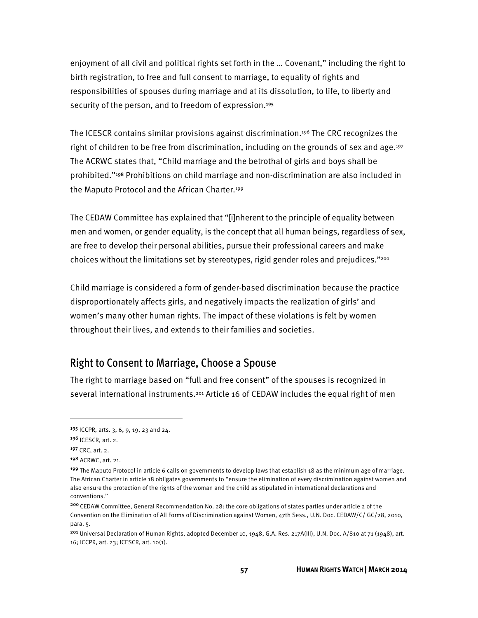enjoyment of all civil and political rights set forth in the … Covenant," including the right to birth registration, to free and full consent to marriage, to equality of rights and responsibilities of spouses during marriage and at its dissolution, to life, to liberty and security of the person, and to freedom of expression.<sup>195</sup>

The ICESCR contains similar provisions against discrimination.196 The CRC recognizes the right of children to be free from discrimination, including on the grounds of sex and age.<sup>197</sup> The ACRWC states that, "Child marriage and the betrothal of girls and boys shall be prohibited."198 Prohibitions on child marriage and non-discrimination are also included in the Maputo Protocol and the African Charter.199

The CEDAW Committee has explained that "[i]nherent to the principle of equality between men and women, or gender equality, is the concept that all human beings, regardless of sex, are free to develop their personal abilities, pursue their professional careers and make choices without the limitations set by stereotypes, rigid gender roles and prejudices."200

Child marriage is considered a form of gender-based discrimination because the practice disproportionately affects girls, and negatively impacts the realization of girls' and women's many other human rights. The impact of these violations is felt by women throughout their lives, and extends to their families and societies.

### Right to Consent to Marriage, Choose a Spouse

The right to marriage based on "full and free consent" of the spouses is recognized in several international instruments.<sup>201</sup> Article 16 of CEDAW includes the equal right of men

<sup>195</sup> ICCPR, arts. 3, 6, 9, 19, 23 and 24.

<sup>196</sup> ICESCR, art. 2.

<sup>197</sup> CRC, art. 2.

<sup>198</sup> ACRWC, art. 21.

<sup>199</sup> The Maputo Protocol in article 6 calls on governments to develop laws that establish 18 as the minimum age of marriage. The African Charter in article 18 obligates governments to "ensure the elimination of every discrimination against women and also ensure the protection of the rights of the woman and the child as stipulated in international declarations and conventions."

<sup>200</sup>CEDAW Committee, General Recommendation No. 28: the core obligations of states parties under article 2 of the Convention on the Elimination of All Forms of Discrimination against Women, 47th Sess., U.N. Doc. CEDAW/C/ GC/28, 2010, para. 5.

<sup>201</sup> Universal Declaration of Human Rights, adopted December 10, 1948, G.A. Res. 217A(III), U.N. Doc. A/810 at 71 (1948), art. 16; ICCPR, art. 23; ICESCR, art. 10(1).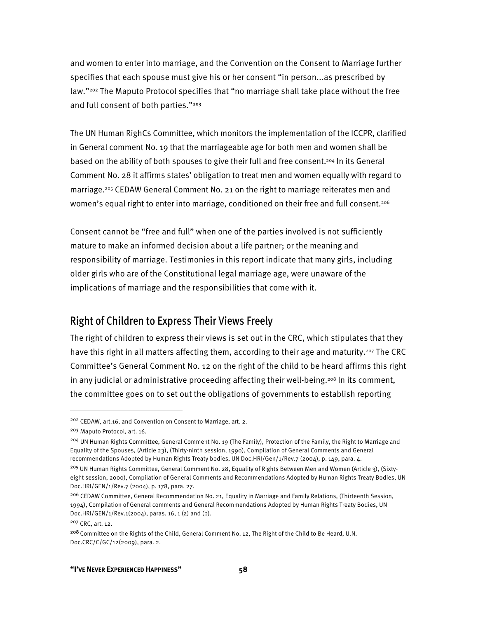and women to enter into marriage, and the Convention on the Consent to Marriage further specifies that each spouse must give his or her consent "in person...as prescribed by law."202 The Maputo Protocol specifies that "no marriage shall take place without the free and full consent of both parties."<sup>203</sup>

The UN Human RighCs Committee, which monitors the implementation of the ICCPR, clarified in General comment No. 19 that the marriageable age for both men and women shall be based on the ability of both spouses to give their full and free consent.204 In its General Comment No. 28 it affirms states' obligation to treat men and women equally with regard to marriage.205 CEDAW General Comment No. 21 on the right to marriage reiterates men and women's equal right to enter into marriage, conditioned on their free and full consent.<sup>206</sup>

Consent cannot be "free and full" when one of the parties involved is not sufficiently mature to make an informed decision about a life partner; or the meaning and responsibility of marriage. Testimonies in this report indicate that many girls, including older girls who are of the Constitutional legal marriage age, were unaware of the implications of marriage and the responsibilities that come with it.

### Right of Children to Express Their Views Freely

The right of children to express their views is set out in the CRC, which stipulates that they have this right in all matters affecting them, according to their age and maturity.<sup>207</sup> The CRC Committee's General Comment No. 12 on the right of the child to be heard affirms this right in any judicial or administrative proceeding affecting their well-being.<sup>208</sup> In its comment, the committee goes on to set out the obligations of governments to establish reporting

<sup>202</sup> CEDAW, art.16, and Convention on Consent to Marriage, art. 2.

<sup>203</sup> Maputo Protocol, art. 16.

<sup>&</sup>lt;sup>204</sup> UN Human Rights Committee, General Comment No. 19 (The Family), Protection of the Family, the Right to Marriage and Equality of the Spouses, (Article 23), (Thirty-ninth session, 1990), Compilation of General Comments and General recommendations Adopted by Human Rights Treaty bodies, UN Doc.HRI/Gen/1/Rev.7 (2004), p. 149, para. 4.

<sup>205</sup> UN Human Rights Committee, General Comment No. 28, Equality of Rights Between Men and Women (Article 3), (Sixtyeight session, 2000), Compilation of General Comments and Recommendations Adopted by Human Rights Treaty Bodies, UN Doc.HRI/GEN/1/Rev.7 (2004), p. 178, para. 27.

<sup>&</sup>lt;sup>206</sup> CEDAW Committee, General Recommendation No. 21, Equality in Marriage and Family Relations, (Thirteenth Session, 1994), Compilation of General comments and General Recommendations Adopted by Human Rights Treaty Bodies, UN Doc.HRI/GEN/1/Rev.1(2004), paras. 16, 1 (a) and (b).

<sup>207</sup> CRC, art. 12.

<sup>208</sup> Committee on the Rights of the Child, General Comment No. 12, The Right of the Child to Be Heard, U.N. Doc.CRC/C/GC/12(2009), para. 2.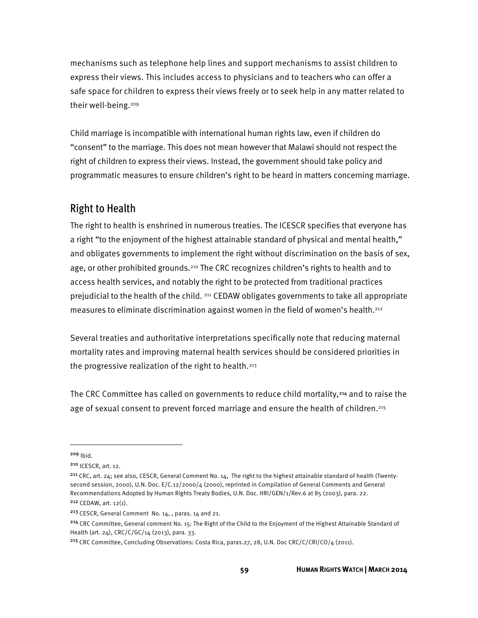mechanisms such as telephone help lines and support mechanisms to assist children to express their views. This includes access to physicians and to teachers who can offer a safe space for children to express their views freely or to seek help in any matter related to their well-being.209

Child marriage is incompatible with international human rights law, even if children do "consent" to the marriage. This does not mean however that Malawi should not respect the right of children to express their views. Instead, the government should take policy and programmatic measures to ensure children's right to be heard in matters concerning marriage.

### Right to Health

The right to health is enshrined in numerous treaties. The ICESCR specifies that everyone has a right "to the enjoyment of the highest attainable standard of physical and mental health," and obligates governments to implement the right without discrimination on the basis of sex, age, or other prohibited grounds.210 The CRC recognizes children's rights to health and to access health services, and notably the right to be protected from traditional practices prejudicial to the health of the child. <sup>211</sup> CEDAW obligates governments to take all appropriate measures to eliminate discrimination against women in the field of women's health.212

Several treaties and authoritative interpretations specifically note that reducing maternal mortality rates and improving maternal health services should be considered priorities in the progressive realization of the right to health.<sup>213</sup>

The CRC Committee has called on governments to reduce child mortality,<sup>214</sup> and to raise the age of sexual consent to prevent forced marriage and ensure the health of children.<sup>215</sup>

<sup>209</sup> Ibid.

<sup>210</sup> ICESCR, art. 12.

<sup>211</sup> CRC, art. 24; see also, CESCR, General Comment No. 14, The right to the highest attainable standard of health (Twentysecond session, 2000), U.N. Doc. E/C.12/2000/4 (2000), reprinted in Compilation of General Comments and General Recommendations Adopted by Human Rights Treaty Bodies, U.N. Doc. HRI/GEN/1/Rev.6 at 85 (2003), para. 22.

<sup>212</sup> CEDAW, art. 12(1).

<sup>213</sup> CESCR, General Comment No. 14, , paras. 14 and 21.

<sup>&</sup>lt;sup>214</sup> CRC Committee, General comment No. 15: The Right of the Child to the Enjoyment of the Highest Attainable Standard of Health (art. 24), CRC/C/GC/14 (2013), para. 33.

<sup>215</sup> CRC Committee, Concluding Observations: Costa Rica, paras.27, 28, U.N. Doc CRC/C/CRI/CO/4 (2011).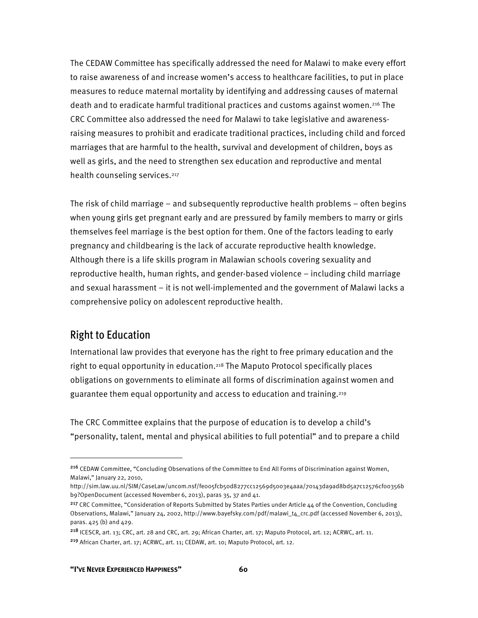The CEDAW Committee has specifically addressed the need for Malawi to make every effort to raise awareness of and increase women's access to healthcare facilities, to put in place measures to reduce maternal mortality by identifying and addressing causes of maternal death and to eradicate harmful traditional practices and customs against women.216 The CRC Committee also addressed the need for Malawi to take legislative and awarenessraising measures to prohibit and eradicate traditional practices, including child and forced marriages that are harmful to the health, survival and development of children, boys as well as girls, and the need to strengthen sex education and reproductive and mental health counseling services.<sup>217</sup>

The risk of child marriage – and subsequently reproductive health problems – often begins when young girls get pregnant early and are pressured by family members to marry or girls themselves feel marriage is the best option for them. One of the factors leading to early pregnancy and childbearing is the lack of accurate reproductive health knowledge. Although there is a life skills program in Malawian schools covering sexuality and reproductive health, human rights, and gender-based violence – including child marriage and sexual harassment – it is not well-implemented and the government of Malawi lacks a comprehensive policy on adolescent reproductive health.

### Right to Education

l

International law provides that everyone has the right to free primary education and the right to equal opportunity in education.<sup>218</sup> The Maputo Protocol specifically places obligations on governments to eliminate all forms of discrimination against women and guarantee them equal opportunity and access to education and training.<sup>219</sup>

The CRC Committee explains that the purpose of education is to develop a child's "personality, talent, mental and physical abilities to full potential" and to prepare a child

<sup>216</sup> CEDAW Committee, "Concluding Observations of the Committee to End All Forms of Discrimination against Women, Malawi," January 22, 2010,

http://sim.law.uu.nl/SIM/CaseLaw/uncom.nsf/feoo5fcb5od8277cc12569d5003e4aaa/70143da9ad8bd5a7c12576cfoo356b b9?OpenDocument (accessed November 6, 2013), paras 35, 37 and 41.

<sup>&</sup>lt;sup>217</sup> CRC Committee, "Consideration of Reports Submitted by States Parties under Article 44 of the Convention, Concluding Observations, Malawi," January 24, 2002, http://www.bayefsky.com/pdf/malawi\_t4\_crc.pdf (accessed November 6, 2013), paras. 425 (b) and 429.

<sup>218</sup> ICESCR, art. 13; CRC, art. 28 and CRC, art. 29; African Charter, art. 17; Maputo Protocol, art. 12; ACRWC, art. 11. <sup>219</sup> African Charter, art. 17; ACRWC, art. 11; CEDAW, art. 10; Maputo Protocol, art. 12.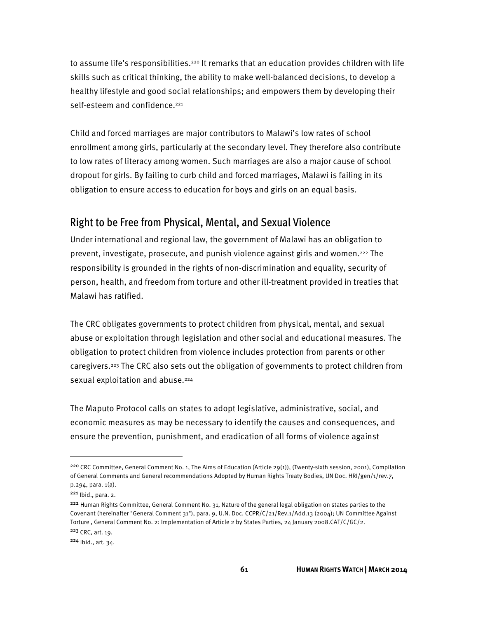to assume life's responsibilities.<sup>220</sup> It remarks that an education provides children with life skills such as critical thinking, the ability to make well-balanced decisions, to develop a healthy lifestyle and good social relationships; and empowers them by developing their self-esteem and confidence.<sup>221</sup>

Child and forced marriages are major contributors to Malawi's low rates of school enrollment among girls, particularly at the secondary level. They therefore also contribute to low rates of literacy among women. Such marriages are also a major cause of school dropout for girls. By failing to curb child and forced marriages, Malawi is failing in its obligation to ensure access to education for boys and girls on an equal basis.

### Right to be Free from Physical, Mental, and Sexual Violence

Under international and regional law, the government of Malawi has an obligation to prevent, investigate, prosecute, and punish violence against girls and women.222 The responsibility is grounded in the rights of non-discrimination and equality, security of person, health, and freedom from torture and other ill-treatment provided in treaties that Malawi has ratified.

The CRC obligates governments to protect children from physical, mental, and sexual abuse or exploitation through legislation and other social and educational measures. The obligation to protect children from violence includes protection from parents or other caregivers.223 The CRC also sets out the obligation of governments to protect children from sexual exploitation and abuse.<sup>224</sup>

The Maputo Protocol calls on states to adopt legislative, administrative, social, and economic measures as may be necessary to identify the causes and consequences, and ensure the prevention, punishment, and eradication of all forms of violence against

<sup>220</sup> CRC Committee, General Comment No. 1, The Aims of Education (Article 29(1)), (Twenty-sixth session, 2001), Compilation of General Comments and General recommendations Adopted by Human Rights Treaty Bodies, UN Doc. HRI/gen/1/rev.7, p.294, para. 1(a).

<sup>221</sup> Ibid., para. 2.

<sup>222</sup> Human Rights Committee, General Comment No. 31, Nature of the general legal obligation on states parties to the Covenant (hereinafter "General Comment 31"), para. 9, U.N. Doc. CCPR/C/21/Rev.1/Add.13 (2004); UN Committee Against Torture , General Comment No. 2: Implementation of Article 2 by States Parties, 24 January 2008.CAT/C/GC/2. <sup>223</sup> CRC, art. 19.

<sup>224</sup> Ibid., art. 34.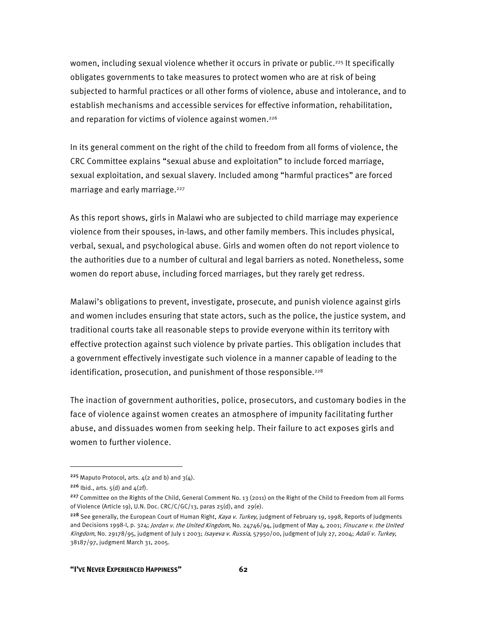women, including sexual violence whether it occurs in private or public.<sup>225</sup> It specifically obligates governments to take measures to protect women who are at risk of being subjected to harmful practices or all other forms of violence, abuse and intolerance, and to establish mechanisms and accessible services for effective information, rehabilitation, and reparation for victims of violence against women.<sup>226</sup>

In its general comment on the right of the child to freedom from all forms of violence, the CRC Committee explains "sexual abuse and exploitation" to include forced marriage, sexual exploitation, and sexual slavery. Included among "harmful practices" are forced marriage and early marriage.<sup>227</sup>

As this report shows, girls in Malawi who are subjected to child marriage may experience violence from their spouses, in-laws, and other family members. This includes physical, verbal, sexual, and psychological abuse. Girls and women often do not report violence to the authorities due to a number of cultural and legal barriers as noted. Nonetheless, some women do report abuse, including forced marriages, but they rarely get redress.

Malawi's obligations to prevent, investigate, prosecute, and punish violence against girls and women includes ensuring that state actors, such as the police, the justice system, and traditional courts take all reasonable steps to provide everyone within its territory with effective protection against such violence by private parties. This obligation includes that a government effectively investigate such violence in a manner capable of leading to the identification, prosecution, and punishment of those responsible.<sup>228</sup>

The inaction of government authorities, police, prosecutors, and customary bodies in the face of violence against women creates an atmosphere of impunity facilitating further abuse, and dissuades women from seeking help. Their failure to act exposes girls and women to further violence.

<sup>&</sup>lt;sup>225</sup> Maputo Protocol, arts.  $4(2 \text{ and } b)$  and  $3(4)$ .

 $226$  Ibid., arts.  $5(d)$  and  $4(2f)$ .

<sup>&</sup>lt;sup>227</sup> Committee on the Rights of the Child, General Comment No. 13 (2011) on the Right of the Child to Freedom from all Forms of Violence (Article 19), U.N. Doc. CRC/C/GC/13, paras 25(d), and 29(e).

<sup>&</sup>lt;sup>228</sup> See generally, the European Court of Human Right, *Kaya v. Turkey*, judgment of February 19, 1998, Reports of Judgments and Decisions 1998-l, p. 324; Jordan v. the United Kingdom, No. 24746/94, judgment of May 4, 2001; Finucane v. the United Kingdom, No. 29178/95, judgment of July 1 2003; Isayeva v. Russia, 57950/00, judgment of July 27, 2004; Adali v. Turkey, 38187/97, judgment March 31, 2005.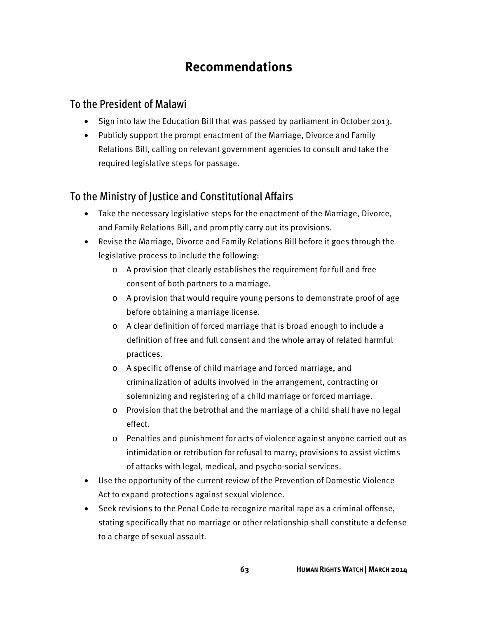# **Recommendations**

### To the President of Malawi

- Sign into law the Education Bill that was passed by parliament in October 2013.
- Publicly support the prompt enactment of the Marriage, Divorce and Family Relations Bill, calling on relevant government agencies to consult and take the required legislative steps for passage.

## To the Ministry of Justice and Constitutional Affairs

- Take the necessary legislative steps for the enactment of the Marriage, Divorce, and Family Relations Bill, and promptly carry out its provisions.
- Revise the Marriage, Divorce and Family Relations Bill before it goes through the legislative process to include the following:
	- o A provision that clearly establishes the requirement for full and free consent of both partners to a marriage.
	- o A provision that would require young persons to demonstrate proof of age before obtaining a marriage license.
	- o A clear definition of forced marriage that is broad enough to include a definition of free and full consent and the whole array of related harmful practices.
	- o A specific offense of child marriage and forced marriage, and criminalization of adults involved in the arrangement, contracting or solemnizing and registering of a child marriage or forced marriage.
	- o Provision that the betrothal and the marriage of a child shall have no legal effect.
	- o Penalties and punishment for acts of violence against anyone carried out as intimidation or retribution for refusal to marry; provisions to assist victims of attacks with legal, medical, and psycho-social services.
- Use the opportunity of the current review of the Prevention of Domestic Violence Act to expand protections against sexual violence.
- Seek revisions to the Penal Code to recognize marital rape as a criminal offense, stating specifically that no marriage or other relationship shall constitute a defense to a charge of sexual assault.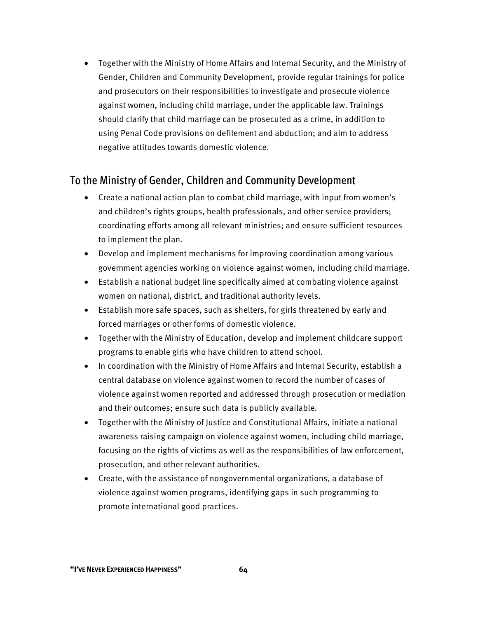• Together with the Ministry of Home Affairs and Internal Security, and the Ministry of Gender, Children and Community Development, provide regular trainings for police and prosecutors on their responsibilities to investigate and prosecute violence against women, including child marriage, under the applicable law. Trainings should clarify that child marriage can be prosecuted as a crime, in addition to using Penal Code provisions on defilement and abduction; and aim to address negative attitudes towards domestic violence.

### To the Ministry of Gender, Children and Community Development

- Create a national action plan to combat child marriage, with input from women's and children's rights groups, health professionals, and other service providers; coordinating efforts among all relevant ministries; and ensure sufficient resources to implement the plan.
- Develop and implement mechanisms for improving coordination among various government agencies working on violence against women, including child marriage.
- Establish a national budget line specifically aimed at combating violence against women on national, district, and traditional authority levels.
- Establish more safe spaces, such as shelters, for girls threatened by early and forced marriages or other forms of domestic violence.
- Together with the Ministry of Education, develop and implement childcare support programs to enable girls who have children to attend school.
- In coordination with the Ministry of Home Affairs and Internal Security, establish a central database on violence against women to record the number of cases of violence against women reported and addressed through prosecution or mediation and their outcomes; ensure such data is publicly available.
- Together with the Ministry of Justice and Constitutional Affairs, initiate a national awareness raising campaign on violence against women, including child marriage, focusing on the rights of victims as well as the responsibilities of law enforcement, prosecution, and other relevant authorities.
- Create, with the assistance of nongovernmental organizations, a database of violence against women programs, identifying gaps in such programming to promote international good practices.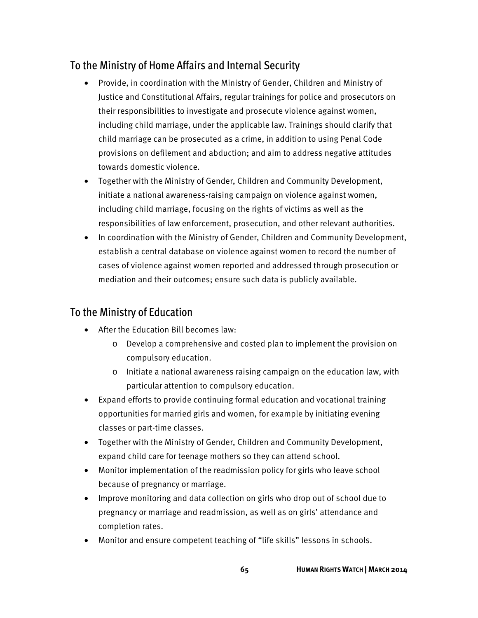## To the Ministry of Home Affairs and Internal Security

- Provide, in coordination with the Ministry of Gender, Children and Ministry of Justice and Constitutional Affairs, regular trainings for police and prosecutors on their responsibilities to investigate and prosecute violence against women, including child marriage, under the applicable law. Trainings should clarify that child marriage can be prosecuted as a crime, in addition to using Penal Code provisions on defilement and abduction; and aim to address negative attitudes towards domestic violence.
- Together with the Ministry of Gender, Children and Community Development, initiate a national awareness-raising campaign on violence against women, including child marriage, focusing on the rights of victims as well as the responsibilities of law enforcement, prosecution, and other relevant authorities.
- In coordination with the Ministry of Gender, Children and Community Development, establish a central database on violence against women to record the number of cases of violence against women reported and addressed through prosecution or mediation and their outcomes; ensure such data is publicly available.

## To the Ministry of Education

- After the Education Bill becomes law:
	- o Develop a comprehensive and costed plan to implement the provision on compulsory education.
	- o Initiate a national awareness raising campaign on the education law, with particular attention to compulsory education.
- Expand efforts to provide continuing formal education and vocational training opportunities for married girls and women, for example by initiating evening classes or part-time classes.
- Together with the Ministry of Gender, Children and Community Development, expand child care for teenage mothers so they can attend school.
- Monitor implementation of the readmission policy for girls who leave school because of pregnancy or marriage.
- Improve monitoring and data collection on girls who drop out of school due to pregnancy or marriage and readmission, as well as on girls' attendance and completion rates.
- Monitor and ensure competent teaching of "life skills" lessons in schools.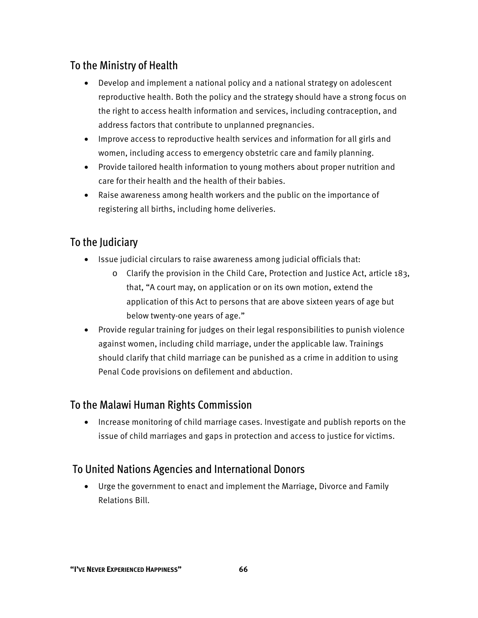### To the Ministry of Health

- Develop and implement a national policy and a national strategy on adolescent reproductive health. Both the policy and the strategy should have a strong focus on the right to access health information and services, including contraception, and address factors that contribute to unplanned pregnancies.
- Improve access to reproductive health services and information for all girls and women, including access to emergency obstetric care and family planning.
- Provide tailored health information to young mothers about proper nutrition and care for their health and the health of their babies.
- Raise awareness among health workers and the public on the importance of registering all births, including home deliveries.

### To the Judiciary

- Issue judicial circulars to raise awareness among judicial officials that:
	- $\circ$  Clarify the provision in the Child Care, Protection and Justice Act, article 183, that, "A court may, on application or on its own motion, extend the application of this Act to persons that are above sixteen years of age but below twenty-one years of age."
- Provide regular training for judges on their legal responsibilities to punish violence against women, including child marriage, under the applicable law. Trainings should clarify that child marriage can be punished as a crime in addition to using Penal Code provisions on defilement and abduction.

### To the Malawi Human Rights Commission

• Increase monitoring of child marriage cases. Investigate and publish reports on the issue of child marriages and gaps in protection and access to justice for victims.

### To United Nations Agencies and International Donors

• Urge the government to enact and implement the Marriage, Divorce and Family Relations Bill.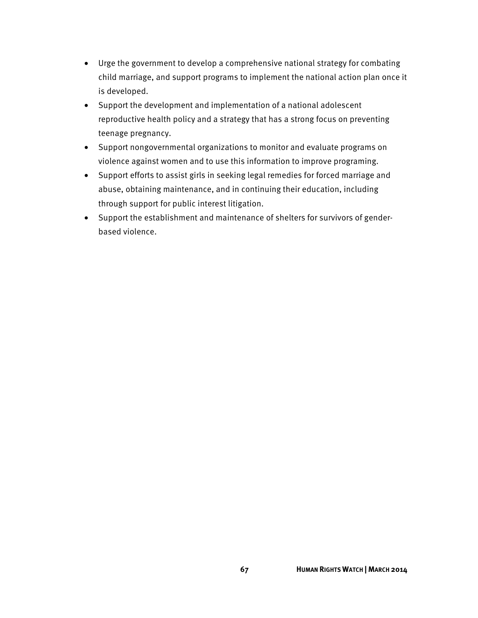- Urge the government to develop a comprehensive national strategy for combating child marriage, and support programs to implement the national action plan once it is developed.
- Support the development and implementation of a national adolescent reproductive health policy and a strategy that has a strong focus on preventing teenage pregnancy.
- Support nongovernmental organizations to monitor and evaluate programs on violence against women and to use this information to improve programing.
- Support efforts to assist girls in seeking legal remedies for forced marriage and abuse, obtaining maintenance, and in continuing their education, including through support for public interest litigation.
- Support the establishment and maintenance of shelters for survivors of genderbased violence.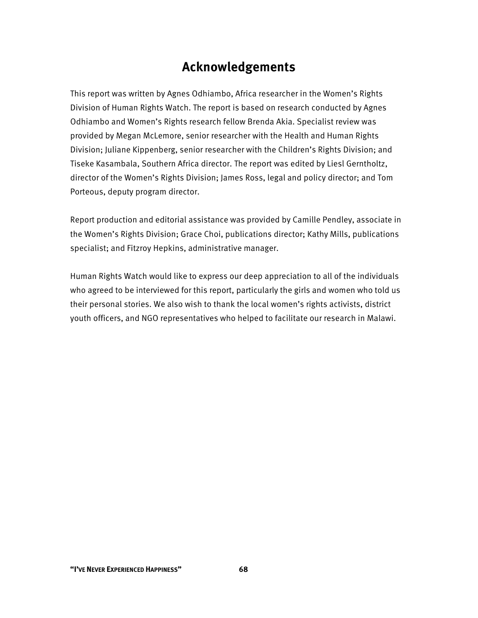## **Acknowledgements**

This report was written by Agnes Odhiambo, Africa researcher in the Women's Rights Division of Human Rights Watch. The report is based on research conducted by Agnes Odhiambo and Women's Rights research fellow Brenda Akia. Specialist review was provided by Megan McLemore, senior researcher with the Health and Human Rights Division; Juliane Kippenberg, senior researcher with the Children's Rights Division; and Tiseke Kasambala, Southern Africa director. The report was edited by Liesl Gerntholtz, director of the Women's Rights Division; James Ross, legal and policy director; and Tom Porteous, deputy program director.

Report production and editorial assistance was provided by Camille Pendley, associate in the Women's Rights Division; Grace Choi, publications director; Kathy Mills, publications specialist; and Fitzroy Hepkins, administrative manager.

Human Rights Watch would like to express our deep appreciation to all of the individuals who agreed to be interviewed for this report, particularly the girls and women who told us their personal stories. We also wish to thank the local women's rights activists, district youth officers, and NGO representatives who helped to facilitate our research in Malawi.